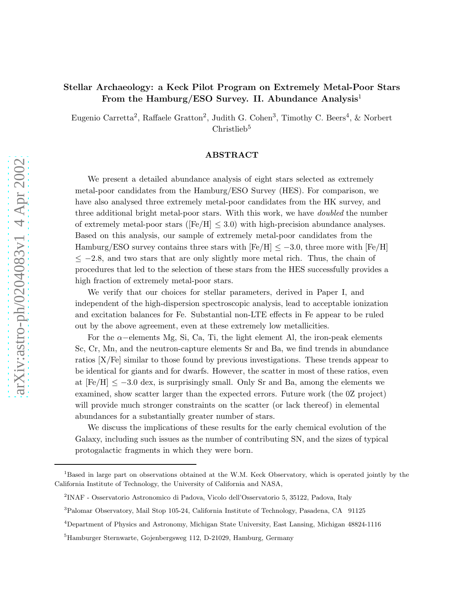# Stellar Archaeology: a Keck Pilot Program on Extremely Metal-Poor Stars From the Hamburg/ESO Survey. II. Abundance Analysis<sup>1</sup>

Eugenio Carretta<sup>2</sup>, Raffaele Gratton<sup>2</sup>, Judith G. Cohen<sup>3</sup>, Timothy C. Beers<sup>4</sup>, & Norbert Christlieb<sup>5</sup>

# ABSTRACT

We present a detailed abundance analysis of eight stars selected as extremely metal-poor candidates from the Hamburg/ESO Survey (HES). For comparison, we have also analysed three extremely metal-poor candidates from the HK survey, and three additional bright metal-poor stars. With this work, we have *doubled* the number of extremely metal-poor stars ( $[Fe/H] \leq 3.0$ ) with high-precision abundance analyses. Based on this analysis, our sample of extremely metal-poor candidates from the Hamburg/ESO survey contains three stars with  $[Fe/H] \le -3.0$ , three more with  $[Fe/H]$  $\leq$  -2.8, and two stars that are only slightly more metal rich. Thus, the chain of procedures that led to the selection of these stars from the HES successfully provides a high fraction of extremely metal-poor stars.

We verify that our choices for stellar parameters, derived in Paper I, and independent of the high-dispersion spectroscopic analysis, lead to acceptable ionization and excitation balances for Fe. Substantial non-LTE effects in Fe appear to be ruled out by the above agreement, even at these extremely low metallicities.

For the  $\alpha$ –elements Mg, Si, Ca, Ti, the light element Al, the iron-peak elements Sc, Cr, Mn, and the neutron-capture elements Sr and Ba, we find trends in abundance ratios [X/Fe] similar to those found by previous investigations. These trends appear to be identical for giants and for dwarfs. However, the scatter in most of these ratios, even at  $[Fe/H] \le -3.0$  dex, is surprisingly small. Only Sr and Ba, among the elements we examined, show scatter larger than the expected errors. Future work (the 0Z project) will provide much stronger constraints on the scatter (or lack thereof) in elemental abundances for a substantially greater number of stars.

We discuss the implications of these results for the early chemical evolution of the Galaxy, including such issues as the number of contributing SN, and the sizes of typical protogalactic fragments in which they were born.

<sup>&</sup>lt;sup>1</sup>Based in large part on observations obtained at the W.M. Keck Observatory, which is operated jointly by the California Institute of Technology, the University of California and NASA,

<sup>2</sup> INAF - Osservatorio Astronomico di Padova, Vicolo dell'Osservatorio 5, 35122, Padova, Italy

<sup>3</sup>Palomar Observatory, Mail Stop 105-24, California Institute of Technology, Pasadena, CA 91125

<sup>4</sup>Department of Physics and Astronomy, Michigan State University, East Lansing, Michigan 48824-1116

<sup>5</sup>Hamburger Sternwarte, Gojenbergsweg 112, D-21029, Hamburg, Germany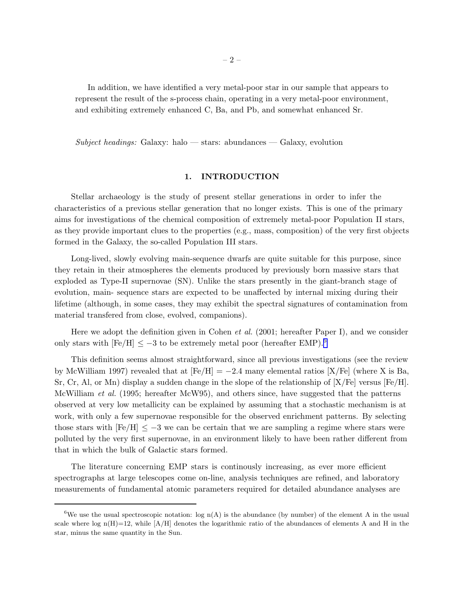In addition, we have identified a very metal-poor star in our sample that appears to represent the result of the s-process chain, operating in a very metal-poor environment, and exhibiting extremely enhanced C, Ba, and Pb, and somewhat enhanced Sr.

*Subject headings:* Galaxy: halo — stars: abundances — Galaxy, evolution

# 1. INTRODUCTION

Stellar archaeology is the study of present stellar generations in order to infer the characteristics of a previous stellar generation that no longer exists. This is one of the primary aims for investigations of the chemical composition of extremely metal-poor Population II stars, as they provide important clues to the properties (e.g., mass, composition) of the very first objects formed in the Galaxy, the so-called Population III stars.

Long-lived, slowly evolving main-sequence dwarfs are quite suitable for this purpose, since they retain in their atmospheres the elements produced by previously born massive stars that exploded as Type-II supernovae (SN). Unlike the stars presently in the giant-branch stage of evolution, main- sequence stars are expected to be unaffected by internal mixing during their lifetime (although, in some cases, they may exhibit the spectral signatures of contamination from material transfered from close, evolved, companions).

Here we adopt the definition given in Cohen *et al.* (2001; hereafter Paper I), and we consider only stars with  $[Fe/H] \le -3$  to be extremely metal poor (hereafter EMP).<sup>6</sup>

This definition seems almost straightforward, since all previous investigations (see the review by McWilliam 1997) revealed that at  $[Fe/H] = -2.4$  many elemental ratios  $[X/Fe]$  (where X is Ba, Sr, Cr, Al, or Mn) display a sudden change in the slope of the relationship of  $[X/Fe]$  versus  $[Fe/H]$ . McWilliam *et al.* (1995; hereafter McW95), and others since, have suggested that the patterns observed at very low metallicity can be explained by assuming that a stochastic mechanism is at work, with only a few supernovae responsible for the observed enrichment patterns. By selecting those stars with  $[Fe/H] \leq -3$  we can be certain that we are sampling a regime where stars were polluted by the very first supernovae, in an environment likely to have been rather different from that in which the bulk of Galactic stars formed.

The literature concerning EMP stars is continously increasing, as ever more efficient spectrographs at large telescopes come on-line, analysis techniques are refined, and laboratory measurements of fundamental atomic parameters required for detailed abundance analyses are

<sup>&</sup>lt;sup>6</sup>We use the usual spectroscopic notation: log  $n(A)$  is the abundance (by number) of the element A in the usual scale where  $log n(H)=12$ , while  $[A/H]$  denotes the logarithmic ratio of the abundances of elements A and H in the star, minus the same quantity in the Sun.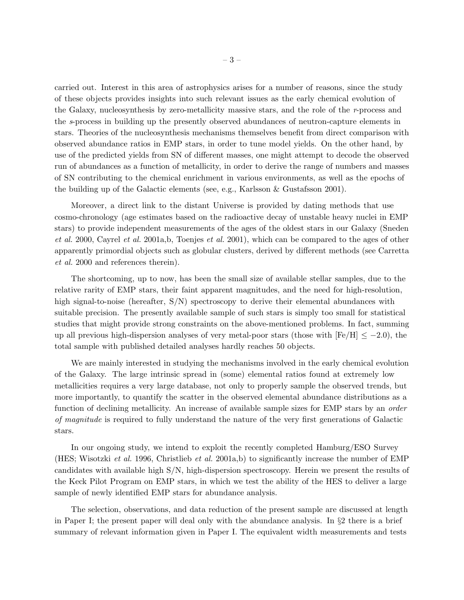carried out. Interest in this area of astrophysics arises for a number of reasons, since the study of these objects provides insights into such relevant issues as the early chemical evolution of the Galaxy, nucleosynthesis by zero-metallicity massive stars, and the role of the *r*-process and the *s*-process in building up the presently observed abundances of neutron-capture elements in stars. Theories of the nucleosynthesis mechanisms themselves benefit from direct comparison with observed abundance ratios in EMP stars, in order to tune model yields. On the other hand, by use of the predicted yields from SN of different masses, one might attempt to decode the observed run of abundances as a function of metallicity, in order to derive the range of numbers and masses of SN contributing to the chemical enrichment in various environments, as well as the epochs of the building up of the Galactic elements (see, e.g., Karlsson & Gustafsson 2001).

Moreover, a direct link to the distant Universe is provided by dating methods that use cosmo-chronology (age estimates based on the radioactive decay of unstable heavy nuclei in EMP stars) to provide independent measurements of the ages of the oldest stars in our Galaxy (Sneden *et al.* 2000, Cayrel *et al.* 2001a,b, Toenjes *et al.* 2001), which can be compared to the ages of other apparently primordial objects such as globular clusters, derived by different methods (see Carretta *et al.* 2000 and references therein).

The shortcoming, up to now, has been the small size of available stellar samples, due to the relative rarity of EMP stars, their faint apparent magnitudes, and the need for high-resolution, high signal-to-noise (hereafter, S/N) spectroscopy to derive their elemental abundances with suitable precision. The presently available sample of such stars is simply too small for statistical studies that might provide strong constraints on the above-mentioned problems. In fact, summing up all previous high-dispersion analyses of very metal-poor stars (those with  $[Fe/H] \le -2.0$ ), the total sample with published detailed analyses hardly reaches 50 objects.

We are mainly interested in studying the mechanisms involved in the early chemical evolution of the Galaxy. The large intrinsic spread in (some) elemental ratios found at extremely low metallicities requires a very large database, not only to properly sample the observed trends, but more importantly, to quantify the scatter in the observed elemental abundance distributions as a function of declining metallicity. An increase of available sample sizes for EMP stars by an *order of magnitude* is required to fully understand the nature of the very first generations of Galactic stars.

In our ongoing study, we intend to exploit the recently completed Hamburg/ESO Survey (HES; Wisotzki *et al.* 1996, Christlieb *et al.* 2001a,b) to significantly increase the number of EMP candidates with available high S/N, high-dispersion spectroscopy. Herein we present the results of the Keck Pilot Program on EMP stars, in which we test the ability of the HES to deliver a large sample of newly identified EMP stars for abundance analysis.

The selection, observations, and data reduction of the present sample are discussed at length in Paper I; the present paper will deal only with the abundance analysis. In §2 there is a brief summary of relevant information given in Paper I. The equivalent width measurements and tests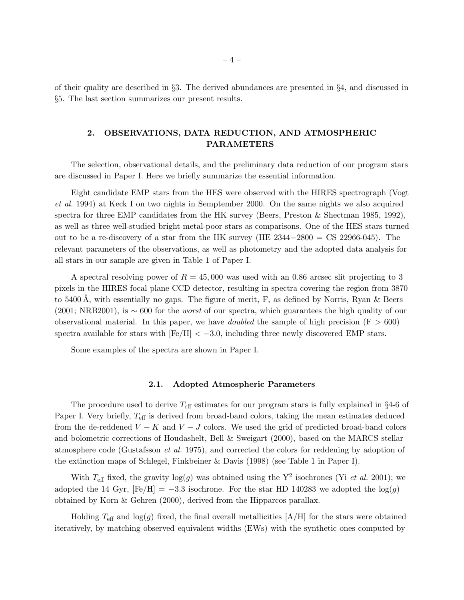of their quality are described in §3. The derived abundances are presented in §4, and discussed in §5. The last section summarizes our present results.

# 2. OBSERVATIONS, DATA REDUCTION, AND ATMOSPHERIC PARAMETERS

The selection, observational details, and the preliminary data reduction of our program stars are discussed in Paper I. Here we briefly summarize the essential information.

Eight candidate EMP stars from the HES were observed with the HIRES spectrograph (Vogt *et al.* 1994) at Keck I on two nights in Semptember 2000. On the same nights we also acquired spectra for three EMP candidates from the HK survey (Beers, Preston & Shectman 1985, 1992), as well as three well-studied bright metal-poor stars as comparisons. One of the HES stars turned out to be a re-discovery of a star from the HK survey (HE  $2344-2800 = CS 22966-045$ ). The relevant parameters of the observations, as well as photometry and the adopted data analysis for all stars in our sample are given in Table 1 of Paper I.

A spectral resolving power of  $R = 45,000$  was used with an 0.86 arcsec slit projecting to 3 pixels in the HIRES focal plane CCD detector, resulting in spectra covering the region from 3870 to 5400 Å, with essentially no gaps. The figure of merit, F, as defined by Norris, Ryan & Beers (2001; NRB2001), is ∼ 600 for the *worst* of our spectra, which guarantees the high quality of our observational material. In this paper, we have *doubled* the sample of high precision  $(F > 600)$ spectra available for stars with  $\text{[Fe/H]} < -3.0$ , including three newly discovered EMP stars.

Some examples of the spectra are shown in Paper I.

## 2.1. Adopted Atmospheric Parameters

The procedure used to derive  $T_{\text{eff}}$  estimates for our program stars is fully explained in §4-6 of Paper I. Very briefly,  $T_{\text{eff}}$  is derived from broad-band colors, taking the mean estimates deduced from the de-reddened  $V - K$  and  $V - J$  colors. We used the grid of predicted broad-band colors and bolometric corrections of Houdashelt, Bell & Sweigart (2000), based on the MARCS stellar atmosphere code (Gustafsson *et al.* 1975), and corrected the colors for reddening by adoption of the extinction maps of Schlegel, Finkbeiner & Davis (1998) (see Table 1 in Paper I).

With  $T_{\text{eff}}$  fixed, the gravity  $\log(g)$  was obtained using the Y<sup>2</sup> isochrones (Yi *et al.* 2001); we adopted the 14 Gyr,  $[Fe/H] = -3.3$  isochrone. For the star HD 140283 we adopted the  $log(q)$ obtained by Korn & Gehren (2000), derived from the Hipparcos parallax.

Holding  $T_{\text{eff}}$  and  $\log(g)$  fixed, the final overall metallicities [A/H] for the stars were obtained iteratively, by matching observed equivalent widths (EWs) with the synthetic ones computed by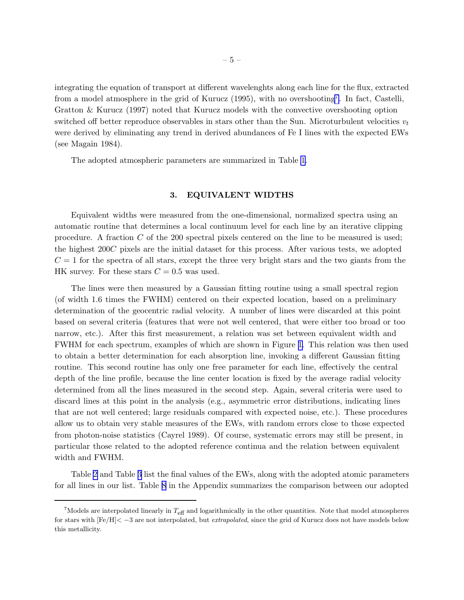integrating the equation of transport at different wavelenghts along each line for the flux, extracted from a model atmosphere in the grid of Kurucz (1995), with no overshooting<sup>7</sup>. In fact, Castelli, Gratton & Kurucz (1997) noted that Kurucz models with the convective overshooting option switched off better reproduce observables in stars other than the Sun. Microturbulent velocities  $v_t$ were derived by eliminating any trend in derived abundances of Fe I lines with the expected EWs (see Magain 1984).

The adopted atmospheric parameters are summarized in Table [1.](#page-36-0)

## 3. EQUIVALENT WIDTHS

Equivalent widths were measured from the one-dimensional, normalized spectra using an automatic routine that determines a local continuum level for each line by an iterative clipping procedure. A fraction  $C$  of the 200 spectral pixels centered on the line to be measured is used; the highest 200C pixels are the initial dataset for this process. After various tests, we adopted  $C = 1$  for the spectra of all stars, except the three very bright stars and the two giants from the HK survey. For these stars  $C = 0.5$  was used.

The lines were then measured by a Gaussian fitting routine using a small spectral region (of width 1.6 times the FWHM) centered on their expected location, based on a preliminary determination of the geocentric radial velocity. A number of lines were discarded at this point based on several criteria (features that were not well centered, that were either too broad or too narrow, etc.). After this first measurement, a relation was set between equivalent width and FWHM for each spectrum, examples of which are shown in Figure [1](#page-53-0). This relation was then used to obtain a better determination for each absorption line, invoking a different Gaussian fitting routine. This second routine has only one free parameter for each line, effectively the central depth of the line profile, because the line center location is fixed by the average radial velocity determined from all the lines measured in the second step. Again, several criteria were used to discard lines at this point in the analysis (e.g., asymmetric error distributions, indicating lines that are not well centered; large residuals compared with expected noise, etc.). These procedures allow us to obtain very stable measures of the EWs, with random errors close to those expected from photon-noise statistics (Cayrel 1989). Of course, systematic errors may still be present, in particular those related to the adopted reference continua and the relation between equivalent width and FWHM.

Table [2](#page-36-0) and Table [3](#page-36-0) list the final values of the EWs, along with the adopted atomic parameters for all lines in our list. Table [8](#page-36-0) in the Appendix summarizes the comparison between our adopted

 $^7$ Models are interpolated linearly in  $T_{\text{eff}}$  and logarithmically in the other quantities. Note that model atmospheres for stars with [Fe/H]< −3 are not interpolated, but extrapolated, since the grid of Kurucz does not have models below this metallicity.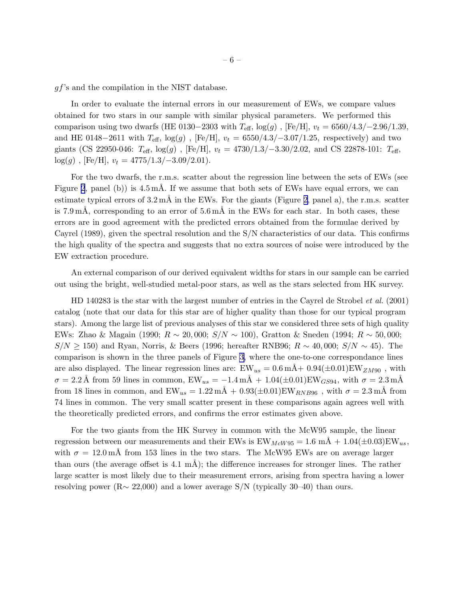gf's and the compilation in the NIST database.

In order to evaluate the internal errors in our measurement of EWs, we compare values obtained for two stars in our sample with similar physical parameters. We performed this comparison using two dwarfs (HE 0130–2303 with  $T_{\text{eff}}$ , log(g), [Fe/H],  $v_t = 6560/4.3/–2.96/1.39$ , and HE 0148–2611 with  $T_{\text{eff}}$ , log(g), [Fe/H],  $v_t = 6550/4.3/-3.07/1.25$ , respectively) and two giants (CS 22950-046:  $T_{\text{eff}}$ , log(g), [Fe/H],  $v_t = 4730/1.3/-3.30/2.02$ , and CS 22878-101:  $T_{\text{eff}}$ ,  $log(g)$ , [Fe/H],  $v_t = 4775/1.3/-3.09/2.01$ .

For the two dwarfs, the r.m.s. scatter about the regression line between the sets of EWs (see Figure [2](#page-54-0), panel (b)) is  $4.5 \text{ mA}$ . If we assume that both sets of EWs have equal errors, we can estimate typical errors of  $3.2 \text{ mA}$  in the EWs. For the giants (Figure [2,](#page-54-0) panel a), the r.m.s. scatter is 7.9 mÅ, corresponding to an error of  $5.6 \text{ mA}$  in the EWs for each star. In both cases, these errors are in good agreement with the predicted errors obtained from the formulae derived by Cayrel (1989), given the spectral resolution and the S/N characteristics of our data. This confirms the high quality of the spectra and suggests that no extra sources of noise were introduced by the EW extraction procedure.

An external comparison of our derived equivalent widths for stars in our sample can be carried out using the bright, well-studied metal-poor stars, as well as the stars selected from HK survey.

HD 140283 is the star with the largest number of entries in the Cayrel de Strobel *et al.* (2001) catalog (note that our data for this star are of higher quality than those for our typical program stars). Among the large list of previous analyses of this star we considered three sets of high quality EWs: Zhao & Magain (1990;  $R \sim 20,000$ ;  $S/N \sim 100$ ), Gratton & Sneden (1994;  $R \sim 50,000$ ;  $S/N \ge 150$ ) and Ryan, Norris, & Beers (1996; hereafter RNB96;  $R \sim 40,000$ ;  $S/N \sim 45$ ). The comparison is shown in the three panels of Figure [3,](#page-55-0) where the one-to-one correspondance lines are also displayed. The linear regression lines are:  $EW_{us} = 0.6 \text{ mA} + 0.94(\pm 0.01) \text{EW}_{ZM90}$ , with  $\sigma = 2.2 \text{ Å}$  from 59 lines in common,  $EW_{us} = -1.4 \text{ mA} + 1.04(\pm 0.01) EW_{GS94}$ , with  $\sigma = 2.3 \text{ mA}$ from 18 lines in common, and  $EW_{us} = 1.22 \text{ mA} + 0.93(\pm 0.01) \text{EW}_{RNB96}$ , with  $\sigma = 2.3 \text{ mA}$  from 74 lines in common. The very small scatter present in these comparisons again agrees well with the theoretically predicted errors, and confirms the error estimates given above.

For the two giants from the HK Survey in common with the McW95 sample, the linear regression between our measurements and their EWs is  $EW_{MeW95} = 1.6$  mÅ  $+ 1.04(\pm 0.03)$  EW<sub>us</sub>, with  $\sigma = 12.0 \,\text{m\AA}$  from 153 lines in the two stars. The McW95 EWs are on average larger than ours (the average offset is  $4.1 \text{ mA}$ ); the difference increases for stronger lines. The rather large scatter is most likely due to their measurement errors, arising from spectra having a lower resolving power ( $R \sim 22{,}000$ ) and a lower average S/N (typically 30–40) than ours.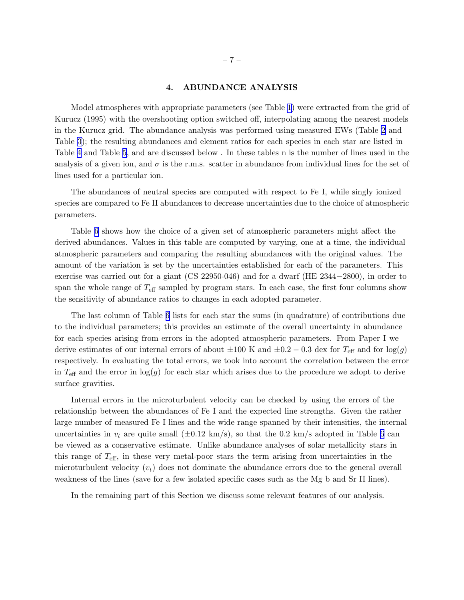## 4. ABUNDANCE ANALYSIS

Model atmospheres with appropriate parameters (see Table [1\)](#page-36-0) were extracted from the grid of Kurucz (1995) with the overshooting option switched off, interpolating among the nearest models in the Kurucz grid. The abundance analysis was performed using measured EWs (Table [2](#page-36-0) and Table [3\)](#page-36-0); the resulting abundances and element ratios for each species in each star are listed in Table [4](#page-36-0) and Table [5](#page-36-0), and are discussed below . In these tables n is the number of lines used in the analysis of a given ion, and  $\sigma$  is the r.m.s. scatter in abundance from individual lines for the set of lines used for a particular ion.

The abundances of neutral species are computed with respect to Fe I, while singly ionized species are compared to Fe II abundances to decrease uncertainties due to the choice of atmospheric parameters.

Table [6](#page-36-0) shows how the choice of a given set of atmospheric parameters might affect the derived abundances. Values in this table are computed by varying, one at a time, the individual atmospheric parameters and comparing the resulting abundances with the original values. The amount of the variation is set by the uncertainties established for each of the parameters. This exercise was carried out for a giant (CS 22950-046) and for a dwarf (HE 2344−2800), in order to span the whole range of  $T_{\text{eff}}$  sampled by program stars. In each case, the first four columns show the sensitivity of abundance ratios to changes in each adopted parameter.

The last column of Table [6](#page-36-0) lists for each star the sums (in quadrature) of contributions due to the individual parameters; this provides an estimate of the overall uncertainty in abundance for each species arising from errors in the adopted atmospheric parameters. From Paper I we derive estimates of our internal errors of about  $\pm 100$  K and  $\pm 0.2 - 0.3$  dex for  $T_{\text{eff}}$  and for  $\log(g)$ respectively. In evaluating the total errors, we took into account the correlation between the error in  $T_{\text{eff}}$  and the error in  $\log(g)$  for each star which arises due to the procedure we adopt to derive surface gravities.

Internal errors in the microturbulent velocity can be checked by using the errors of the relationship between the abundances of Fe I and the expected line strengths. Given the rather large number of measured Fe I lines and the wide range spanned by their intensities, the internal uncertainties in  $v_t$  are quite small  $(\pm 0.12 \text{ km/s})$ , so that the 0.2 km/s adopted in Table [6](#page-36-0) can be viewed as a conservative estimate. Unlike abundance analyses of solar metallicity stars in this range of  $T_{\text{eff}}$ , in these very metal-poor stars the term arising from uncertainties in the microturbulent velocity  $(v_t)$  does not dominate the abundance errors due to the general overall weakness of the lines (save for a few isolated specific cases such as the Mg b and Sr II lines).

In the remaining part of this Section we discuss some relevant features of our analysis.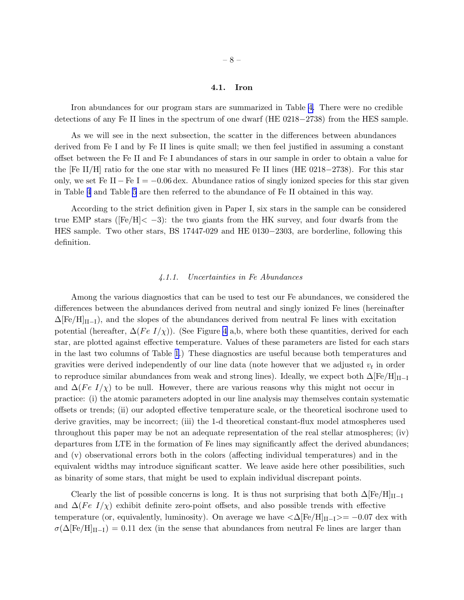### 4.1. Iron

<span id="page-7-0"></span>Iron abundances for our program stars are summarized in Table [4.](#page-36-0) There were no credible detections of any Fe II lines in the spectrum of one dwarf (HE 0218−2738) from the HES sample.

As we will see in the next subsection, the scatter in the differences between abundances derived from Fe I and by Fe II lines is quite small; we then feel justified in assuming a constant offset between the Fe II and Fe I abundances of stars in our sample in order to obtain a value for the [Fe II/H] ratio for the one star with no measured Fe II lines (HE 0218−2738). For this star only, we set Fe II – Fe I =  $-0.06$  dex. Abundance ratios of singly ionized species for this star given in Table [4](#page-36-0) and Table [5](#page-36-0) are then referred to the abundance of Fe II obtained in this way.

According to the strict definition given in Paper I, six stars in the sample can be considered true EMP stars ( $[Fe/H] < -3$ ): the two giants from the HK survey, and four dwarfs from the HES sample. Two other stars, BS 17447-029 and HE 0130−2303, are borderline, following this definition.

# *4.1.1. Uncertainties in Fe Abundances*

Among the various diagnostics that can be used to test our Fe abundances, we considered the differences between the abundances derived from neutral and singly ionized Fe lines (hereinafter  $\Delta$ [Fe/H]<sub>II–I</sub>), and the slopes of the abundances derived from neutral Fe lines with excitation potential (hereafter,  $\Delta(Fe I/\chi)$ ). (See Figure [4](#page-56-0) a,b, where both these quantities, derived for each star, are plotted against effective temperature. Values of these parameters are listed for each stars in the last two columns of Table [1](#page-36-0).) These diagnostics are useful because both temperatures and gravities were derived independently of our line data (note however that we adjusted  $v_t$  in order to reproduce similar abundances from weak and strong lines). Ideally, we expect both  $\Delta [Fe/H]_{II-I}$ and  $\Delta$ (Fe I/ $\chi$ ) to be null. However, there are various reasons why this might not occur in practice: (i) the atomic parameters adopted in our line analysis may themselves contain systematic offsets or trends; (ii) our adopted effective temperature scale, or the theoretical isochrone used to derive gravities, may be incorrect; (iii) the 1-d theoretical constant-flux model atmospheres used throughout this paper may be not an adequate representation of the real stellar atmospheres; (iv) departures from LTE in the formation of Fe lines may significantly affect the derived abundances; and (v) observational errors both in the colors (affecting individual temperatures) and in the equivalent widths may introduce significant scatter. We leave aside here other possibilities, such as binarity of some stars, that might be used to explain individual discrepant points.

Clearly the list of possible concerns is long. It is thus not surprising that both  $\Delta$ [Fe/H]<sub>II−I</sub> and  $\Delta (Fe I/\chi)$  exhibit definite zero-point offsets, and also possible trends with effective temperature (or, equivalently, luminosity). On average we have  $\langle \Delta \text{[Fe/H]}_{II-I} \rangle = -0.07 \text{ dex with}$  $\sigma(\Delta{\rm [Fe/H]_{II-I}}) = 0.11$  dex (in the sense that abundances from neutral Fe lines are larger than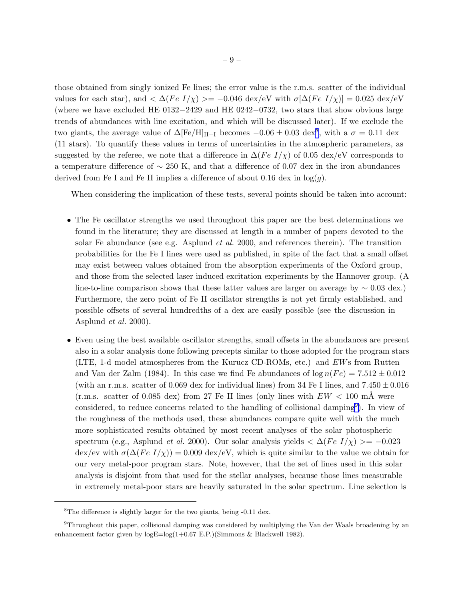those obtained from singly ionized Fe lines; the error value is the r.m.s. scatter of the individual values for each star), and  $\langle \Delta (Fe I/\chi) \rangle = -0.046 \text{ dex/eV}$  with  $\sigma [\Delta (Fe I/\chi)] = 0.025 \text{ dex/eV}$ (where we have excluded HE 0132−2429 and HE 0242−0732, two stars that show obvious large trends of abundances with line excitation, and which will be discussed later). If we exclude the two giants, the average value of  $\Delta$ [Fe/H]<sub>II-I</sub> becomes  $-0.06 \pm 0.03$  dex<sup>8</sup>, with a  $\sigma = 0.11$  dex (11 stars). To quantify these values in terms of uncertainties in the atmospheric parameters, as suggested by the referee, we note that a difference in  $\Delta(Fe~I/\chi)$  of 0.05 dex/eV corresponds to a temperature difference of  $\sim$  250 K, and that a difference of 0.07 dex in the iron abundances derived from Fe I and Fe II implies a difference of about 0.16 dex in  $log(g)$ .

When considering the implication of these tests, several points should be taken into account:

- The Fe oscillator strengths we used throughout this paper are the best determinations we found in the literature; they are discussed at length in a number of papers devoted to the solar Fe abundance (see e.g. Asplund *et al.* 2000, and references therein). The transition probabilities for the Fe I lines were used as published, in spite of the fact that a small offset may exist between values obtained from the absorption experiments of the Oxford group, and those from the selected laser induced excitation experiments by the Hannover group. (A line-to-line comparison shows that these latter values are larger on average by  $\sim 0.03$  dex.) Furthermore, the zero point of Fe II oscillator strengths is not yet firmly established, and possible offsets of several hundredths of a dex are easily possible (see the discussion in Asplund *et al.* 2000).
- Even using the best available oscillator strengths, small offsets in the abundances are present also in a solar analysis done following precepts similar to those adopted for the program stars (LTE, 1-d model atmospheres from the Kurucz CD-ROMs, etc.) and EWs from Rutten and Van der Zalm (1984). In this case we find Fe abundances of  $\log n(Fe) = 7.512 \pm 0.012$ (with an r.m.s. scatter of 0.069 dex for individual lines) from 34 Fe I lines, and  $7.450 \pm 0.016$  $(r.m.s.$  scatter of 0.085 dex) from 27 Fe II lines (only lines with  $EW < 100$  mÅ were considered, to reduce concerns related to the handling of collisional damping<sup>9</sup>). In view of the roughness of the methods used, these abundances compare quite well with the much more sophisticated results obtained by most recent analyses of the solar photospheric spectrum (e.g., Asplund *et al.* 2000). Our solar analysis yields  $\langle \Delta (Fe I/\chi) \rangle = -0.023$ dex/ev with  $\sigma(\Delta(Fe I/\chi)) = 0.009$  dex/eV, which is quite similar to the value we obtain for our very metal-poor program stars. Note, however, that the set of lines used in this solar analysis is disjoint from that used for the stellar analyses, because those lines measurable in extremely metal-poor stars are heavily saturated in the solar spectrum. Line selection is

<sup>&</sup>lt;sup>8</sup>The difference is slightly larger for the two giants, being -0.11 dex.

<sup>9</sup>Throughout this paper, collisional damping was considered by multiplying the Van der Waals broadening by an enhancement factor given by logE=log(1+0.67 E.P.)(Simmons & Blackwell 1982).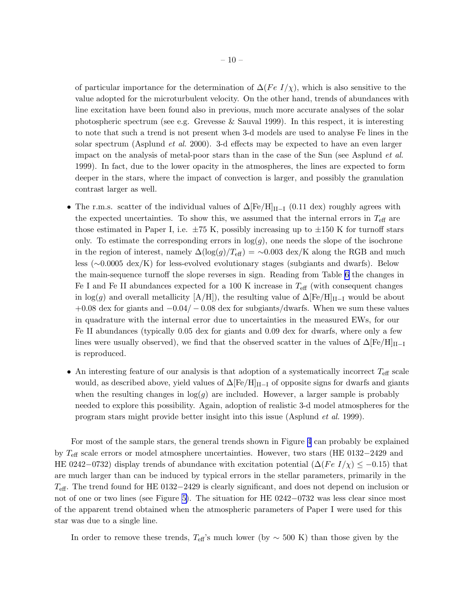of particular importance for the determination of  $\Delta(Fe~I/\chi)$ , which is also sensitive to the value adopted for the microturbulent velocity. On the other hand, trends of abundances with line excitation have been found also in previous, much more accurate analyses of the solar photospheric spectrum (see e.g. Grevesse & Sauval 1999). In this respect, it is interesting to note that such a trend is not present when 3-d models are used to analyse Fe lines in the solar spectrum (Asplund *et al.* 2000). 3-d effects may be expected to have an even larger impact on the analysis of metal-poor stars than in the case of the Sun (see Asplund *et al.* 1999). In fact, due to the lower opacity in the atmospheres, the lines are expected to form deeper in the stars, where the impact of convection is larger, and possibly the granulation contrast larger as well.

- The r.m.s. scatter of the individual values of  $\Delta$ [Fe/H]<sub>II−I</sub> (0.11 dex) roughly agrees with the expected uncertainties. To show this, we assumed that the internal errors in  $T_{\text{eff}}$  are those estimated in Paper I, i.e.  $\pm 75$  K, possibly increasing up to  $\pm 150$  K for turnoff stars only. To estimate the corresponding errors in  $log(g)$ , one needs the slope of the isochrone in the region of interest, namely  $\Delta(\log(g)/T_{\text{eff}}) = \sim 0.003 \text{ dex/K}$  along the RGB and much less (∼0.0005 dex/K) for less-evolved evolutionary stages (subgiants and dwarfs). Below the main-sequence turnoff the slope reverses in sign. Reading from Table [6](#page-36-0) the changes in Fe I and Fe II abundances expected for a 100 K increase in  $T_{\text{eff}}$  (with consequent changes in log(g) and overall metallicity  $[A/H]$ , the resulting value of  $\Delta [Fe/H]_{II-I}$  would be about  $+0.08$  dex for giants and  $-0.04/-0.08$  dex for subgiants/dwarfs. When we sum these values in quadrature with the internal error due to uncertainties in the measured EWs, for our Fe II abundances (typically 0.05 dex for giants and 0.09 dex for dwarfs, where only a few lines were usually observed), we find that the observed scatter in the values of  $\Delta [Fe/H]_{II-I}$ is reproduced.
- An interesting feature of our analysis is that adoption of a systematically incorrect  $T_{\text{eff}}$  scale would, as described above, yield values of  $\Delta$ [Fe/H]<sub>II-I</sub> of opposite signs for dwarfs and giants when the resulting changes in  $log(q)$  are included. However, a larger sample is probably needed to explore this possibility. Again, adoption of realistic 3-d model atmospheres for the program stars might provide better insight into this issue (Asplund *et al.* 1999).

For most of the sample stars, the general trends shown in Figure [4](#page-56-0) can probably be explained by Teff scale errors or model atmosphere uncertainties. However, two stars (HE 0132−2429 and HE 0242–0732) display trends of abundance with excitation potential ( $\Delta (Fe I/\chi) \leq -0.15$ ) that are much larger than can be induced by typical errors in the stellar parameters, primarily in the  $T_{\text{eff}}$ . The trend found for HE 0132−2429 is clearly significant, and does not depend on inclusion or not of one or two lines (see Figure [5\)](#page-57-0). The situation for HE 0242−0732 was less clear since most of the apparent trend obtained when the atmospheric parameters of Paper I were used for this star was due to a single line.

In order to remove these trends,  $T_{\text{eff}}$ 's much lower (by  $\sim 500 \text{ K}$ ) than those given by the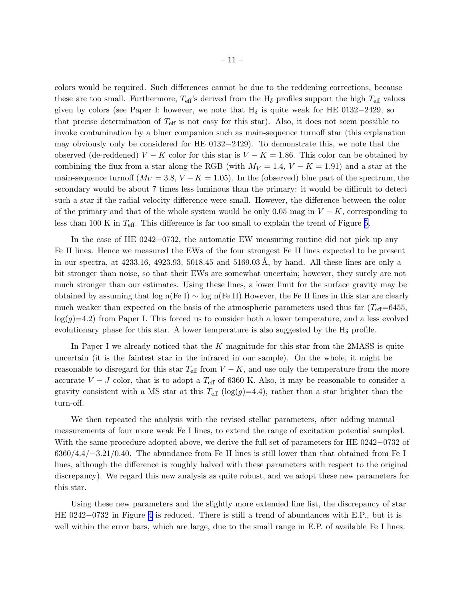colors would be required. Such differences cannot be due to the reddening corrections, because these are too small. Furthermore,  $T_{\text{eff}}$ 's derived from the  $H_{\delta}$  profiles support the high  $T_{\text{eff}}$  values given by colors (see Paper I: however, we note that  $H_{\delta}$  is quite weak for HE 0132−2429, so that precise determination of  $T_{\text{eff}}$  is not easy for this star). Also, it does not seem possible to invoke contamination by a bluer companion such as main-sequence turnoff star (this explanation may obviously only be considered for HE 0132−2429). To demonstrate this, we note that the observed (de-reddened)  $V - K$  color for this star is  $V - K = 1.86$ . This color can be obtained by combining the flux from a star along the RGB (with  $M_V = 1.4$ ,  $V - K = 1.91$ ) and a star at the main-sequence turnoff  $(M_V = 3.8, V - K = 1.05)$ . In the (observed) blue part of the spectrum, the secondary would be about 7 times less luminous than the primary: it would be difficult to detect such a star if the radial velocity difference were small. However, the difference between the color of the primary and that of the whole system would be only 0.05 mag in  $V - K$ , corresponding to less than 100 K in  $T_{\text{eff}}$ . This difference is far too small to explain the trend of Figure [5](#page-57-0).

In the case of HE 0242−0732, the automatic EW measuring routine did not pick up any Fe II lines. Hence we measured the EWs of the four strongest Fe II lines expected to be present in our spectra, at  $4233.16$ ,  $4923.93$ ,  $5018.45$  and  $5169.03$  Å, by hand. All these lines are only a bit stronger than noise, so that their EWs are somewhat uncertain; however, they surely are not much stronger than our estimates. Using these lines, a lower limit for the surface gravity may be obtained by assuming that log n(Fe I) ∼ log n(Fe II).However, the Fe II lines in this star are clearly much weaker than expected on the basis of the atmospheric parameters used thus far  $(T_{\text{eff}}=6455,$  $log(q)=4.2$ ) from Paper I. This forced us to consider both a lower temperature, and a less evolved evolutionary phase for this star. A lower temperature is also suggested by the  $H_{\delta}$  profile.

In Paper I we already noticed that the K magnitude for this star from the 2MASS is quite uncertain (it is the faintest star in the infrared in our sample). On the whole, it might be reasonable to disregard for this star  $T_{\text{eff}}$  from  $V - K$ , and use only the temperature from the more accurate  $V - J$  color, that is to adopt a  $T_{\text{eff}}$  of 6360 K. Also, it may be reasonable to consider a gravity consistent with a MS star at this  $T_{\text{eff}}$  (log(g)=4.4), rather than a star brighter than the turn-off.

We then repeated the analysis with the revised stellar parameters, after adding manual measurements of four more weak Fe I lines, to extend the range of excitation potential sampled. With the same procedure adopted above, we derive the full set of parameters for HE 0242−0732 of 6360/4.4/−3.21/0.40. The abundance from Fe II lines is still lower than that obtained from Fe I lines, although the difference is roughly halved with these parameters with respect to the original discrepancy). We regard this new analysis as quite robust, and we adopt these new parameters for this star.

Using these new parameters and the slightly more extended line list, the discrepancy of star HE 0242−0732 in Figure [4](#page-56-0) is reduced. There is still a trend of abundances with E.P., but it is well within the error bars, which are large, due to the small range in E.P. of available Fe I lines.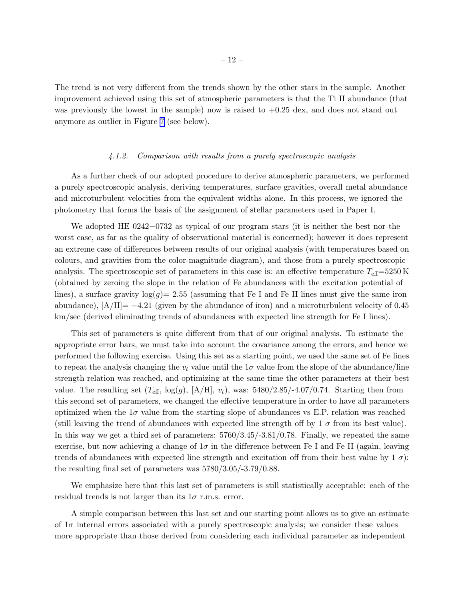The trend is not very different from the trends shown by the other stars in the sample. Another improvement achieved using this set of atmospheric parameters is that the Ti II abundance (that was previously the lowest in the sample) now is raised to  $+0.25$  dex, and does not stand out anymore as outlier in Figure [7](#page-59-0) (see below).

#### *4.1.2. Comparison with results from a purely spectroscopic analysis*

As a further check of our adopted procedure to derive atmospheric parameters, we performed a purely spectroscopic analysis, deriving temperatures, surface gravities, overall metal abundance and microturbulent velocities from the equivalent widths alone. In this process, we ignored the photometry that forms the basis of the assignment of stellar parameters used in Paper I.

We adopted HE 0242−0732 as typical of our program stars (it is neither the best nor the worst case, as far as the quality of observational material is concerned); however it does represent an extreme case of differences between results of our original analysis (with temperatures based on colours, and gravities from the color-magnitude diagram), and those from a purely spectroscopic analysis. The spectroscopic set of parameters in this case is: an effective temperature  $T_{\text{eff}}=5250 \text{ K}$ (obtained by zeroing the slope in the relation of Fe abundances with the excitation potential of lines), a surface gravity  $log(g) = 2.55$  (assuming that Fe I and Fe II lines must give the same iron abundance),  $[A/H] = -4.21$  (given by the abundance of iron) and a microturbulent velocity of 0.45 km/sec (derived eliminating trends of abundances with expected line strength for Fe I lines).

This set of parameters is quite different from that of our original analysis. To estimate the appropriate error bars, we must take into account the covariance among the errors, and hence we performed the following exercise. Using this set as a starting point, we used the same set of Fe lines to repeat the analysis changing the  $v_t$  value until the 1 $\sigma$  value from the slope of the abundance/line strength relation was reached, and optimizing at the same time the other parameters at their best value. The resulting set  $(T_{\text{eff}}$ ,  $\log(g)$ ,  $[A/H]$ ,  $v_t$ ), was: 5480/2.85/-4.07/0.74. Starting then from this second set of parameters, we changed the effective temperature in order to have all parameters optimized when the  $1\sigma$  value from the starting slope of abundances vs E.P. relation was reached (still leaving the trend of abundances with expected line strength off by  $1 \sigma$  from its best value). In this way we get a third set of parameters: 5760/3.45/-3.81/0.78. Finally, we repeated the same exercise, but now achieving a change of  $1\sigma$  in the difference between Fe I and Fe II (again, leaving trends of abundances with expected line strength and excitation off from their best value by  $1 \sigma$ : the resulting final set of parameters was 5780/3.05/-3.79/0.88.

We emphasize here that this last set of parameters is still statistically acceptable: each of the residual trends is not larger than its  $1\sigma$  r.m.s. error.

A simple comparison between this last set and our starting point allows us to give an estimate of  $1\sigma$  internal errors associated with a purely spectroscopic analysis; we consider these values more appropriate than those derived from considering each individual parameter as independent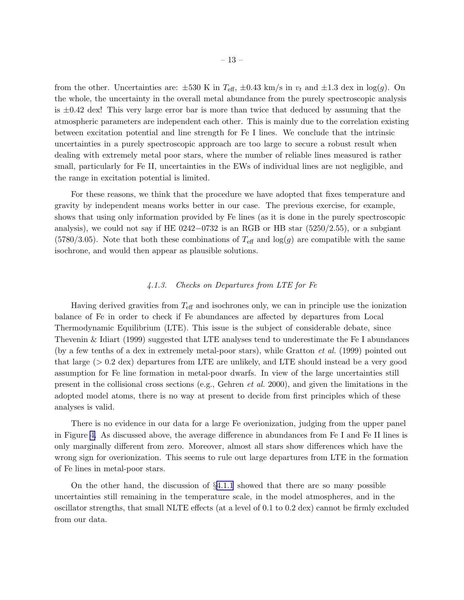from the other. Uncertainties are:  $\pm 530$  K in  $T_{\text{eff}}$ ,  $\pm 0.43$  km/s in  $v_t$  and  $\pm 1.3$  dex in log(g). On the whole, the uncertainty in the overall metal abundance from the purely spectroscopic analysis is  $\pm 0.42$  dex! This very large error bar is more than twice that deduced by assuming that the atmospheric parameters are independent each other. This is mainly due to the correlation existing between excitation potential and line strength for Fe I lines. We conclude that the intrinsic uncertainties in a purely spectroscopic approach are too large to secure a robust result when dealing with extremely metal poor stars, where the number of reliable lines measured is rather small, particularly for Fe II, uncertainties in the EWs of individual lines are not negligible, and the range in excitation potential is limited.

For these reasons, we think that the procedure we have adopted that fixes temperature and gravity by independent means works better in our case. The previous exercise, for example, shows that using only information provided by Fe lines (as it is done in the purely spectroscopic analysis), we could not say if HE  $0242-0732$  is an RGB or HB star (5250/2.55), or a subgiant  $(5780/3.05)$ . Note that both these combinations of  $T_{\text{eff}}$  and  $\log(g)$  are compatible with the same isochrone, and would then appear as plausible solutions.

## *4.1.3. Checks on Departures from LTE for Fe*

Having derived gravities from  $T_{\text{eff}}$  and isochrones only, we can in principle use the ionization balance of Fe in order to check if Fe abundances are affected by departures from Local Thermodynamic Equilibrium (LTE). This issue is the subject of considerable debate, since Thevenin & Idiart (1999) suggested that LTE analyses tend to underestimate the Fe I abundances (by a few tenths of a dex in extremely metal-poor stars), while Gratton *et al.* (1999) pointed out that large (> 0.2 dex) departures from LTE are unlikely, and LTE should instead be a very good assumption for Fe line formation in metal-poor dwarfs. In view of the large uncertainties still present in the collisional cross sections (e.g., Gehren *et al.* 2000), and given the limitations in the adopted model atoms, there is no way at present to decide from first principles which of these analyses is valid.

There is no evidence in our data for a large Fe overionization, judging from the upper panel in Figure [4.](#page-56-0) As discussed above, the average difference in abundances from Fe I and Fe II lines is only marginally different from zero. Moreover, almost all stars show differences which have the wrong sign for overionization. This seems to rule out large departures from LTE in the formation of Fe lines in metal-poor stars.

On the other hand, the discussion of §[4.1.1](#page-7-0) showed that there are so many possible uncertainties still remaining in the temperature scale, in the model atmospheres, and in the oscillator strengths, that small NLTE effects (at a level of 0.1 to 0.2 dex) cannot be firmly excluded from our data.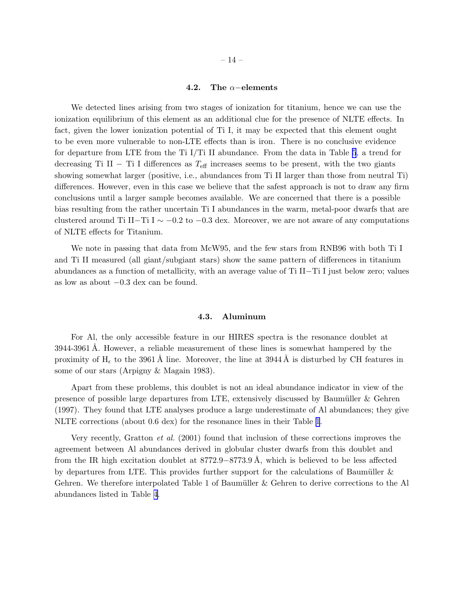## 4.2. The  $\alpha$ −elements

We detected lines arising from two stages of ionization for titanium, hence we can use the ionization equilibrium of this element as an additional clue for the presence of NLTE effects. In fact, given the lower ionization potential of Ti I, it may be expected that this element ought to be even more vulnerable to non-LTE effects than is iron. There is no conclusive evidence for departure from LTE from the Ti I/Ti II abundance. From the data in Table [5](#page-36-0), a trend for decreasing Ti II – Ti I differences as  $T_{\text{eff}}$  increases seems to be present, with the two giants showing somewhat larger (positive, i.e., abundances from Ti II larger than those from neutral Ti) differences. However, even in this case we believe that the safest approach is not to draw any firm conclusions until a larger sample becomes available. We are concerned that there is a possible bias resulting from the rather uncertain Ti I abundances in the warm, metal-poor dwarfs that are clustered around Ti II–Ti I  $\sim -0.2$  to  $-0.3$  dex. Moreover, we are not aware of any computations of NLTE effects for Titanium.

We note in passing that data from McW95, and the few stars from RNB96 with both Ti I and Ti II measured (all giant/subgiant stars) show the same pattern of differences in titanium abundances as a function of metallicity, with an average value of Ti II−Ti I just below zero; values as low as about −0.3 dex can be found.

# 4.3. Aluminum

For Al, the only accessible feature in our HIRES spectra is the resonance doublet at 3944-3961 A. However, a reliable measurement of these lines is somewhat hampered by the proximity of H<sub> $\epsilon$ </sub> to the 3961 Å line. Moreover, the line at 3944 Å is disturbed by CH features in some of our stars (Arpigny & Magain 1983).

Apart from these problems, this doublet is not an ideal abundance indicator in view of the presence of possible large departures from LTE, extensively discussed by Baumüller  $\&$  Gehren (1997). They found that LTE analyses produce a large underestimate of Al abundances; they give NLTE corrections (about 0.6 dex) for the resonance lines in their Table [1](#page-36-0).

Very recently, Gratton *et al.* (2001) found that inclusion of these corrections improves the agreement between Al abundances derived in globular cluster dwarfs from this doublet and from the IR high excitation doublet at  $8772.9 - 8773.9$  Å, which is believed to be less affected by departures from LTE. This provides further support for the calculations of Baumüller  $\&$ Gehren. We therefore interpolated Table 1 of Baumüller  $\&$  Gehren to derive corrections to the Al abundances listed in Table [4](#page-36-0).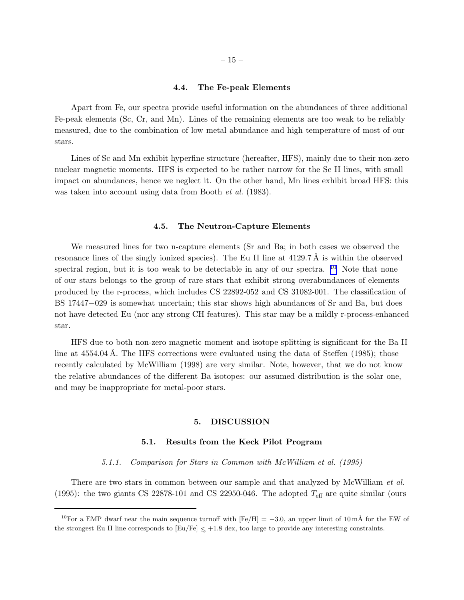#### 4.4. The Fe-peak Elements

Apart from Fe, our spectra provide useful information on the abundances of three additional Fe-peak elements (Sc, Cr, and Mn). Lines of the remaining elements are too weak to be reliably measured, due to the combination of low metal abundance and high temperature of most of our stars.

Lines of Sc and Mn exhibit hyperfine structure (hereafter, HFS), mainly due to their non-zero nuclear magnetic moments. HFS is expected to be rather narrow for the Sc II lines, with small impact on abundances, hence we neglect it. On the other hand, Mn lines exhibit broad HFS: this was taken into account using data from Booth *et al.* (1983).

#### 4.5. The Neutron-Capture Elements

We measured lines for two n-capture elements (Sr and Ba; in both cases we observed the resonance lines of the singly ionized species). The Eu II line at  $4129.7 \text{ Å}$  is within the observed spectral region, but it is too weak to be detectable in any of our spectra. <sup>10</sup> Note that none of our stars belongs to the group of rare stars that exhibit strong overabundances of elements produced by the r-process, which includes CS 22892-052 and CS 31082-001. The classification of BS 17447−029 is somewhat uncertain; this star shows high abundances of Sr and Ba, but does not have detected Eu (nor any strong CH features). This star may be a mildly r-process-enhanced star.

HFS due to both non-zero magnetic moment and isotope splitting is significant for the Ba II line at  $4554.04$  Å. The HFS corrections were evaluated using the data of Steffen (1985); those recently calculated by McWilliam (1998) are very similar. Note, however, that we do not know the relative abundances of the different Ba isotopes: our assumed distribution is the solar one, and may be inappropriate for metal-poor stars.

## 5. DISCUSSION

## 5.1. Results from the Keck Pilot Program

*5.1.1. Comparison for Stars in Common with McWilliam et al. (1995)*

There are two stars in common between our sample and that analyzed by McWilliam *et al.* (1995): the two giants CS 22878-101 and CS 22950-046. The adopted  $T_{\text{eff}}$  are quite similar (ours

<sup>&</sup>lt;sup>10</sup>For a EMP dwarf near the main sequence turnoff with  $[Fe/H] = -3.0$ , an upper limit of 10 mÅ for the EW of the strongest Eu II line corresponds to  $\text{[Eu/Fe]} \lesssim +1.8$  dex, too large to provide any interesting constraints.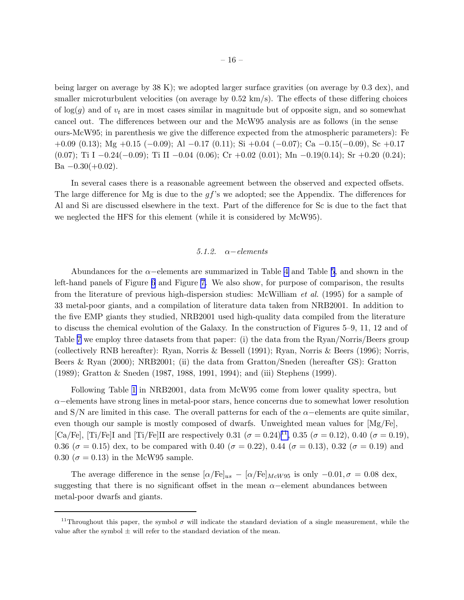being larger on average by 38 K); we adopted larger surface gravities (on average by 0.3 dex), and smaller microturbulent velocities (on average by  $0.52 \text{ km/s}$ ). The effects of these differing choices of  $log(g)$  and of  $v_t$  are in most cases similar in magnitude but of opposite sign, and so somewhat cancel out. The differences between our and the McW95 analysis are as follows (in the sense ours-McW95; in parenthesis we give the difference expected from the atmospheric parameters): Fe +0.09 (0.13); Mg +0.15 (−0.09); Al −0.17 (0.11); Si +0.04 (−0.07); Ca −0.15(−0.09), Sc +0.17 (0.07); Ti I  $-0.24(-0.09)$ ; Ti II  $-0.04$  (0.06); Cr  $+0.02$  (0.01); Mn  $-0.19(0.14)$ ; Sr  $+0.20$  (0.24); Ba  $-0.30(+0.02)$ .

In several cases there is a reasonable agreement between the observed and expected offsets. The large difference for Mg is due to the gf's we adopted; see the Appendix. The differences for Al and Si are discussed elsewhere in the text. Part of the difference for Sc is due to the fact that we neglected the HFS for this element (while it is considered by McW95).

### *5.1.2.* α−*elements*

Abundances for the  $\alpha$ –elements are summarized in Table [4](#page-36-0) and Table [5,](#page-36-0) and shown in the left-hand panels of Figure [6](#page-58-0) and Figure [7.](#page-59-0) We also show, for purpose of comparison, the results from the literature of previous high-dispersion studies: McWilliam *et al.* (1995) for a sample of 33 metal-poor giants, and a compilation of literature data taken from NRB2001. In addition to the five EMP giants they studied, NRB2001 used high-quality data compiled from the literature to discuss the chemical evolution of the Galaxy. In the construction of Figures 5–9, 11, 12 and of Table [7](#page-36-0) we employ three datasets from that paper: (i) the data from the Ryan/Norris/Beers group (collectively RNB hereafter): Ryan, Norris & Bessell (1991); Ryan, Norris & Beers (1996); Norris, Beers & Ryan (2000); NRB2001; (ii) the data from Gratton/Sneden (hereafter GS): Gratton (1989); Gratton & Sneden (1987, 1988, 1991, 1994); and (iii) Stephens (1999).

Following Table [1](#page-36-0) in NRB2001, data from McW95 come from lower quality spectra, but  $\alpha$ –elements have strong lines in metal-poor stars, hence concerns due to somewhat lower resolution and  $S/N$  are limited in this case. The overall patterns for each of the  $\alpha$ -elements are quite similar, even though our sample is mostly composed of dwarfs. Unweighted mean values for [Mg/Fe], [Ca/Fe], [Ti/Fe]I and [Ti/Fe]II are respectively 0.31 ( $\sigma = 0.24$ )<sup>11</sup>, 0.35 ( $\sigma = 0.12$ ), 0.40 ( $\sigma = 0.19$ ), 0.36 ( $\sigma = 0.15$ ) dex, to be compared with 0.40 ( $\sigma = 0.22$ ), 0.44 ( $\sigma = 0.13$ ), 0.32 ( $\sigma = 0.19$ ) and 0.30 ( $\sigma$  = 0.13) in the McW95 sample.

The average difference in the sense  $\alpha/\text{Fe}]_{us} - \alpha/\text{Fe}]_{McW95}$  is only  $-0.01, \sigma = 0.08$  dex, suggesting that there is no significant offset in the mean  $\alpha$ -element abundances between metal-poor dwarfs and giants.

<sup>&</sup>lt;sup>11</sup>Throughout this paper, the symbol  $\sigma$  will indicate the standard deviation of a single measurement, while the value after the symbol  $\pm$  will refer to the standard deviation of the mean.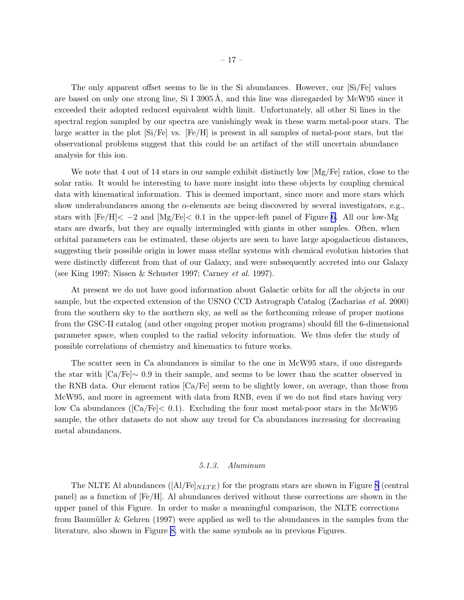The only apparent offset seems to lie in the Si abundances. However, our [Si/Fe] values are based on only one strong line, Si I  $3905 \text{\AA}$ , and this line was disregarded by McW95 since it exceeded their adopted reduced equivalent width limit. Unfortunately, all other Si lines in the spectral region sampled by our spectra are vanishingly weak in these warm metal-poor stars. The large scatter in the plot  $\text{[Si/Fe]}$  vs.  $\text{[Fe/H]}$  is present in all samples of metal-poor stars, but the observational problems suggest that this could be an artifact of the still uncertain abundance analysis for this ion.

We note that 4 out of 14 stars in our sample exhibit distinctly low  $[Mg/Fe]$  ratios, close to the solar ratio. It would be interesting to have more insight into these objects by coupling chemical data with kinematical information. This is deemed important, since more and more stars which show underabundances among the  $\alpha$ -elements are being discovered by several investigators, e.g., stars with  $[Fe/H] < -2$  and  $[Mg/Fe] < 0.1$  in the upper-left panel of Figure [6.](#page-58-0) All our low-Mg stars are dwarfs, but they are equally intermingled with giants in other samples. Often, when orbital parameters can be estimated, these objects are seen to have large apogalacticon distances, suggesting their possible origin in lower mass stellar systems with chemical evolution histories that were distinctly different from that of our Galaxy, and were subsequently accreted into our Galaxy (see King 1997; Nissen & Schuster 1997; Carney *et al.* 1997).

At present we do not have good information about Galactic orbits for all the objects in our sample, but the expected extension of the USNO CCD Astrograph Catalog (Zacharias *et al.* 2000) from the southern sky to the northern sky, as well as the forthcoming release of proper motions from the GSC-II catalog (and other ongoing proper motion programs) should fill the 6-dimensional parameter space, when coupled to the radial velocity information. We thus defer the study of possible correlations of chemistry and kinematics to future works.

The scatter seen in Ca abundances is similar to the one in McW95 stars, if one disregards the star with [Ca/Fe]∼ 0.9 in their sample, and seems to be lower than the scatter observed in the RNB data. Our element ratios [Ca/Fe] seem to be slightly lower, on average, than those from McW95, and more in agreement with data from RNB, even if we do not find stars having very low Ca abundances ( $\text{[Ca/Fe]} < 0.1$ ). Excluding the four most metal-poor stars in the McW95 sample, the other datasets do not show any trend for Ca abundances increasing for decreasing metal abundances.

#### *5.1.3. Aluminum*

The NLTE Al abundances  $(|A|/Fe|_{NLTE})$  for the program stars are shown in Figure [8](#page-60-0) (central panel) as a function of [Fe/H]. Al abundances derived without these corrections are shown in the upper panel of this Figure. In order to make a meaningful comparison, the NLTE corrections from Baumüller  $\&$  Gehren (1997) were applied as well to the abundances in the samples from the literature, also shown in Figure [8,](#page-60-0) with the same symbols as in previous Figures.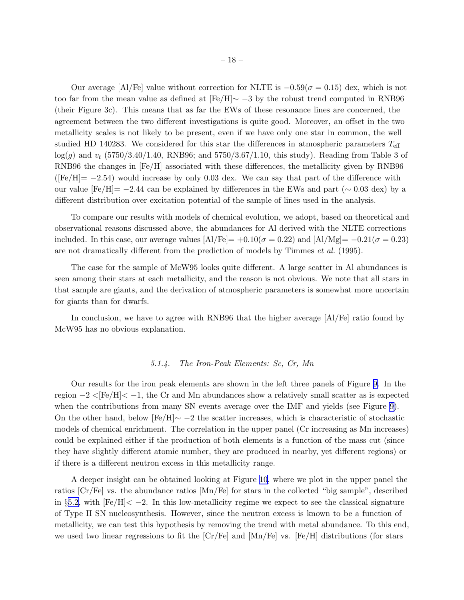Our average [Al/Fe] value without correction for NLTE is  $-0.59(\sigma = 0.15)$  dex, which is not too far from the mean value as defined at [Fe/H]∼ −3 by the robust trend computed in RNB96 (their Figure 3c). This means that as far the EWs of these resonance lines are concerned, the agreement between the two different investigations is quite good. Moreover, an offset in the two metallicity scales is not likely to be present, even if we have only one star in common, the well studied HD 140283. We considered for this star the differences in atmospheric parameters  $T_{\text{eff}}$  $log(g)$  and  $v_t$  (5750/3.40/1.40, RNB96; and 5750/3.67/1.10, this study). Reading from Table 3 of RNB96 the changes in [Fe/H] associated with these differences, the metallicity given by RNB96  $([Fe/H] = -2.54)$  would increase by only 0.03 dex. We can say that part of the difference with our value  $[Fe/H] = -2.44$  can be explained by differences in the EWs and part ( $\sim 0.03$  dex) by a different distribution over excitation potential of the sample of lines used in the analysis.

To compare our results with models of chemical evolution, we adopt, based on theoretical and observational reasons discussed above, the abundances for Al derived with the NLTE corrections included. In this case, our average values  $\text{[Al/Fe]} = +0.10(\sigma = 0.22)$  and  $\text{[Al/Mg]} = -0.21(\sigma = 0.23)$ are not dramatically different from the prediction of models by Timmes *et al.* (1995).

The case for the sample of McW95 looks quite different. A large scatter in Al abundances is seen among their stars at each metallicity, and the reason is not obvious. We note that all stars in that sample are giants, and the derivation of atmospheric parameters is somewhat more uncertain for giants than for dwarfs.

In conclusion, we have to agree with RNB96 that the higher average [Al/Fe] ratio found by McW95 has no obvious explanation.

### *5.1.4. The Iron-Peak Elements: Sc, Cr, Mn*

Our results for the iron peak elements are shown in the left three panels of Figure [9](#page-61-0). In the region  $-2 <$ [Fe/H] $< -1$ , the Cr and Mn abundances show a relatively small scatter as is expected when the contributions from many SN events average over the IMF and yields (see Figure [9\)](#page-61-0). On the other hand, below  $[Fe/H] \sim -2$  the scatter increases, which is characteristic of stochastic models of chemical enrichment. The correlation in the upper panel (Cr increasing as Mn increases) could be explained either if the production of both elements is a function of the mass cut (since they have slightly different atomic number, they are produced in nearby, yet different regions) or if there is a different neutron excess in this metallicity range.

A deeper insight can be obtained looking at Figure [10](#page-62-0), where we plot in the upper panel the ratios [Cr/Fe] vs. the abundance ratios [Mn/Fe] for stars in the collected "big sample", described in §[5.2,](#page-19-0) with  $[Fe/H] < -2$ . In this low-metallicity regime we expect to see the classical signature of Type II SN nucleosynthesis. However, since the neutron excess is known to be a function of metallicity, we can test this hypothesis by removing the trend with metal abundance. To this end, we used two linear regressions to fit the  $\left[\text{Cr/Fe}\right]$  and  $\left[\text{Mn/Fe}\right]$  vs.  $\left[\text{Fe/H}\right]$  distributions (for stars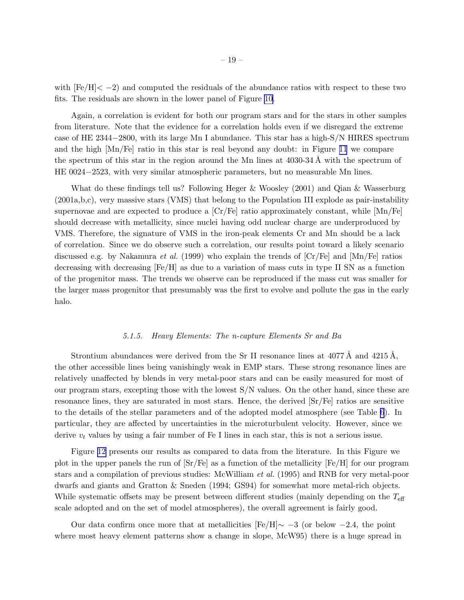with  $\text{[Fe/H]} < -2$ ) and computed the residuals of the abundance ratios with respect to these two fits. The residuals are shown in the lower panel of Figure [10.](#page-62-0)

Again, a correlation is evident for both our program stars and for the stars in other samples from literature. Note that the evidence for a correlation holds even if we disregard the extreme case of HE 2344−2800, with its large Mn I abundance. This star has a high-S/N HIRES spectrum and the high [Mn/Fe] ratio in this star is real beyond any doubt: in Figure [11](#page-63-0) we compare the spectrum of this star in the region around the Mn lines at  $4030-34 \text{ Å}$  with the spectrum of HE 0024−2523, with very similar atmospheric parameters, but no measurable Mn lines.

What do these findings tell us? Following Heger & Woosley (2001) and Qian & Wasserburg (2001a,b,c), very massive stars (VMS) that belong to the Population III explode as pair-instability supernovae and are expected to produce a  $\left[\text{Cr/Fe}\right]$  ratio approximately constant, while  $\left[\text{Mn/Fe}\right]$ should decrease with metallicity, since nuclei having odd nuclear charge are underproduced by VMS. Therefore, the signature of VMS in the iron-peak elements Cr and Mn should be a lack of correlation. Since we do observe such a correlation, our results point toward a likely scenario discussed e.g. by Nakamura *et al.* (1999) who explain the trends of [Cr/Fe] and [Mn/Fe] ratios decreasing with decreasing [Fe/H] as due to a variation of mass cuts in type II SN as a function of the progenitor mass. The trends we observe can be reproduced if the mass cut was smaller for the larger mass progenitor that presumably was the first to evolve and pollute the gas in the early halo.

### *5.1.5. Heavy Elements: The n-capture Elements Sr and Ba*

Strontium abundances were derived from the Sr II resonance lines at  $4077 \text{ Å}$  and  $4215 \text{ Å}$ , the other accessible lines being vanishingly weak in EMP stars. These strong resonance lines are relatively unaffected by blends in very metal-poor stars and can be easily measured for most of our program stars, excepting those with the lowest S/N values. On the other hand, since these are resonance lines, they are saturated in most stars. Hence, the derived [Sr/Fe] ratios are sensitive to the details of the stellar parameters and of the adopted model atmosphere (see Table [6](#page-36-0)). In particular, they are affected by uncertainties in the microturbulent velocity. However, since we derive  $v_t$  values by using a fair number of Fe I lines in each star, this is not a serious issue.

Figure [12](#page-64-0) presents our results as compared to data from the literature. In this Figure we plot in the upper panels the run of [Sr/Fe] as a function of the metallicity [Fe/H] for our program stars and a compilation of previous studies: McWilliam *et al.* (1995) and RNB for very metal-poor dwarfs and giants and Gratton & Sneden (1994; GS94) for somewhat more metal-rich objects. While systematic offsets may be present between different studies (mainly depending on the  $T_{\text{eff}}$ scale adopted and on the set of model atmospheres), the overall agreement is fairly good.

Our data confirm once more that at metallicities  $[Fe/H] \sim -3$  (or below  $-2.4$ , the point where most heavy element patterns show a change in slope, McW95) there is a huge spread in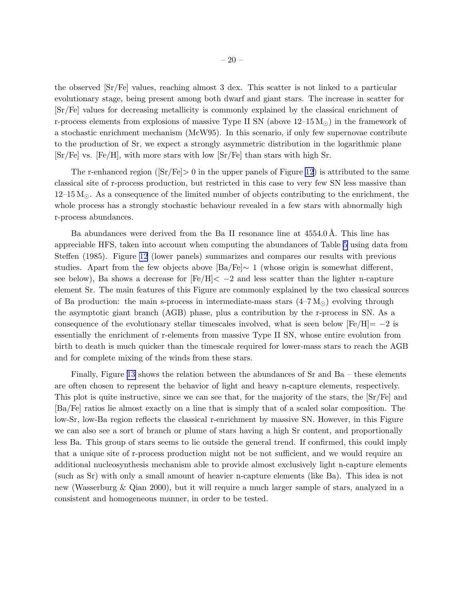<span id="page-19-0"></span>the observed [Sr/Fe] values, reaching almost 3 dex. This scatter is not linked to a particular evolutionary stage, being present among both dwarf and giant stars. The increase in scatter for [Sr/Fe] values for decreasing metallicity is commonly explained by the classical enrichment of r-process elements from explosions of massive Type II SN (above  $12-15 M_{\odot}$ ) in the framework of a stochastic enrichment mechanism (McW95). In this scenario, if only few supernovae contribute to the production of Sr, we expect a strongly asymmetric distribution in the logarithmic plane  $[\text{Sr/Fe}]$  vs.  $[\text{Fe/H}]$ , with more stars with low  $[\text{Sr/Fe}]$  than stars with high Sr.

The r-enhanced region ( $\text{Sr/Fe}\geq 0$  in the upper panels of Figure [12](#page-64-0)) is attributed to the same classical site of r-process production, but restricted in this case to very few SN less massive than  $12-15 M_{\odot}$ . As a consequence of the limited number of objects contributing to the enrichment, the whole process has a strongly stochastic behaviour revealed in a few stars with abnormally high r-process abundances.

Ba abundances were derived from the Ba II resonance line at 4554.0 Å. This line has appreciable HFS, taken into account when computing the abundances of Table [5](#page-36-0) using data from Steffen (1985). Figure [12](#page-64-0) (lower panels) summarizes and compares our results with previous studies. Apart from the few objects above  $\text{[Ba/Fe]} \sim 1$  (whose origin is somewhat different, see below), Ba shows a decrease for  $[Fe/H] < -2$  and less scatter than the lighter n-capture element Sr. The main features of this Figure are commonly explained by the two classical sources of Ba production: the main s-process in intermediate-mass stars  $(4-\overline{7}M_{\odot})$  evolving through the asymptotic giant branch (AGB) phase, plus a contribution by the r-process in SN. As a consequence of the evolutionary stellar timescales involved, what is seen below  $[Fe/H] = -2$  is essentially the enrichment of r-elements from massive Type II SN, whose entire evolution from birth to death is much quicker than the timescale required for lower-mass stars to reach the AGB and for complete mixing of the winds from these stars.

Finally, Figure [13](#page-65-0) shows the relation between the abundances of Sr and Ba – these elements are often chosen to represent the behavior of light and heavy n-capture elements, respectively. This plot is quite instructive, since we can see that, for the majority of the stars, the [Sr/Fe] and [Ba/Fe] ratios lie almost exactly on a line that is simply that of a scaled solar composition. The low-Sr, low-Ba region reflects the classical r-enrichment by massive SN. However, in this Figure we can also see a sort of branch or plume of stars having a high Sr content, and proportionally less Ba. This group of stars seems to lie outside the general trend. If confirmed, this could imply that a unique site of r-process production might not be not sufficient, and we would require an additional nucleosynthesis mechanism able to provide almost exclusively light n-capture elements (such as Sr) with only a small amount of heavier n-capture elements (like Ba). This idea is not new (Wasserburg & Qian 2000), but it will require a much larger sample of stars, analyzed in a consistent and homogeneous manner, in order to be tested.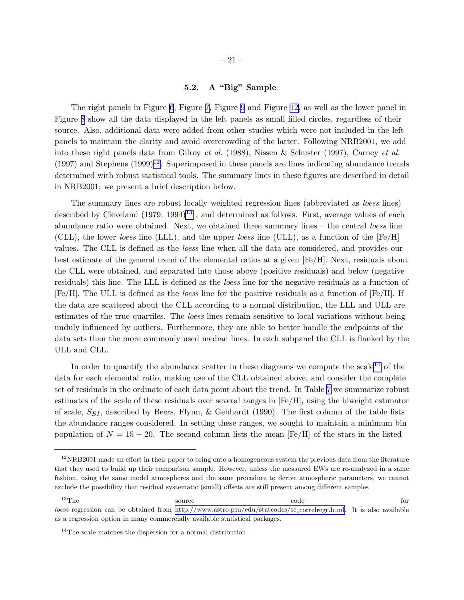# 5.2. A "Big" Sample

The right panels in Figure [6](#page-58-0), Figure [7](#page-59-0), Figure [9](#page-61-0) and Figure [12,](#page-64-0) as well as the lower panel in Figure [8](#page-60-0) show all the data displayed in the left panels as small filled circles, regardless of their source. Also, additional data were added from other studies which were not included in the left panels to maintain the clarity and avoid overcrowding of the latter. Following NRB2001, we add into these right panels data from Gilroy *et al.* (1988), Nissen & Schuster (1997), Carney *et al.*  $(1997)$  and Stephens  $(1999)^{12}$ . Superimposed in these panels are lines indicating abundance trends determined with robust statistical tools. The summary lines in these figures are described in detail in NRB2001; we present a brief description below.

The summary lines are robust locally weighted regression lines (abbreviated as *loess* lines) described by Cleveland  $(1979, 1994)^{13}$ , and determined as follows. First, average values of each abundance ratio were obtained. Next, we obtained three summary lines – the central *loess* line (CLL), the lower *loess* line (LLL), and the upper *loess* line (ULL), as a function of the [Fe/H] values. The CLL is defined as the *loess* line when all the data are considered, and provides our best estimate of the general trend of the elemental ratios at a given [Fe/H]. Next, residuals about the CLL were obtained, and separated into those above (positive residuals) and below (negative residuals) this line. The LLL is defined as the *loess* line for the negative residuals as a function of [Fe/H]. The ULL is defined as the *loess* line for the positive residuals as a function of [Fe/H]. If the data are scattered about the CLL according to a normal distribution, the LLL and ULL are estimates of the true quartiles. The *loess* lines remain sensitive to local variations without being unduly influenced by outliers. Furthermore, they are able to better handle the endpoints of the data sets than the more commonly used median lines. In each subpanel the CLL is flanked by the ULL and CLL.

In order to quantify the abundance scatter in these diagrams we compute the scale<sup>14</sup> of the data for each elemental ratio, making use of the CLL obtained above, and consider the complete set of residuals in the ordinate of each data point about the trend. In Table [7](#page-36-0) we summarize robust estimates of the scale of these residuals over several ranges in [Fe/H], using the biweight estimator of scale,  $S_{BI}$ , described by Beers, Flynn, & Gebhardt (1990). The first column of the table lists the abundance ranges considered. In setting these ranges, we sought to maintain a minimum bin population of  $N = 15 - 20$ . The second column lists the mean [Fe/H] of the stars in the listed

 $12$ NRB2001 made an effort in their paper to bring onto a homogeneous system the previous data from the literature that they used to build up their comparison sample. However, unless the measured EWs are re-analyzed in a same fashion, using the same model atmospheres and the same procedure to derive atmospheric parameters, we cannot exclude the possibility that residual systematic (small) offsets are still present among different samples

 $13$ The source source code for loess regression can be obtained from [http://www.astro.psu/edu/statcodes/sc](http://www.astro.psu/edu/statcodes/sc_correlregr.html) correlregr.html. It is also available as a regression option in many commercially available statistical packages.

 $14$ The scale matches the dispersion for a normal distribution.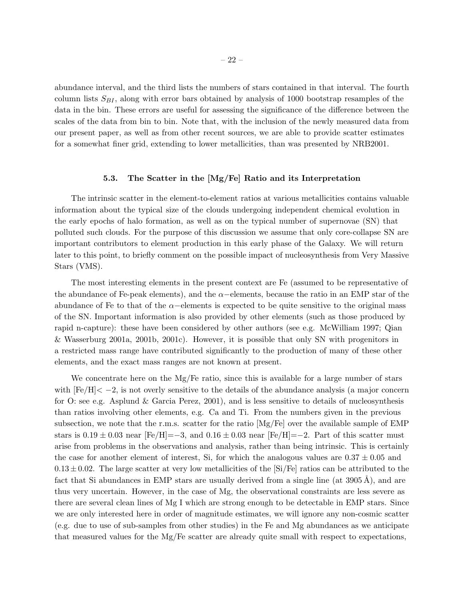abundance interval, and the third lists the numbers of stars contained in that interval. The fourth column lists  $S_{BI}$ , along with error bars obtained by analysis of 1000 bootstrap resamples of the data in the bin. These errors are useful for assessing the significance of the difference between the scales of the data from bin to bin. Note that, with the inclusion of the newly measured data from our present paper, as well as from other recent sources, we are able to provide scatter estimates for a somewhat finer grid, extending to lower metallicities, than was presented by NRB2001.

# 5.3. The Scatter in the [Mg/Fe] Ratio and its Interpretation

The intrinsic scatter in the element-to-element ratios at various metallicities contains valuable information about the typical size of the clouds undergoing independent chemical evolution in the early epochs of halo formation, as well as on the typical number of supernovae (SN) that polluted such clouds. For the purpose of this discussion we assume that only core-collapse SN are important contributors to element production in this early phase of the Galaxy. We will return later to this point, to briefly comment on the possible impact of nucleosynthesis from Very Massive Stars (VMS).

The most interesting elements in the present context are Fe (assumed to be representative of the abundance of Fe-peak elements), and the  $\alpha$ -elements, because the ratio in an EMP star of the abundance of Fe to that of the  $\alpha$ −elements is expected to be quite sensitive to the original mass of the SN. Important information is also provided by other elements (such as those produced by rapid n-capture): these have been considered by other authors (see e.g. McWilliam 1997; Qian & Wasserburg 2001a, 2001b, 2001c). However, it is possible that only SN with progenitors in a restricted mass range have contributed significantly to the production of many of these other elements, and the exact mass ranges are not known at present.

We concentrate here on the Mg/Fe ratio, since this is available for a large number of stars with  $[Fe/H] < -2$ , is not overly sensitive to the details of the abundance analysis (a major concern for O: see e.g. Asplund & Garcia Perez, 2001), and is less sensitive to details of nucleosynthesis than ratios involving other elements, e.g. Ca and Ti. From the numbers given in the previous subsection, we note that the r.m.s. scatter for the ratio [Mg/Fe] over the available sample of EMP stars is  $0.19 \pm 0.03$  near  $[Fe/H] = -3$ , and  $0.16 \pm 0.03$  near  $[Fe/H] = -2$ . Part of this scatter must arise from problems in the observations and analysis, rather than being intrinsic. This is certainly the case for another element of interest, Si, for which the analogous values are  $0.37 \pm 0.05$  and  $0.13\pm0.02$ . The large scatter at very low metallicities of the  $\vert Si/Fe\vert$  ratios can be attributed to the fact that Si abundances in EMP stars are usually derived from a single line (at  $3905 \text{ Å}$ ), and are thus very uncertain. However, in the case of Mg, the observational constraints are less severe as there are several clean lines of Mg I which are strong enough to be detectable in EMP stars. Since we are only interested here in order of magnitude estimates, we will ignore any non-cosmic scatter (e.g. due to use of sub-samples from other studies) in the Fe and Mg abundances as we anticipate that measured values for the Mg/Fe scatter are already quite small with respect to expectations,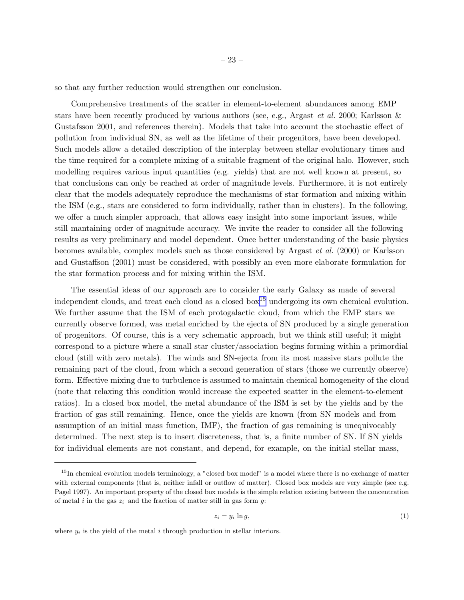so that any further reduction would strengthen our conclusion.

Comprehensive treatments of the scatter in element-to-element abundances among EMP stars have been recently produced by various authors (see, e.g., Argast *et al.* 2000; Karlsson & Gustafsson 2001, and references therein). Models that take into account the stochastic effect of pollution from individual SN, as well as the lifetime of their progenitors, have been developed. Such models allow a detailed description of the interplay between stellar evolutionary times and the time required for a complete mixing of a suitable fragment of the original halo. However, such modelling requires various input quantities (e.g. yields) that are not well known at present, so that conclusions can only be reached at order of magnitude levels. Furthermore, it is not entirely clear that the models adequately reproduce the mechanisms of star formation and mixing within the ISM (e.g., stars are considered to form individually, rather than in clusters). In the following, we offer a much simpler approach, that allows easy insight into some important issues, while still mantaining order of magnitude accuracy. We invite the reader to consider all the following results as very preliminary and model dependent. Once better understanding of the basic physics becomes available, complex models such as those considered by Argast *et al.* (2000) or Karlsson and Gustaffson (2001) must be considered, with possibly an even more elaborate formulation for the star formation process and for mixing within the ISM.

The essential ideas of our approach are to consider the early Galaxy as made of several independent clouds, and treat each cloud as a closed box<sup>15</sup> undergoing its own chemical evolution. We further assume that the ISM of each protogalactic cloud, from which the EMP stars we currently observe formed, was metal enriched by the ejecta of SN produced by a single generation of progenitors. Of course, this is a very schematic approach, but we think still useful; it might correspond to a picture where a small star cluster/association begins forming within a primordial cloud (still with zero metals). The winds and SN-ejecta from its most massive stars pollute the remaining part of the cloud, from which a second generation of stars (those we currently observe) form. Effective mixing due to turbulence is assumed to maintain chemical homogeneity of the cloud (note that relaxing this condition would increase the expected scatter in the element-to-element ratios). In a closed box model, the metal abundance of the ISM is set by the yields and by the fraction of gas still remaining. Hence, once the yields are known (from SN models and from assumption of an initial mass function, IMF), the fraction of gas remaining is unequivocably determined. The next step is to insert discreteness, that is, a finite number of SN. If SN yields for individual elements are not constant, and depend, for example, on the initial stellar mass,

$$
z_i = y_i \ln g,\tag{1}
$$

where  $y_i$  is the yield of the metal i through production in stellar interiors.

 $15$ In chemical evolution models terminology, a "closed box model" is a model where there is no exchange of matter with external components (that is, neither infall or outflow of matter). Closed box models are very simple (see e.g. Pagel 1997). An important property of the closed box models is the simple relation existing between the concentration of metal i in the gas  $z_i$  and the fraction of matter still in gas form g: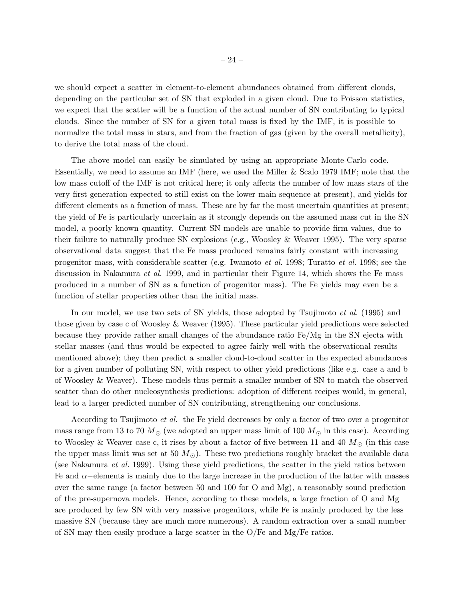we should expect a scatter in element-to-element abundances obtained from different clouds, depending on the particular set of SN that exploded in a given cloud. Due to Poisson statistics, we expect that the scatter will be a function of the actual number of SN contributing to typical clouds. Since the number of SN for a given total mass is fixed by the IMF, it is possible to normalize the total mass in stars, and from the fraction of gas (given by the overall metallicity), to derive the total mass of the cloud.

The above model can easily be simulated by using an appropriate Monte-Carlo code. Essentially, we need to assume an IMF (here, we used the Miller & Scalo 1979 IMF; note that the low mass cutoff of the IMF is not critical here; it only affects the number of low mass stars of the very first generation expected to still exist on the lower main sequence at present), and yields for different elements as a function of mass. These are by far the most uncertain quantities at present; the yield of Fe is particularly uncertain as it strongly depends on the assumed mass cut in the SN model, a poorly known quantity. Current SN models are unable to provide firm values, due to their failure to naturally produce SN explosions (e.g., Woosley & Weaver 1995). The very sparse observational data suggest that the Fe mass produced remains fairly constant with increasing progenitor mass, with considerable scatter (e.g. Iwamoto *et al.* 1998; Turatto *et al.* 1998; see the discussion in Nakamura *et al.* 1999, and in particular their Figure 14, which shows the Fe mass produced in a number of SN as a function of progenitor mass). The Fe yields may even be a function of stellar properties other than the initial mass.

In our model, we use two sets of SN yields, those adopted by Tsujimoto *et al.* (1995) and those given by case c of Woosley & Weaver (1995). These particular yield predictions were selected because they provide rather small changes of the abundance ratio Fe/Mg in the SN ejecta with stellar masses (and thus would be expected to agree fairly well with the observational results mentioned above); they then predict a smaller cloud-to-cloud scatter in the expected abundances for a given number of polluting SN, with respect to other yield predictions (like e.g. case a and b of Woosley & Weaver). These models thus permit a smaller number of SN to match the observed scatter than do other nucleosynthesis predictions: adoption of different recipes would, in general, lead to a larger predicted number of SN contributing, strengthening our conclusions.

According to Tsujimoto *et al.* the Fe yield decreases by only a factor of two over a progenitor mass range from 13 to 70  $M_{\odot}$  (we adopted an upper mass limit of 100  $M_{\odot}$  in this case). According to Woosley & Weaver case c, it rises by about a factor of five between 11 and 40  $M_{\odot}$  (in this case the upper mass limit was set at 50  $M_{\odot}$ ). These two predictions roughly bracket the available data (see Nakamura *et al.* 1999). Using these yield predictions, the scatter in the yield ratios between Fe and  $\alpha$ –elements is mainly due to the large increase in the production of the latter with masses over the same range (a factor between 50 and 100 for O and Mg), a reasonably sound prediction of the pre-supernova models. Hence, according to these models, a large fraction of O and Mg are produced by few SN with very massive progenitors, while Fe is mainly produced by the less massive SN (because they are much more numerous). A random extraction over a small number of SN may then easily produce a large scatter in the O/Fe and Mg/Fe ratios.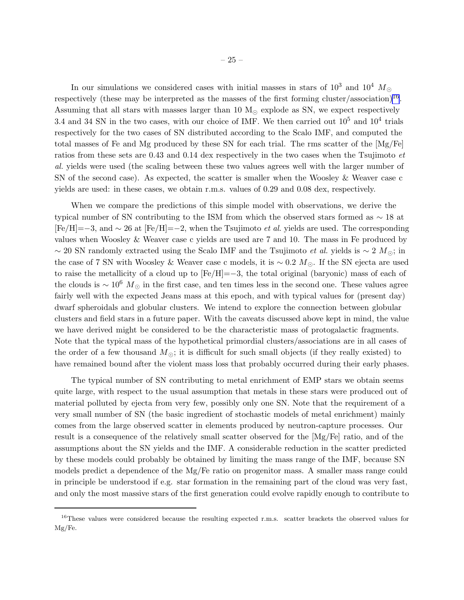In our simulations we considered cases with initial masses in stars of  $10^3$  and  $10^4$  M<sub>☉</sub> respectively (these may be interpreted as the masses of the first forming cluster/association)<sup>16</sup>. Assuming that all stars with masses larger than 10  $M_{\odot}$  explode as SN, we expect respectively 3.4 and 34 SN in the two cases, with our choice of IMF. We then carried out  $10^5$  and  $10^4$  trials respectively for the two cases of SN distributed according to the Scalo IMF, and computed the total masses of Fe and Mg produced by these SN for each trial. The rms scatter of the [Mg/Fe] ratios from these sets are 0.43 and 0.14 dex respectively in the two cases when the Tsujimoto *et al.* yields were used (the scaling between these two values agrees well with the larger number of SN of the second case). As expected, the scatter is smaller when the Woosley & Weaver case c yields are used: in these cases, we obtain r.m.s. values of 0.29 and 0.08 dex, respectively.

When we compare the predictions of this simple model with observations, we derive the typical number of SN contributing to the ISM from which the observed stars formed as ∼ 18 at [Fe/H]=−3, and ∼ 26 at [Fe/H]=−2, when the Tsujimoto *et al.* yields are used. The corresponding values when Woosley & Weaver case c yields are used are 7 and 10. The mass in Fe produced by ∼ 20 SN randomly extracted using the Scalo IMF and the Tsujimoto *et al.* yields is ∼ 2 M⊙; in the case of 7 SN with Woosley & Weaver case c models, it is ~ 0.2  $M_{\odot}$ . If the SN ejecta are used to raise the metallicity of a cloud up to [Fe/H]=−3, the total original (baryonic) mass of each of the clouds is  $\sim 10^6$  M<sub>☉</sub> in the first case, and ten times less in the second one. These values agree fairly well with the expected Jeans mass at this epoch, and with typical values for (present day) dwarf spheroidals and globular clusters. We intend to explore the connection between globular clusters and field stars in a future paper. With the caveats discussed above kept in mind, the value we have derived might be considered to be the characteristic mass of protogalactic fragments. Note that the typical mass of the hypothetical primordial clusters/associations are in all cases of the order of a few thousand  $M_{\odot}$ ; it is difficult for such small objects (if they really existed) to have remained bound after the violent mass loss that probably occurred during their early phases.

The typical number of SN contributing to metal enrichment of EMP stars we obtain seems quite large, with respect to the usual assumption that metals in these stars were produced out of material polluted by ejecta from very few, possibly only one SN. Note that the requirement of a very small number of SN (the basic ingredient of stochastic models of metal enrichment) mainly comes from the large observed scatter in elements produced by neutron-capture processes. Our result is a consequence of the relatively small scatter observed for the [Mg/Fe] ratio, and of the assumptions about the SN yields and the IMF. A considerable reduction in the scatter predicted by these models could probably be obtained by limiting the mass range of the IMF, because SN models predict a dependence of the Mg/Fe ratio on progenitor mass. A smaller mass range could in principle be understood if e.g. star formation in the remaining part of the cloud was very fast, and only the most massive stars of the first generation could evolve rapidly enough to contribute to

<sup>&</sup>lt;sup>16</sup>These values were considered because the resulting expected r.m.s. scatter brackets the observed values for Mg/Fe.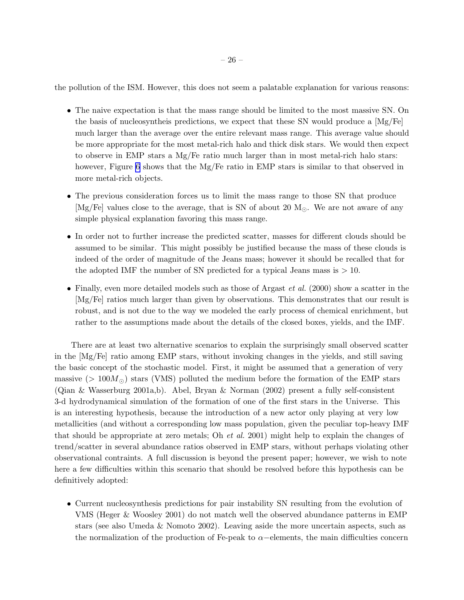the pollution of the ISM. However, this does not seem a palatable explanation for various reasons:

- The naive expectation is that the mass range should be limited to the most massive SN. On the basis of nucleosyntheis predictions, we expect that these SN would produce a  $Mg/Fe$ much larger than the average over the entire relevant mass range. This average value should be more appropriate for the most metal-rich halo and thick disk stars. We would then expect to observe in EMP stars a Mg/Fe ratio much larger than in most metal-rich halo stars: however, Figure [6](#page-58-0) shows that the Mg/Fe ratio in EMP stars is similar to that observed in more metal-rich objects.
- The previous consideration forces us to limit the mass range to those SN that produce [Mg/Fe] values close to the average, that is SN of about 20  $M_{\odot}$ . We are not aware of any simple physical explanation favoring this mass range.
- In order not to further increase the predicted scatter, masses for different clouds should be assumed to be similar. This might possibly be justified because the mass of these clouds is indeed of the order of magnitude of the Jeans mass; however it should be recalled that for the adopted IMF the number of SN predicted for a typical Jeans mass is  $> 10$ .
- Finally, even more detailed models such as those of Argast *et al.* (2000) show a scatter in the [Mg/Fe] ratios much larger than given by observations. This demonstrates that our result is robust, and is not due to the way we modeled the early process of chemical enrichment, but rather to the assumptions made about the details of the closed boxes, yields, and the IMF.

There are at least two alternative scenarios to explain the surprisingly small observed scatter in the [Mg/Fe] ratio among EMP stars, without invoking changes in the yields, and still saving the basic concept of the stochastic model. First, it might be assumed that a generation of very massive (>  $100M_{\odot}$ ) stars (VMS) polluted the medium before the formation of the EMP stars (Qian & Wasserburg 2001a,b). Abel, Bryan & Norman (2002) present a fully self-consistent 3-d hydrodynamical simulation of the formation of one of the first stars in the Universe. This is an interesting hypothesis, because the introduction of a new actor only playing at very low metallicities (and without a corresponding low mass population, given the peculiar top-heavy IMF that should be appropriate at zero metals; Oh *et al.* 2001) might help to explain the changes of trend/scatter in several abundance ratios observed in EMP stars, without perhaps violating other observational contraints. A full discussion is beyond the present paper; however, we wish to note here a few difficulties within this scenario that should be resolved before this hypothesis can be definitively adopted:

• Current nucleosynthesis predictions for pair instability SN resulting from the evolution of VMS (Heger & Woosley 2001) do not match well the observed abundance patterns in EMP stars (see also Umeda & Nomoto 2002). Leaving aside the more uncertain aspects, such as the normalization of the production of Fe-peak to  $\alpha$ –elements, the main difficulties concern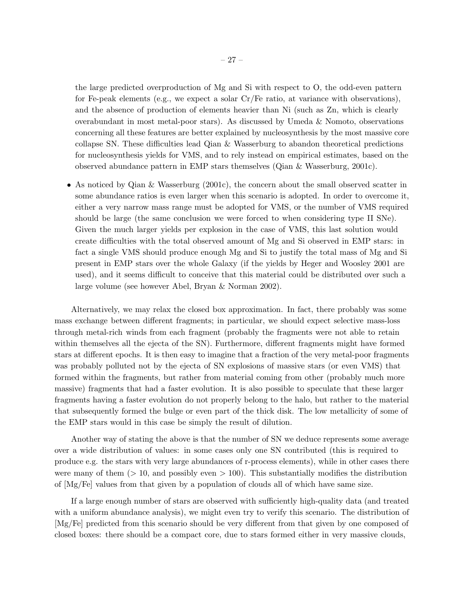the large predicted overproduction of Mg and Si with respect to O, the odd-even pattern for Fe-peak elements (e.g., we expect a solar Cr/Fe ratio, at variance with observations), and the absence of production of elements heavier than Ni (such as Zn, which is clearly overabundant in most metal-poor stars). As discussed by Umeda & Nomoto, observations concerning all these features are better explained by nucleosynthesis by the most massive core collapse SN. These difficulties lead Qian & Wasserburg to abandon theoretical predictions for nucleosynthesis yields for VMS, and to rely instead on empirical estimates, based on the observed abundance pattern in EMP stars themselves (Qian & Wasserburg, 2001c).

• As noticed by Qian & Wasserburg (2001c), the concern about the small observed scatter in some abundance ratios is even larger when this scenario is adopted. In order to overcome it, either a very narrow mass range must be adopted for VMS, or the number of VMS required should be large (the same conclusion we were forced to when considering type II SNe). Given the much larger yields per explosion in the case of VMS, this last solution would create difficulties with the total observed amount of Mg and Si observed in EMP stars: in fact a single VMS should produce enough Mg and Si to justify the total mass of Mg and Si present in EMP stars over the whole Galaxy (if the yields by Heger and Woosley 2001 are used), and it seems difficult to conceive that this material could be distributed over such a large volume (see however Abel, Bryan & Norman 2002).

Alternatively, we may relax the closed box approximation. In fact, there probably was some mass exchange between different fragments; in particular, we should expect selective mass-loss through metal-rich winds from each fragment (probably the fragments were not able to retain within themselves all the ejecta of the SN). Furthermore, different fragments might have formed stars at different epochs. It is then easy to imagine that a fraction of the very metal-poor fragments was probably polluted not by the ejecta of SN explosions of massive stars (or even VMS) that formed within the fragments, but rather from material coming from other (probably much more massive) fragments that had a faster evolution. It is also possible to speculate that these larger fragments having a faster evolution do not properly belong to the halo, but rather to the material that subsequently formed the bulge or even part of the thick disk. The low metallicity of some of the EMP stars would in this case be simply the result of dilution.

Another way of stating the above is that the number of SN we deduce represents some average over a wide distribution of values: in some cases only one SN contributed (this is required to produce e.g. the stars with very large abundances of r-process elements), while in other cases there were many of them  $(> 10$ , and possibly even  $> 100$ ). This substantially modifies the distribution of [Mg/Fe] values from that given by a population of clouds all of which have same size.

If a large enough number of stars are observed with sufficiently high-quality data (and treated with a uniform abundance analysis), we might even try to verify this scenario. The distribution of [Mg/Fe] predicted from this scenario should be very different from that given by one composed of closed boxes: there should be a compact core, due to stars formed either in very massive clouds,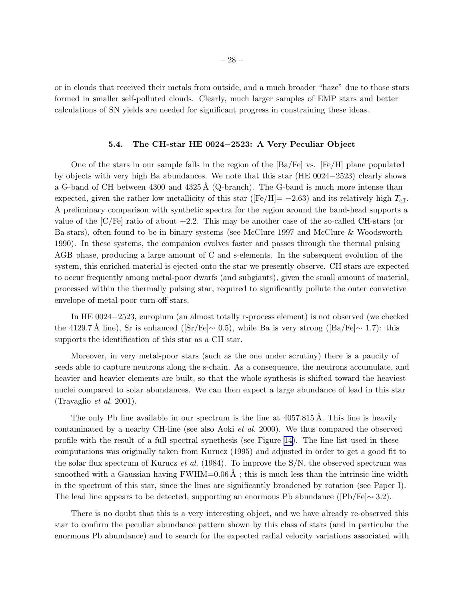or in clouds that received their metals from outside, and a much broader "haze" due to those stars formed in smaller self-polluted clouds. Clearly, much larger samples of EMP stars and better calculations of SN yields are needed for significant progress in constraining these ideas.

#### 5.4. The CH-star HE 0024−2523: A Very Peculiar Object

One of the stars in our sample falls in the region of the  $[\text{Ba}/\text{Fe}]$  vs.  $[\text{Fe}/\text{H}]$  plane populated by objects with very high Ba abundances. We note that this star (HE 0024−2523) clearly shows a G-band of CH between  $4300$  and  $4325 \text{\AA}$  (Q-branch). The G-band is much more intense than expected, given the rather low metallicity of this star ( $[Fe/H] = -2.63$ ) and its relatively high  $T_{\text{eff}}$ . A preliminary comparison with synthetic spectra for the region around the band-head supports a value of the  $\langle C/Fe \rangle$  ratio of about  $+2.2$ . This may be another case of the so-called CH-stars (or Ba-stars), often found to be in binary systems (see McClure 1997 and McClure & Woodsworth 1990). In these systems, the companion evolves faster and passes through the thermal pulsing AGB phase, producing a large amount of C and s-elements. In the subsequent evolution of the system, this enriched material is ejected onto the star we presently observe. CH stars are expected to occur frequently among metal-poor dwarfs (and subgiants), given the small amount of material, processed within the thermally pulsing star, required to significantly pollute the outer convective envelope of metal-poor turn-off stars.

In HE 0024−2523, europium (an almost totally r-process element) is not observed (we checked the 4129.7 Å line), Sr is enhanced ([Sr/Fe]∼ 0.5), while Ba is very strong ([Ba/Fe]∼ 1.7): this supports the identification of this star as a CH star.

Moreover, in very metal-poor stars (such as the one under scrutiny) there is a paucity of seeds able to capture neutrons along the s-chain. As a consequence, the neutrons accumulate, and heavier and heavier elements are built, so that the whole synthesis is shifted toward the heaviest nuclei compared to solar abundances. We can then expect a large abundance of lead in this star (Travaglio *et al.* 2001).

The only Pb line available in our spectrum is the line at  $4057.815 \text{ Å}$ . This line is heavily contaminated by a nearby CH-line (see also Aoki *et al.* 2000). We thus compared the observed profile with the result of a full spectral synethesis (see Figure [14\)](#page-66-0). The line list used in these computations was originally taken from Kurucz (1995) and adjusted in order to get a good fit to the solar flux spectrum of Kurucz *et al.* (1984). To improve the S/N, the observed spectrum was smoothed with a Gaussian having  $FWHM=0.06 \text{ Å}$ ; this is much less than the intrinsic line width in the spectrum of this star, since the lines are significantly broadened by rotation (see Paper I). The lead line appears to be detected, supporting an enormous Pb abundance ( $[Pb/Fe] \sim 3.2$ ).

There is no doubt that this is a very interesting object, and we have already re-observed this star to confirm the peculiar abundance pattern shown by this class of stars (and in particular the enormous Pb abundance) and to search for the expected radial velocity variations associated with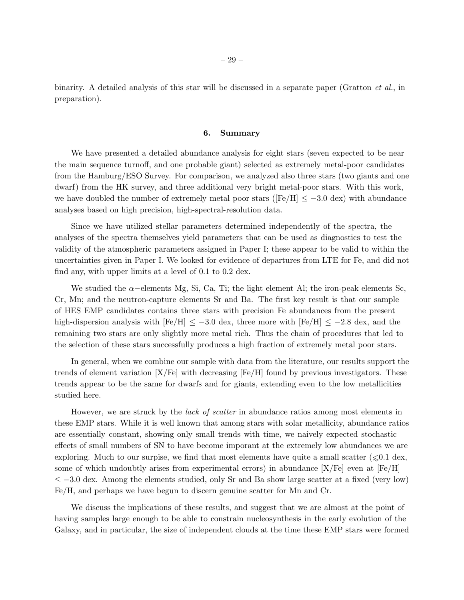binarity. A detailed analysis of this star will be discussed in a separate paper (Gratton *et al.*, in preparation).

#### 6. Summary

We have presented a detailed abundance analysis for eight stars (seven expected to be near the main sequence turnoff, and one probable giant) selected as extremely metal-poor candidates from the Hamburg/ESO Survey. For comparison, we analyzed also three stars (two giants and one dwarf) from the HK survey, and three additional very bright metal-poor stars. With this work, we have doubled the number of extremely metal poor stars ( $[Fe/H] \le -3.0$  dex) with abundance analyses based on high precision, high-spectral-resolution data.

Since we have utilized stellar parameters determined independently of the spectra, the analyses of the spectra themselves yield parameters that can be used as diagnostics to test the validity of the atmospheric parameters assigned in Paper I; these appear to be valid to within the uncertainties given in Paper I. We looked for evidence of departures from LTE for Fe, and did not find any, with upper limits at a level of 0.1 to 0.2 dex.

We studied the  $\alpha$ –elements Mg, Si, Ca, Ti; the light element Al; the iron-peak elements Sc, Cr, Mn; and the neutron-capture elements Sr and Ba. The first key result is that our sample of HES EMP candidates contains three stars with precision Fe abundances from the present high-dispersion analysis with  $[Fe/H] \le -3.0$  dex, three more with  $[Fe/H] \le -2.8$  dex, and the remaining two stars are only slightly more metal rich. Thus the chain of procedures that led to the selection of these stars successfully produces a high fraction of extremely metal poor stars.

In general, when we combine our sample with data from the literature, our results support the trends of element variation  $[X/Fe]$  with decreasing  $[Fe/H]$  found by previous investigators. These trends appear to be the same for dwarfs and for giants, extending even to the low metallicities studied here.

However, we are struck by the *lack of scatter* in abundance ratios among most elements in these EMP stars. While it is well known that among stars with solar metallicity, abundance ratios are essentially constant, showing only small trends with time, we naively expected stochastic effects of small numbers of SN to have become imporant at the extremely low abundances we are exploring. Much to our surpise, we find that most elements have quite a small scatter ( $\leq 0.1$  dex, some of which undoubtly arises from experimental errors) in abundance  $[X/Fe]$  even at  $[Fe/H]$  $\leq$  -3.0 dex. Among the elements studied, only Sr and Ba show large scatter at a fixed (very low) Fe/H, and perhaps we have begun to discern genuine scatter for Mn and Cr.

We discuss the implications of these results, and suggest that we are almost at the point of having samples large enough to be able to constrain nucleosynthesis in the early evolution of the Galaxy, and in particular, the size of independent clouds at the time these EMP stars were formed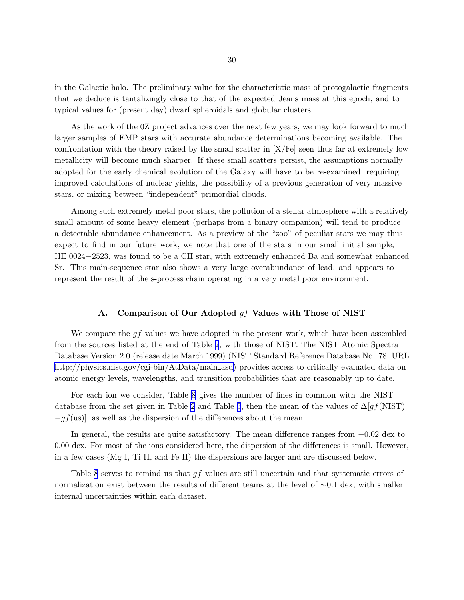in the Galactic halo. The preliminary value for the characteristic mass of protogalactic fragments that we deduce is tantalizingly close to that of the expected Jeans mass at this epoch, and to typical values for (present day) dwarf spheroidals and globular clusters.

As the work of the 0Z project advances over the next few years, we may look forward to much larger samples of EMP stars with accurate abundance determinations becoming available. The confrontation with the theory raised by the small scatter in [X/Fe] seen thus far at extremely low metallicity will become much sharper. If these small scatters persist, the assumptions normally adopted for the early chemical evolution of the Galaxy will have to be re-examined, requiring improved calculations of nuclear yields, the possibility of a previous generation of very massive stars, or mixing between "independent" primordial clouds.

Among such extremely metal poor stars, the pollution of a stellar atmosphere with a relatively small amount of some heavy element (perhaps from a binary companion) will tend to produce a detectable abundance enhancement. As a preview of the "zoo" of peculiar stars we may thus expect to find in our future work, we note that one of the stars in our small initial sample, HE 0024−2523, was found to be a CH star, with extremely enhanced Ba and somewhat enhanced Sr. This main-sequence star also shows a very large overabundance of lead, and appears to represent the result of the s-process chain operating in a very metal poor environment.

#### A. Comparison of Our Adopted gf Values with Those of NIST

We compare the  $gf$  values we have adopted in the present work, which have been assembled from the sources listed at the end of Table [2](#page-36-0), with those of NIST. The NIST Atomic Spectra Database Version 2.0 (release date March 1999) (NIST Standard Reference Database No. 78, URL [http://physics.nist.gov/cgi-bin/AtData/main](http://physics.nist.gov/cgi-bin/AtData/main_asd)\_asd) provides access to critically evaluated data on atomic energy levels, wavelengths, and transition probabilities that are reasonably up to date.

For each ion we consider, Table [8](#page-36-0) gives the number of lines in common with the NIST database from the set given in Table [2](#page-36-0) and Table [3](#page-36-0), then the mean of the values of  $\Delta[gf(NIST)]$  $-qf($ us)], as well as the dispersion of the differences about the mean.

In general, the results are quite satisfactory. The mean difference ranges from −0.02 dex to 0.00 dex. For most of the ions considered here, the dispersion of the differences is small. However, in a few cases (Mg I, Ti II, and Fe II) the dispersions are larger and are discussed below.

Table [8](#page-36-0) serves to remind us that gf values are still uncertain and that systematic errors of normalization exist between the results of different teams at the level of ∼0.1 dex, with smaller internal uncertainties within each dataset.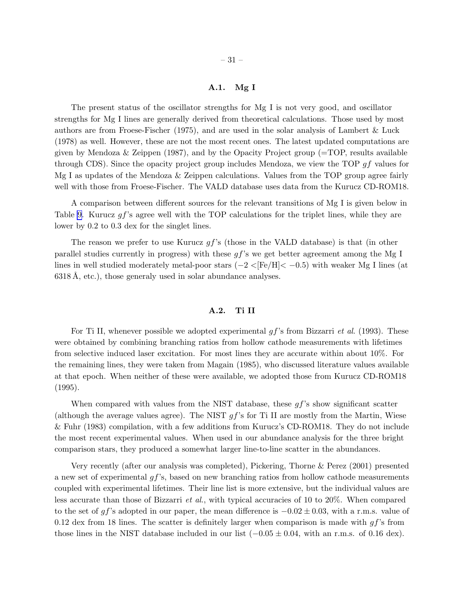# A.1. Mg I

The present status of the oscillator strengths for Mg I is not very good, and oscillator strengths for Mg I lines are generally derived from theoretical calculations. Those used by most authors are from Froese-Fischer (1975), and are used in the solar analysis of Lambert & Luck (1978) as well. However, these are not the most recent ones. The latest updated computations are given by Mendoza & Zeippen (1987), and by the Opacity Project group (=TOP, results available through CDS). Since the opacity project group includes Mendoza, we view the TOP  $gf$  values for Mg I as updates of the Mendoza & Zeippen calculations. Values from the TOP group agree fairly well with those from Froese-Fischer. The VALD database uses data from the Kurucz CD-ROM18.

A comparison between different sources for the relevant transitions of Mg I is given below in Table [9.](#page-36-0) Kurucz  $qf$ 's agree well with the TOP calculations for the triplet lines, while they are lower by 0.2 to 0.3 dex for the singlet lines.

The reason we prefer to use Kurucz  $qf$ 's (those in the VALD database) is that (in other parallel studies currently in progress) with these  $gf$ 's we get better agreement among the Mg I lines in well studied moderately metal-poor stars  $(-2<|Fe/H|< -0.5)$  with weaker Mg I lines (at  $6318$  Å, etc.), those generaly used in solar abundance analyses.

#### A.2. Ti II

For Ti II, whenever possible we adopted experimental gf's from Bizzarri *et al.* (1993). These were obtained by combining branching ratios from hollow cathode measurements with lifetimes from selective induced laser excitation. For most lines they are accurate within about 10%. For the remaining lines, they were taken from Magain (1985), who discussed literature values available at that epoch. When neither of these were available, we adopted those from Kurucz CD-ROM18 (1995).

When compared with values from the NIST database, these  $gf$ 's show significant scatter (although the average values agree). The NIST  $gf$ 's for Ti II are mostly from the Martin, Wiese & Fuhr (1983) compilation, with a few additions from Kurucz's CD-ROM18. They do not include the most recent experimental values. When used in our abundance analysis for the three bright comparison stars, they produced a somewhat larger line-to-line scatter in the abundances.

Very recently (after our analysis was completed), Pickering, Thorne & Perez (2001) presented a new set of experimental gf's, based on new branching ratios from hollow cathode measurements coupled with experimental lifetimes. Their line list is more extensive, but the individual values are less accurate than those of Bizzarri *et al.*, with typical accuracies of 10 to 20%. When compared to the set of gf's adopted in our paper, the mean difference is  $-0.02 \pm 0.03$ , with a r.m.s. value of 0.12 dex from 18 lines. The scatter is definitely larger when comparison is made with  $gf$ 's from those lines in the NIST database included in our list  $(-0.05 \pm 0.04, \text{ with an r.m.s. of } 0.16 \text{ dex}).$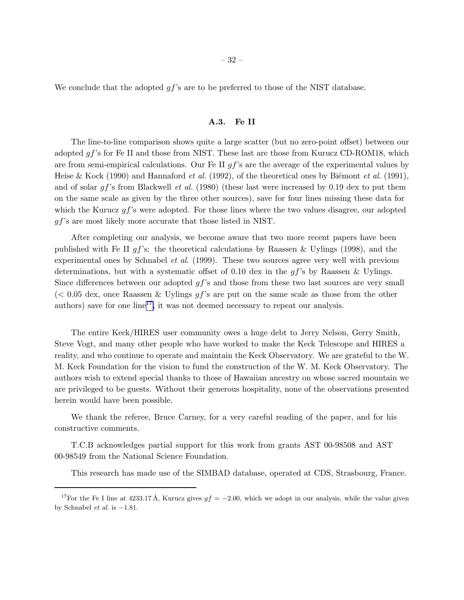We conclude that the adopted  $gf$ 's are to be preferred to those of the NIST database.

## A.3. Fe II

The line-to-line comparison shows quite a large scatter (but no zero-point offset) between our adopted  $gf$ 's for Fe II and those from NIST. These last are those from Kurucz CD-ROM18, which are from semi-empirical calculations. Our Fe II  $qf$ 's are the average of the experimental values by Heise & Kock (1990) and Hannaford *et al.* (1992), of the theoretical ones by Biémont *et al.* (1991), and of solar gf's from Blackwell *et al.* (1980) (these last were increased by 0.19 dex to put them on the same scale as given by the three other sources), save for four lines missing these data for which the Kurucz  $gf$ 's were adopted. For those lines where the two values disagree, our adopted gf's are most likely more accurate that those listed in NIST.

After completing our analysis, we become aware that two more recent papers have been published with Fe II  $gf$ 's: the theoretical calculations by Raassen & Uylings (1998), and the experimental ones by Schnabel *et al.* (1999). These two sources agree very well with previous determinations, but with a systematic offset of 0.10 dex in the  $qf$ 's by Raassen & Uylings. Since differences between our adopted  $gf$ 's and those from these two last sources are very small  $\ll 0.05$  dex, once Raassen & Uylings q s are put on the same scale as those from the other authors) save for one  $\text{line}^{17}$ , it was not deemed necessary to repeat our analysis.

The entire Keck/HIRES user community owes a huge debt to Jerry Nelson, Gerry Smith, Steve Vogt, and many other people who have worked to make the Keck Telescope and HIRES a reality, and who continue to operate and maintain the Keck Observatory. We are grateful to the W. M. Keck Foundation for the vision to fund the construction of the W. M. Keck Observatory. The authors wish to extend special thanks to those of Hawaiian ancestry on whose sacred mountain we are privileged to be guests. Without their generous hospitality, none of the observations presented herein would have been possible.

We thank the referee, Bruce Carney, for a very careful reading of the paper, and for his constructive comments.

T.C.B acknowledges partial support for this work from grants AST 00-98508 and AST 00-98549 from the National Science Foundation.

This research has made use of the SIMBAD database, operated at CDS, Strasbourg, France.

<sup>&</sup>lt;sup>17</sup>For the Fe I line at 4233.17 Å, Kurucz gives  $gf = -2.00$ , which we adopt in our analysis, while the value given by Schnabel et al. is  $-1.81$ .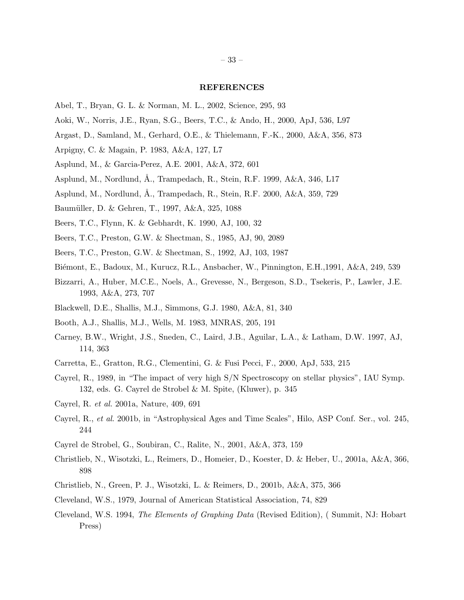## REFERENCES

- Abel, T., Bryan, G. L. & Norman, M. L., 2002, Science, 295, 93
- Aoki, W., Norris, J.E., Ryan, S.G., Beers, T.C., & Ando, H., 2000, ApJ, 536, L97
- Argast, D., Samland, M., Gerhard, O.E., & Thielemann, F.-K., 2000, A&A, 356, 873
- Arpigny, C. & Magain, P. 1983, A&A, 127, L7
- Asplund, M., & Garcia-Perez, A.E. 2001, A&A, 372, 601
- Asplund, M., Nordlund, Å., Trampedach, R., Stein, R.F. 1999, A&A, 346, L17
- Asplund, M., Nordlund, A., Trampedach, R., Stein, R.F. 2000,  $A&A$ , 359, 729
- Baumüller, D. & Gehren, T., 1997, A&A, 325, 1088
- Beers, T.C., Flynn, K. & Gebhardt, K. 1990, AJ, 100, 32
- Beers, T.C., Preston, G.W. & Shectman, S., 1985, AJ, 90, 2089
- Beers, T.C., Preston, G.W. & Shectman, S., 1992, AJ, 103, 1987
- Biémont, E., Badoux, M., Kurucz, R.L., Ansbacher, W., Pinnington, E.H., 1991, A&A, 249, 539
- Bizzarri, A., Huber, M.C.E., Noels, A., Grevesse, N., Bergeson, S.D., Tsekeris, P., Lawler, J.E. 1993, A&A, 273, 707
- Blackwell, D.E., Shallis, M.J., Simmons, G.J. 1980, A&A, 81, 340
- Booth, A.J., Shallis, M.J., Wells, M. 1983, MNRAS, 205, 191
- Carney, B.W., Wright, J.S., Sneden, C., Laird, J.B., Aguilar, L.A., & Latham, D.W. 1997, AJ, 114, 363
- Carretta, E., Gratton, R.G., Clementini, G. & Fusi Pecci, F., 2000, ApJ, 533, 215
- Cayrel, R., 1989, in "The impact of very high S/N Spectroscopy on stellar physics", IAU Symp. 132, eds. G. Cayrel de Strobel & M. Spite, (Kluwer), p. 345
- Cayrel, R. *et al.* 2001a, Nature, 409, 691
- Cayrel, R., *et al.* 2001b, in "Astrophysical Ages and Time Scales", Hilo, ASP Conf. Ser., vol. 245, 244
- Cayrel de Strobel, G., Soubiran, C., Ralite, N., 2001, A&A, 373, 159
- Christlieb, N., Wisotzki, L., Reimers, D., Homeier, D., Koester, D. & Heber, U., 2001a, A&A, 366, 898
- Christlieb, N., Green, P. J., Wisotzki, L. & Reimers, D., 2001b, A&A, 375, 366
- Cleveland, W.S., 1979, Journal of American Statistical Association, 74, 829
- Cleveland, W.S. 1994, *The Elements of Graphing Data* (Revised Edition), ( Summit, NJ: Hobart Press)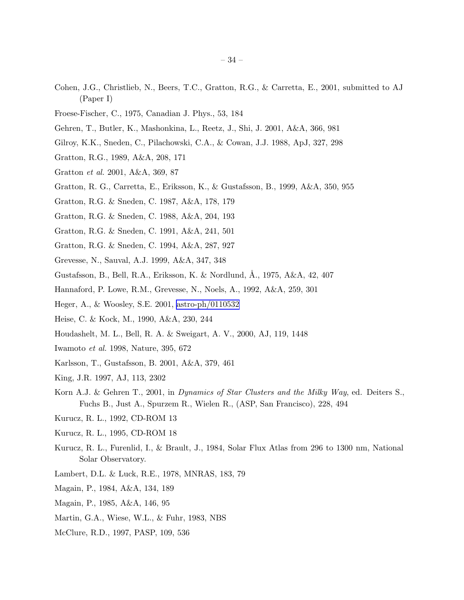- Cohen, J.G., Christlieb, N., Beers, T.C., Gratton, R.G., & Carretta, E., 2001, submitted to AJ (Paper I)
- Froese-Fischer, C., 1975, Canadian J. Phys., 53, 184
- Gehren, T., Butler, K., Mashonkina, L., Reetz, J., Shi, J. 2001, A&A, 366, 981
- Gilroy, K.K., Sneden, C., Pilachowski, C.A., & Cowan, J.J. 1988, ApJ, 327, 298
- Gratton, R.G., 1989, A&A, 208, 171
- Gratton *et al.* 2001, A&A, 369, 87
- Gratton, R. G., Carretta, E., Eriksson, K., & Gustafsson, B., 1999, A&A, 350, 955
- Gratton, R.G. & Sneden, C. 1987, A&A, 178, 179
- Gratton, R.G. & Sneden, C. 1988, A&A, 204, 193
- Gratton, R.G. & Sneden, C. 1991, A&A, 241, 501
- Gratton, R.G. & Sneden, C. 1994, A&A, 287, 927
- Grevesse, N., Sauval, A.J. 1999, A&A, 347, 348
- Gustafsson, B., Bell, R.A., Eriksson, K. & Nordlund, Å., 1975, A&A, 42, 407
- Hannaford, P. Lowe, R.M., Grevesse, N., Noels, A., 1992, A&A, 259, 301
- Heger, A., & Woosley, S.E. 2001, [astro-ph/0110532](http://arxiv.org/abs/astro-ph/0110532)
- Heise, C. & Kock, M., 1990, A&A, 230, 244
- Houdashelt, M. L., Bell, R. A. & Sweigart, A. V., 2000, AJ, 119, 1448
- Iwamoto *et al.* 1998, Nature, 395, 672
- Karlsson, T., Gustafsson, B. 2001, A&A, 379, 461
- King, J.R. 1997, AJ, 113, 2302
- Korn A.J. & Gehren T., 2001, in *Dynamics of Star Clusters and the Milky Way*, ed. Deiters S., Fuchs B., Just A., Spurzem R., Wielen R., (ASP, San Francisco), 228, 494
- Kurucz, R. L., 1992, CD-ROM 13
- Kurucz, R. L., 1995, CD-ROM 18
- Kurucz, R. L., Furenlid, I., & Brault, J., 1984, Solar Flux Atlas from 296 to 1300 nm, National Solar Observatory.
- Lambert, D.L. & Luck, R.E., 1978, MNRAS, 183, 79
- Magain, P., 1984, A&A, 134, 189
- Magain, P., 1985, A&A, 146, 95
- Martin, G.A., Wiese, W.L., & Fuhr, 1983, NBS
- McClure, R.D., 1997, PASP, 109, 536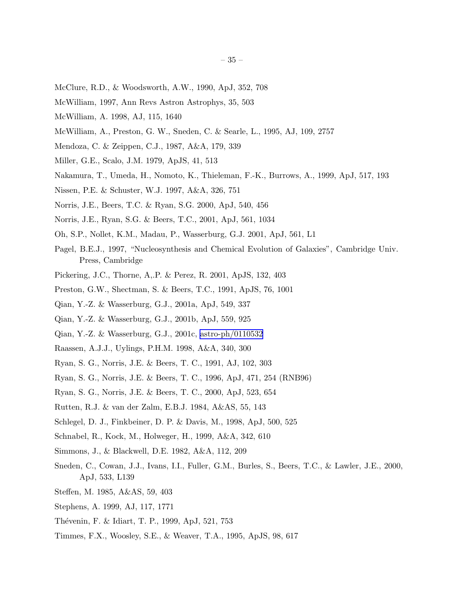- McClure, R.D., & Woodsworth, A.W., 1990, ApJ, 352, 708
- McWilliam, 1997, Ann Revs Astron Astrophys, 35, 503
- McWilliam, A. 1998, AJ, 115, 1640
- McWilliam, A., Preston, G. W., Sneden, C. & Searle, L., 1995, AJ, 109, 2757
- Mendoza, C. & Zeippen, C.J., 1987, A&A, 179, 339
- Miller, G.E., Scalo, J.M. 1979, ApJS, 41, 513
- Nakamura, T., Umeda, H., Nomoto, K., Thieleman, F.-K., Burrows, A., 1999, ApJ, 517, 193
- Nissen, P.E. & Schuster, W.J. 1997, A&A, 326, 751
- Norris, J.E., Beers, T.C. & Ryan, S.G. 2000, ApJ, 540, 456
- Norris, J.E., Ryan, S.G. & Beers, T.C., 2001, ApJ, 561, 1034
- Oh, S.P., Nollet, K.M., Madau, P., Wasserburg, G.J. 2001, ApJ, 561, L1
- Pagel, B.E.J., 1997, "Nucleosynthesis and Chemical Evolution of Galaxies", Cambridge Univ. Press, Cambridge
- Pickering, J.C., Thorne, A,.P. & Perez, R. 2001, ApJS, 132, 403
- Preston, G.W., Shectman, S. & Beers, T.C., 1991, ApJS, 76, 1001
- Qian, Y.-Z. & Wasserburg, G.J., 2001a, ApJ, 549, 337
- Qian, Y.-Z. & Wasserburg, G.J., 2001b, ApJ, 559, 925
- Qian, Y.-Z. & Wasserburg, G.J., 2001c, [astro-ph/0110532](http://arxiv.org/abs/astro-ph/0110532)
- Raassen, A.J.J., Uylings, P.H.M. 1998, A&A, 340, 300
- Ryan, S. G., Norris, J.E. & Beers, T. C., 1991, AJ, 102, 303
- Ryan, S. G., Norris, J.E. & Beers, T. C., 1996, ApJ, 471, 254 (RNB96)
- Ryan, S. G., Norris, J.E. & Beers, T. C., 2000, ApJ, 523, 654
- Rutten, R.J. & van der Zalm, E.B.J. 1984, A&AS, 55, 143
- Schlegel, D. J., Finkbeiner, D. P. & Davis, M., 1998, ApJ, 500, 525
- Schnabel, R., Kock, M., Holweger, H., 1999, A&A, 342, 610
- Simmons, J., & Blackwell, D.E. 1982, A&A, 112, 209
- Sneden, C., Cowan, J.J., Ivans, I.I., Fuller, G.M., Burles, S., Beers, T.C., & Lawler, J.E., 2000, ApJ, 533, L139
- Steffen, M. 1985, A&AS, 59, 403
- Stephens, A. 1999, AJ, 117, 1771
- Thévenin, F. & Idiart, T. P., 1999, ApJ, 521, 753
- Timmes, F.X., Woosley, S.E., & Weaver, T.A., 1995, ApJS, 98, 617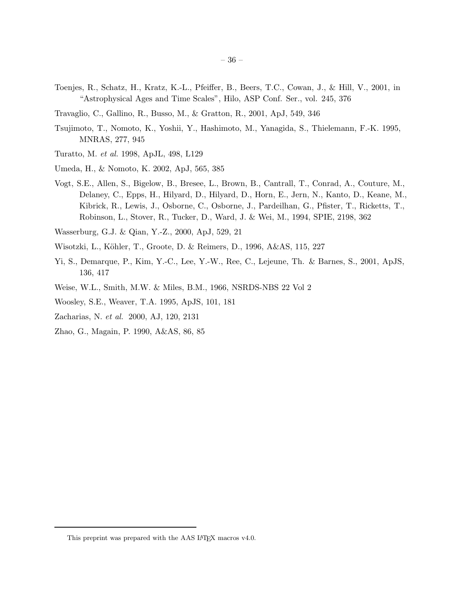- Toenjes, R., Schatz, H., Kratz, K.-L., Pfeiffer, B., Beers, T.C., Cowan, J., & Hill, V., 2001, in "Astrophysical Ages and Time Scales", Hilo, ASP Conf. Ser., vol. 245, 376
- Travaglio, C., Gallino, R., Busso, M., & Gratton, R., 2001, ApJ, 549, 346
- Tsujimoto, T., Nomoto, K., Yoshii, Y., Hashimoto, M., Yanagida, S., Thielemann, F.-K. 1995, MNRAS, 277, 945
- Turatto, M. *et al.* 1998, ApJL, 498, L129
- Umeda, H., & Nomoto, K. 2002, ApJ, 565, 385
- Vogt, S.E., Allen, S., Bigelow, B., Bresee, L., Brown, B., Cantrall, T., Conrad, A., Couture, M., Delaney, C., Epps, H., Hilyard, D., Hilyard, D., Horn, E., Jern, N., Kanto, D., Keane, M., Kibrick, R., Lewis, J., Osborne, C., Osborne, J., Pardeilhan, G., Pfister, T., Ricketts, T., Robinson, L., Stover, R., Tucker, D., Ward, J. & Wei, M., 1994, SPIE, 2198, 362
- Wasserburg, G.J. & Qian, Y.-Z., 2000, ApJ, 529, 21
- Wisotzki, L., Köhler, T., Groote, D. & Reimers, D., 1996, A&AS, 115, 227
- Yi, S., Demarque, P., Kim, Y.-C., Lee, Y.-W., Ree, C., Lejeune, Th. & Barnes, S., 2001, ApJS, 136, 417
- Weise, W.L., Smith, M.W. & Miles, B.M., 1966, NSRDS-NBS 22 Vol 2
- Woosley, S.E., Weaver, T.A. 1995, ApJS, 101, 181
- Zacharias, N. *et al.* 2000, AJ, 120, 2131
- Zhao, G., Magain, P. 1990, A&AS, 86, 85

This preprint was prepared with the AAS IATEX macros v4.0.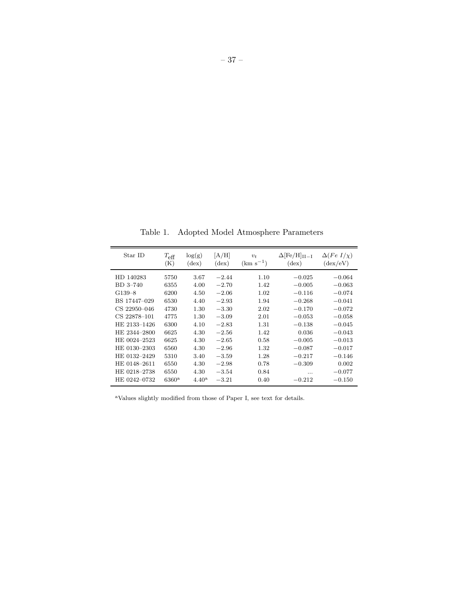<span id="page-36-0"></span>Table 1. Adopted Model Atmosphere Parameters

| Star ID      | $T_{\text{eff}}$<br>(K) | log(g)<br>$(\text{dex})$ | [A/H]<br>$(\text{dex})$ | $v_t$<br>$(km s^{-1})$ | $\Delta$ [Fe/H] <sub>II-I</sub><br>$(\text{dex})$ | $\Delta(Fe~I/\chi)$<br>$(\text{dex}/\text{eV})$ |
|--------------|-------------------------|--------------------------|-------------------------|------------------------|---------------------------------------------------|-------------------------------------------------|
| HD 140283    | 5750                    | 3.67                     | $-2.44$                 | 1.10                   | $-0.025$                                          | $-0.064$                                        |
| BD 3-740     | 6355                    | 4.00                     | $-2.70$                 | 1.42                   | $-0.005$                                          | $-0.063$                                        |
| $G139-8$     | 6200                    | 4.50                     | $-2.06$                 | 1.02                   | $-0.116$                                          | $-0.074$                                        |
| BS 17447-029 | 6530                    | 4.40                     | $-2.93$                 | 1.94                   | $-0.268$                                          | $-0.041$                                        |
| CS 22950-046 | 4730                    | 1.30                     | $-3.30$                 | 2.02                   | $-0.170$                                          | $-0.072$                                        |
| CS 22878-101 | 4775                    | 1.30                     | $-3.09$                 | 2.01                   | $-0.053$                                          | $-0.058$                                        |
| HE 2133-1426 | 6300                    | 4.10                     | $-2.83$                 | 1.31                   | $-0.138$                                          | $-0.045$                                        |
| HE 2344-2800 | 6625                    | 4.30                     | $-2.56$                 | 1.42                   | 0.036                                             | $-0.043$                                        |
| HE 0024-2523 | 6625                    | 4.30                     | $-2.65$                 | 0.58                   | $-0.005$                                          | $-0.013$                                        |
| HE 0130-2303 | 6560                    | 4.30                     | $-2.96$                 | 1.32                   | $-0.087$                                          | $-0.017$                                        |
| HE 0132-2429 | 5310                    | 3.40                     | $-3.59$                 | 1.28                   | $-0.217$                                          | $-0.146$                                        |
| HE 0148-2611 | 6550                    | 4.30                     | $-2.98$                 | 0.78                   | $-0.309$                                          | 0.002                                           |
| HE 0218-2738 | 6550                    | 4.30                     | $-3.54$                 | 0.84                   | .                                                 | $-0.077$                                        |
| HE 0242-0732 | $6360^{\mathrm{a}}$     | $4.40^{\rm a}$           | $-3.21$                 | 0.40                   | $-0.212$                                          | $-0.150$                                        |
|              |                         |                          |                         |                        |                                                   |                                                 |

<sup>a</sup>Values slightly modified from those of Paper I, see text for details.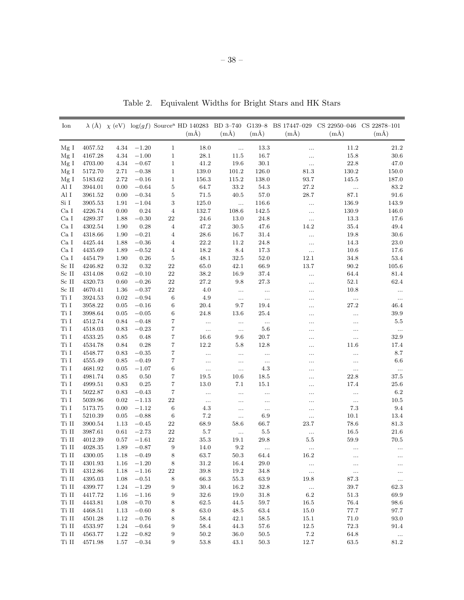| Ion             |             |      |         |                         | $(m\AA)$ | $(m\AA)$   | $(m\AA)$ | $(m\AA)$        | $\lambda$ (Å) $\chi$ (eV) log(gf) Source <sup>a</sup> HD 140283 BD 3-740 G139-8 BS 17447-029 CS 22950-046 CS 22878-101<br>$(m\AA)$ | $(m\AA)$           |
|-----------------|-------------|------|---------|-------------------------|----------|------------|----------|-----------------|------------------------------------------------------------------------------------------------------------------------------------|--------------------|
| Mg I            | 4057.52     | 4.34 | $-1.20$ | $\mathbf{1}$            | 18.0     | $\ddotsc$  | $13.3\,$ |                 | 11.2                                                                                                                               | $21.2\,$           |
| Mg I            | 4167.28     | 4.34 | $-1.00$ | $\mathbf 1$             | 28.1     | 11.5       | 16.7     | .               | 15.8                                                                                                                               | $30.6\,$           |
| Mg I            | 4703.00     | 4.34 | $-0.67$ | $\mathbf 1$             | 41.2     | 19.6       | $30.1\,$ |                 | $22.8\,$                                                                                                                           | 47.0               |
| Mg I            | 5172.70     | 2.71 | $-0.38$ | $\mathbf{1}$            | 139.0    | 101.2      | 126.0    | 81.3            | 130.2                                                                                                                              | 150.0              |
| Mg I            | 5183.62     | 2.72 | $-0.16$ | $\,1$                   | 156.3    | $115.2\,$  | 138.0    | 93.7            | 145.5                                                                                                                              | 187.0              |
| Al I            | 3944.01     | 0.00 | $-0.64$ | $\bf 5$                 | 64.7     | 33.2       | 54.3     | 27.2            | $\ldots$                                                                                                                           | 83.2               |
| Al I            | 3961.52     | 0.00 | $-0.34$ | 5                       | $71.5\,$ | 40.5       | 57.0     | 28.7            | 87.1                                                                                                                               | 91.6               |
| Si <sub>I</sub> | 3905.53     | 1.91 | $-1.04$ | 3                       | 125.0    | $\ddotsc$  | 116.6    | .               | 136.9                                                                                                                              | 143.9              |
| Ca <sub>I</sub> | 4226.74     | 0.00 | 0.24    | $\,4\,$                 | 132.7    | 108.6      | 142.5    | $\cdots$        | 130.9                                                                                                                              | 146.0              |
| Ca <sub>I</sub> | 4289.37     | 1.88 | $-0.30$ | $22\,$                  | $24.6\,$ | 13.0       | 24.8     | $\ldots$        | 13.3                                                                                                                               | 17.6               |
| Ca <sub>I</sub> | 4302.54     | 1.90 | 0.28    | $\overline{\mathbf{4}}$ | 47.2     | 30.5       | 47.6     | 14.2            | $35.4\,$                                                                                                                           | $\hphantom{0}49.4$ |
| Ca <sub>I</sub> | 4318.66     | 1.90 | $-0.21$ | 4                       | $28.6\,$ | 16.7       | 31.4     |                 | 19.8                                                                                                                               | 30.6               |
| Ca I            | 4425.44     | 1.88 | $-0.36$ | $\overline{4}$          | $22.2\,$ | 11.2       | 24.8     | .               | 14.3                                                                                                                               | 23.0               |
| Ca I            | 4435.69     | 1.89 | $-0.52$ | 4                       | 18.2     | 8.4        | 17.3     | $\ldots$        | 10.6                                                                                                                               | $17.6\,$           |
| Ca <sub>I</sub> | 4454.79     | 1.90 | 0.26    | $\bf 5$                 | 48.1     | 32.5       | $52.0\,$ | 12.1            | 34.8                                                                                                                               | 53.4               |
| $\rm Sc\ II$    | 4246.82     | 0.32 | 0.32    | $22\,$                  | $65.0\,$ | 42.1       | 66.9     | 13.7            | $90.2\,$                                                                                                                           | 105.6              |
| Sc II           | 4314.08     | 0.62 | $-0.10$ | $22\,$                  | 38.2     | 16.9       | 37.4     |                 | 64.4                                                                                                                               | 81.4               |
| $\rm Sc\ II$    | 4320.73     | 0.60 | $-0.26$ | $22\,$                  | 27.2     | 9.8        | $27.3\,$ | .               | $52.1\,$                                                                                                                           | 62.4               |
| $\rm Sc\ II$    | 4670.41     | 1.36 | $-0.37$ | 22                      | 4.0      | $\ldots$   | $\ldots$ | .               | 10.8                                                                                                                               | $\ldots$           |
| $\rm Ti~I$      | 3924.53     | 0.02 | $-0.94$ | $\,6$                   | 4.9      | $\ldots$   | $\cdots$ | .               | $\ldots$                                                                                                                           | $\ddots$           |
| Ti I            | 3958.22     | 0.05 | $-0.16$ | $\,6$                   | 20.4     | 9.7        | 19.4     | .               | 27.2                                                                                                                               | 46.4               |
| Ti I            | 3998.64     | 0.05 | $-0.05$ | 6                       | $24.8\,$ | 13.6       | 25.4     | .               | .                                                                                                                                  | $39.9\,$           |
| Ti I            | 4512.74     | 0.84 | $-0.48$ | 7                       | $\ldots$ | $\ldots$   | $\ldots$ |                 |                                                                                                                                    | $5.5\,$            |
| $\rm Ti~I$      | 4518.03     | 0.83 | $-0.23$ | $\overline{7}$          | $\ldots$ | $\ldots$   | $5.6\,$  | .               | .                                                                                                                                  | $\ldots$           |
| Ti I            | 4533.25     | 0.85 | 0.48    | 7                       | 16.6     | 9.6        | $20.7\,$ | .               |                                                                                                                                    | 32.9               |
| Ti I            | 4534.78     | 0.84 | 0.28    | 7                       | 12.2     | 5.8        | 12.8     |                 | 11.6                                                                                                                               | 17.4               |
| Ti I            | 4548.77     | 0.83 | $-0.35$ | 7                       | $\ldots$ | $\ldots$   | $\ldots$ |                 |                                                                                                                                    | $8.7\,$            |
| Ti I            | 4555.49     | 0.85 | $-0.49$ | 7                       | $\ldots$ | $\ddotsc$  | $\ldots$ |                 |                                                                                                                                    | $6.6\,$            |
| Ti I            | 4681.92     | 0.05 | $-1.07$ | 6                       | $\ldots$ | $\ddotsc$  | $4.3\,$  | .               | $\ldots$                                                                                                                           | $\ldots$           |
| Ti I            | 4981.74     | 0.85 | 0.50    | 7                       | 19.5     | 10.6       | 18.5     | .               | 22.8                                                                                                                               | 37.5               |
| Ti I            | 4999.51     | 0.83 | 0.25    | 7                       | 13.0     | 7.1        | 15.1     | $\ddotsc$       | 17.4                                                                                                                               | $25.6\,$           |
| Ti I            | 5022.87     | 0.83 | $-0.43$ | $\scriptstyle{7}$       | $\ldots$ | $\ldots$   | $\ldots$ | .               |                                                                                                                                    | $6.2\,$            |
| Ti I            | 5039.96     | 0.02 | $-1.13$ | 22                      | $\ldots$ | $\ldots$   | $\ldots$ | .               | $\ldots$                                                                                                                           | $10.5\,$           |
| Ti I            | 5173.75     | 0.00 | $-1.12$ | $\,6$                   | $4.3\,$  | $\cdots$   | $\ldots$ | .               | $7.3\,$                                                                                                                            | $9.4\,$            |
| Ti I            | 5210.39     | 0.05 | $-0.88$ | $\,6$                   | $7.2\,$  | $\ldots$   | 6.9      |                 | 10.1                                                                                                                               | 13.4               |
| Ti II           | 3900.54     | 1.13 | $-0.45$ | $22\,$                  | 68.9     | 58.6       | 66.7     | 23.7            | 78.6                                                                                                                               | $81.3\,$           |
| $\rm Ti~II$     | 3987.61     | 0.61 | $-2.73$ | $22\,$                  | $5.7\,$  | $\ddotsc$  | $5.5\,$  |                 | 16.5                                                                                                                               | $21.6\,$           |
| $\rm Ti~II$     | 4012.39     | 0.57 | $-1.61$ | $\bf 22$                | $35.3\,$ | 19.1       | 29.8     | $5.5\,$         | 59.9                                                                                                                               | $70.5\,$           |
| $\rm Ti~II$     | 4028.35     | 1.89 | $-0.87$ | 9                       | 14.0     | $\ \, 9.2$ | $\ldots$ | $\ldots$        | .                                                                                                                                  |                    |
| Ti II           | 4300.05     | 1.18 | $-0.49$ | 8                       | $63.7\,$ | $50.3\,$   | 64.4     | 16.2            |                                                                                                                                    |                    |
| Ti II           | 4301.93     | 1.16 | $-1.20$ | 8                       | 31.2     | 16.4       | 29.0     | $\ldots$        | $\cdots$                                                                                                                           | $\cdots$           |
| Ti II           | $4312.86\,$ | 1.18 | $-1.16$ | $22\,$                  | 39.8     | $19.2\,$   | $34.8\,$ | $\ldots$        | $\cdots$                                                                                                                           | $\ldots$           |
| $\rm Ti~II$     | 4395.03     | 1.08 | $-0.51$ | $\,8\,$                 | 66.3     | 55.3       | 63.9     | 19.8            | 87.3                                                                                                                               | $\ldots$           |
| $\rm Ti~II$     | 4399.77     | 1.24 | $-1.29$ | 9                       | $30.4\,$ | $16.2\,$   | 32.8     | $\sim$ . $\sim$ | $39.7\,$                                                                                                                           | 62.3               |
| $\rm Ti~II$     | 4417.72     | 1.16 | $-1.16$ | 9                       | $32.6\,$ | 19.0       | 31.8     | $6.2\,$         | 51.3                                                                                                                               | 69.9               |
| Ti II           | 4443.81     | 1.08 | $-0.70$ | 8                       | 62.5     | 44.5       | 59.7     | 16.5            | $76.4\,$                                                                                                                           | 98.6               |
| $\rm Ti~II$     | 4468.51     | 1.13 | $-0.60$ | 8                       | 63.0     | 48.5       | 63.4     | $15.0\,$        | 77.7                                                                                                                               | 97.7               |
| $\rm Ti~II$     | 4501.28     | 1.12 | $-0.76$ | 8                       | 58.4     | 42.1       | 58.5     | 15.1            | $71.0\,$                                                                                                                           | 93.0               |
| $\rm Ti~II$     | 4533.97     | 1.24 | $-0.64$ | 9                       | 58.4     | 44.3       | 57.6     | 12.5            | $72.3\,$                                                                                                                           | 91.4               |
| $\rm Ti~II$     | 4563.77     | 1.22 | $-0.82$ | 9                       | 50.2     | 36.0       | $50.5\,$ | $7.2\,$         | 64.8                                                                                                                               | $\cdots$           |
| $\rm Ti~II$     | 4571.98     | 1.57 | $-0.34$ | 9                       | $53.8\,$ | 43.1       | 50.3     | 12.7            | 63.5                                                                                                                               | 81.2               |

Table 2. Equivalent Widths for Bright Stars and HK Stars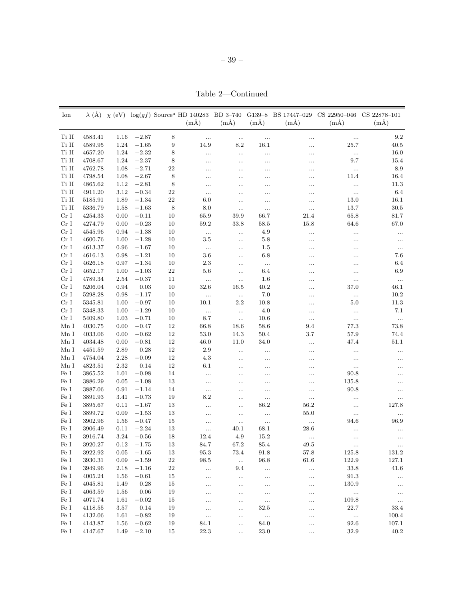Table 2—Continued

| Ion             |         |      |         |             | $(m\AA)$        | $(m\AA)$             | $(m\AA)$         | $\lambda$ (Å) $\chi$ (eV) $\log(gf)$ Source <sup>a</sup> HD 140283 BD 3-740 G139-8 BS 17447-029<br>$(m\AA)$ | CS 22950-046 CS 22878-101<br>$(m\AA)$ | $(m\AA)$         |
|-----------------|---------|------|---------|-------------|-----------------|----------------------|------------------|-------------------------------------------------------------------------------------------------------------|---------------------------------------|------------------|
|                 |         |      |         |             |                 |                      |                  |                                                                                                             |                                       |                  |
| Ti II           | 4583.41 | 1.16 | $-2.87$ | $\,$ 8 $\,$ | $\ldots$        | $\ldots$             | $\cdots$         | $\cdots$                                                                                                    | $\ldots$                              | $\ \, 9.2$       |
| Ti II           | 4589.95 | 1.24 | $-1.65$ | 9           | 14.9            | $8.2\,$              | 16.1             |                                                                                                             | 25.7                                  | 40.5             |
| Ti II           | 4657.20 | 1.24 | $-2.32$ | 8           | $\ldots$        | $\ldots$             |                  |                                                                                                             | $\ddotsc$                             | 16.0             |
| Ti II           | 4708.67 | 1.24 | $-2.37$ | $\,8\,$     | .               | $\cdots$             | .                | .                                                                                                           | 9.7                                   | 15.4             |
| Ti II           | 4762.78 | 1.08 | $-2.71$ | $22\,$      | .               | $\ldots$             | $\ldots$         | .                                                                                                           | $\ldots$                              | 8.9              |
| Ti II           | 4798.54 | 1.08 | $-2.67$ | 8           | .               | $\cdots$             | $\cdots$         | .                                                                                                           | 11.4                                  | 16.4             |
| Ti II           | 4865.62 | 1.12 | $-2.81$ | 8           | .               | $\cdots$             | $\cdots$         | .                                                                                                           | $\ldots$                              | 11.3             |
| Ti II           | 4911.20 | 3.12 | $-0.34$ | 22          | $\ldots$        |                      | .                | .                                                                                                           | $\ddotsc$                             | 6.4              |
| Ti II           | 5185.91 | 1.89 | $-1.34$ | $\bf 22$    | 6.0             | $\ldots$             |                  |                                                                                                             | 13.0                                  | 16.1             |
| Ti II           | 5336.79 | 1.58 | $-1.63$ | 8           | 8.0             | $\ldots$             | $\ddotsc$        | $\ldots$                                                                                                    | 13.7                                  | 30.5             |
| Cr <sub>I</sub> | 4254.33 | 0.00 | $-0.11$ | 10          | 65.9            | 39.9                 | 66.7             | 21.4                                                                                                        | 65.8                                  | 81.7             |
| Cr <sub>I</sub> | 4274.79 | 0.00 | $-0.23$ | 10          | $59.2\,$        | 33.8                 | $58.5\,$         | 15.8                                                                                                        | 64.6                                  | 67.0             |
| Cr <sub>I</sub> | 4545.96 | 0.94 | $-1.38$ | 10          | $\ldots$        | $\ldots$             | 4.9              | $\ldots$                                                                                                    | $\ldots$                              | $\ldots$         |
| Cr <sub>I</sub> | 4600.76 | 1.00 | $-1.28$ | 10          | 3.5             | $\ldots$             | 5.8              |                                                                                                             |                                       | $\ldots$         |
| Cr <sub>I</sub> | 4613.37 | 0.96 | $-1.67$ | 10          | $\ldots$        | $\ldots$             | 1.5              |                                                                                                             |                                       | $\ldots$         |
| Cr <sub>I</sub> | 4616.13 | 0.98 | $-1.21$ | 10          | 3.6             | $\cdots$             | 6.8              | .                                                                                                           |                                       | 7.6              |
| Cr <sub>I</sub> | 4626.18 | 0.97 | $-1.34$ | 10          | 2.3             | $\ldots$             | $\ldots$         | .                                                                                                           | .                                     | 6.4              |
| Cr I            | 4652.17 | 1.00 | $-1.03$ | 22          | 5.6             | $\ldots$             | 6.4              | .                                                                                                           |                                       | 6.9              |
| Cr <sub>I</sub> | 4789.34 | 2.54 | $-0.37$ | 11          | $\ddotsc$       | $\ldots$             | 1.6              | .                                                                                                           |                                       | $\ldots$         |
| Cr <sub>I</sub> | 5206.04 | 0.94 | 0.03    | 10          | 32.6            | 16.5                 | 40.2             | .                                                                                                           | 37.0                                  | 46.1             |
| Cr <sub>I</sub> | 5298.28 | 0.98 | $-1.17$ | 10          | $\ldots$        | $\ldots$             | 7.0              | .                                                                                                           | $\ldots$                              | 10.2             |
| Cr <sub>I</sub> | 5345.81 | 1.00 | $-0.97$ | 10          | 10.1            | $2.2\,$              | 10.8             | .                                                                                                           | 5.0                                   | 11.3             |
| CrI             | 5348.33 | 1.00 | $-1.29$ | 10          |                 | $\ldots$             | 4.0              |                                                                                                             |                                       | 7.1              |
| Cr <sub>I</sub> | 5409.80 | 1.03 | $-0.71$ | 10          | $\ldots$<br>8.7 |                      | 10.6             | .                                                                                                           | $\ldots$                              |                  |
| Mn I            | 4030.75 | 0.00 | $-0.47$ | 12          | 66.8            | $\ldots$<br>18.6     | 58.6             | $\ldots$<br>9.4                                                                                             | $\ddotsc$<br>77.3                     | $\ldots$<br>73.8 |
| Mn I            | 4033.06 | 0.00 | $-0.62$ | 12          | 53.0            | 14.3                 | 50.4             | 3.7                                                                                                         | 57.9                                  | 74.4             |
|                 |         |      |         |             |                 |                      |                  |                                                                                                             |                                       |                  |
| Mn I            | 4034.48 | 0.00 | $-0.81$ | 12          | 46.0            | 11.0                 | 34.0             | .                                                                                                           | 47.4                                  | 51.1             |
| Mn I            | 4451.59 | 2.89 | 0.28    | 12          | $2.9\,$         | $\ldots$             | $\ldots$         |                                                                                                             |                                       | $\ldots$         |
| Mn I            | 4754.04 | 2.28 | $-0.09$ | 12          | 4.3             | $\ldots$             | $\ldots$         |                                                                                                             | $\ldots$                              |                  |
| Mn I            | 4823.51 | 2.32 | 0.14    | 12          | 6.1             | $\ldots$             | $\ldots$         |                                                                                                             | $\ldots$                              |                  |
| $\rm Fe~I$      | 3865.52 | 1.01 | $-0.98$ | 14          |                 | $\ldots$             |                  | .                                                                                                           | 90.8                                  | $\cdots$         |
| Fe I            | 3886.29 | 0.05 | $-1.08$ | 13          | $\ldots$        | $\ldots$             | $\ldots$         | $\ldots$                                                                                                    | 135.8                                 |                  |
| Fe I            | 3887.06 | 0.91 | $-1.14$ | 14          | $\ldots$        |                      | $\ldots$         | $\cdots$                                                                                                    | 90.8                                  | $\ldots$         |
| Fe I            | 3891.93 | 3.41 | $-0.73$ | 19          | 8.2             | $\ldots$             | $\ddotsc$        | $\cdots$                                                                                                    | .                                     | $\ldots$         |
| Fe I            | 3895.67 | 0.11 | $-1.67$ | 13          |                 | $\cdots$             | 86.2             | 56.2                                                                                                        | .                                     | 127.8            |
| Fe I            | 3899.72 | 0.09 | $-1.53$ | 13          |                 | $\ldots$             | $\ldots$         | 55.0                                                                                                        | $\ldots$                              | $\ldots$         |
| Fe I            | 3902.96 | 1.56 | $-0.47$ | 15          | .               | $\ldots$             | $\ldots$         | $\cdots$                                                                                                    | 94.6                                  | 96.9             |
| Fe I            | 3906.49 | 0.11 | $-2.24$ | 13          | $\ldots$        | 40.1                 | 68.1             | 28.6                                                                                                        |                                       | $\ldots$         |
| Fe I            | 3916.74 | 3.24 | $-0.56$ | 18          | 12.4            | 4.9                  | 15.2             | $\ldots$                                                                                                    | .                                     | $\ddotsc$        |
| Fe I            | 3920.27 | 0.12 | $-1.75$ | 13          | 84.7            | 67.2                 | 85.4             | 49.5                                                                                                        |                                       |                  |
| Fe I            | 3922.92 | 0.05 | $-1.65$ | 13          | 95.3            | 73.4                 | 91.8             | 57.8                                                                                                        | 125.8                                 | 131.2            |
| $\rm Fe~I$      | 3930.31 | 0.09 | $-1.59$ | $22\,$      | 98.5            | $\ldots$             | 96.8             | 61.6                                                                                                        | 122.9                                 | 127.1            |
| $\rm Fe~I$      | 3949.96 | 2.18 | $-1.16$ | $22\,$      |                 | 9.4                  | $\ldots$         | $\ldots$                                                                                                    | 33.8                                  | $41.6\,$         |
| Fe I            | 4005.24 | 1.56 | $-0.61$ | 15          |                 | $\ldots$             | $\ldots$         | $\ldots$                                                                                                    | $91.3\,$                              | $\ldots$         |
| Fe I            | 4045.81 | 1.49 | 0.28    | 15          |                 | $\ldots$             | $\ldots$         | $\ldots$                                                                                                    | 130.9                                 | $\ldots$         |
| $\rm Fe~I$      | 4063.59 | 1.56 | 0.06    | 19          |                 | $\ldots$             | $\cdots$         | $\ldots$                                                                                                    | $\ldots$                              | $\ldots$         |
| Fe I            | 4071.74 | 1.61 | $-0.02$ | 15          |                 | $\ldots$             | $\ldots$         | $\ldots$                                                                                                    | 109.8                                 | $\ldots$         |
| Fe I            | 4118.55 | 3.57 | 0.14    | 19          | $\cdots$        | $\ldots$             | 32.5             |                                                                                                             | 22.7                                  | 33.4             |
| $\rm Fe~I$      | 4132.06 | 1.61 | $-0.82$ | 19          | $\ldots$        |                      |                  | $\cdots$                                                                                                    | $\ldots$                              | 100.4            |
| $\rm Fe~I$      | 4143.87 | 1.56 | $-0.62$ | 19          | 84.1            | $\ldots$<br>$\ldots$ | $\ldots$<br>84.0 | $\cdots$                                                                                                    | 92.6                                  | 107.1            |
| Fe I            | 4147.67 | 1.49 | $-2.10$ | 15          | 22.3            | $\ldots$             | 23.0             | $\ldots$<br>$\ddotsc$                                                                                       | $32.9\,$                              | $40.2\,$         |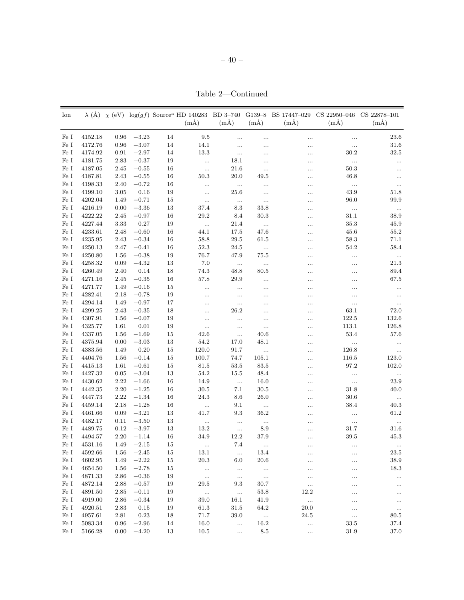Table 2—Continued

| Fe I<br>4152.18<br>$-3.23$<br>14<br>9.5<br>$23.6\,$<br>0.96<br>$\ldots$<br><br><br>$\ldots$<br>Fe I<br>4172.76<br>0.96<br>$-3.07$<br>14<br>14.1<br>$31.6\,$<br>$\ldots$<br>$\ldots$<br><br><br>Fe I<br>$-2.97$<br>$13.3\,$<br>$30.2\,$<br>$32.5\,$<br>4174.92<br>0.91<br>14<br>$\ldots$<br>.<br><br>Fe I<br>$-0.37$<br>$19\,$<br>$18.1\,$<br>4181.75<br>2.83<br>$\ldots$<br>$\ldots$<br>.<br>$\ldots$<br><br>Fe I<br>16<br>50.3<br>4187.05<br>2.45<br>$-0.55$<br>21.6<br>$\ddotsc$<br><br>$\ldots$<br><br>50.3<br>49.5<br>Fe I<br>4187.81<br>2.43<br>$-0.55$<br>16<br>20.0<br>46.8<br>$\cdots$<br>$\cdots$<br>Fe I<br>$16\,$<br>4198.33<br>2.40<br>$-0.72$<br>$\ldots$<br>$\ldots$<br>$\ldots$<br><br>$\ldots$<br><br>Fe I<br>$0.16\,$<br>19<br>43.9<br>4199.10<br>3.05<br>25.6<br>51.8<br>$\cdots$<br>$\cdots$<br>$\cdots$<br>Fe I<br>$-0.71$<br>$15\,$<br>96.0<br>4202.04<br>1.49<br>99.9<br>$\cdots$<br>$\ldots$<br>$\cdots$<br><br>Fe I<br>$-3.36$<br>$13\,$<br>37.4<br>8.3<br>4216.19<br>0.00<br>33.8<br>$\cdots$<br>$\dots$<br><br>Fe I<br>$16\,$<br>29.2<br>$31.1\,$<br>4222.22<br>2.45<br>$-0.97$<br>8.4<br>30.3<br>38.9<br>.<br>0.27<br>19<br>$35.3\,$<br>Fe I<br>4227.44<br>3.33<br>21.4<br>45.9<br>$\ldots$<br>$\ldots$<br>.<br>Fe I<br>$-0.60$<br>$16\,$<br>44.1<br>$45.6\,$<br>$55.2\,$<br>4233.61<br>2.48<br>17.5<br>47.6<br><br>58.8<br>$58.3\,$<br>Fe I<br>4235.95<br>2.43<br>$-0.34$<br>16<br>29.5<br>61.5<br>71.1<br><br>Fe I<br>$-0.41$<br>$16\,$<br>$52.3\,$<br>54.2<br>58.4<br>4250.13<br>2.47<br>24.5<br>$\ldots$<br><br>Fe I<br>$-0.38$<br>19<br>$76.7\,$<br>4250.80<br>1.56<br>47.9<br>75.5<br>$\ldots$<br>$\ldots$<br><br>Fe I<br>$-4.32$<br>$13\,$<br>$7.0\,$<br>$21.3\,$<br>4258.32<br>0.09<br>$\ldots$<br><br><br>$\ldots$<br>Fe I<br>74.3<br>4260.49<br>2.40<br>0.14<br>18<br>48.8<br>80.5<br>89.4<br><br>$\ldots$<br>Fe I<br>$-0.35$<br>$16\,$<br>4271.16<br>2.45<br>57.8<br>$29.9\,$<br>67.5<br><br><br>$\ldots$<br>Fe I<br>4271.77<br>1.49<br>$-0.16$<br>15<br>$\ldots$<br>$\ldots$<br>$\ldots$<br><br><br><br>Fe I<br>$-0.78$<br>$19\,$<br>4282.41<br>2.18<br>$\ldots$<br>$\ldots$<br>$\ldots$<br><br>$\ldots$<br><br>Fe I<br>4294.14<br>$-0.97$<br>17<br>1.49<br>$\ldots$<br>$\cdots$<br>$\ldots$<br>.<br>.<br><br>Fe I<br>$-0.35$<br>18<br>$63.1\,$<br>4299.25<br>2.43<br>$26.2\,$<br>72.0<br>.<br>.<br><br>Fe I<br>$-0.07$<br>19<br>132.6<br>4307.91<br>1.56<br>122.5<br>$\ldots$<br>.<br>.<br><br>Fe I<br>0.01<br>19<br>113.1<br>126.8<br>4325.77<br>1.61<br>$\ldots$<br>$\ldots$<br><br><br>42.6<br>Fe I<br>4337.05<br>$-1.69$<br>15<br>53.4<br>57.6<br>1.56<br>40.6<br>$\ldots$<br><br>Fe I<br>$-3.03$<br>$13\,$<br>$54.2\,$<br>17.0<br>48.1<br>4375.94<br>0.00<br>$\ldots$<br>$\ldots$<br>.<br>Fe I<br>$0.20\,$<br>$15\,$<br>120.0<br>$\!383.56$<br>1.49<br>91.7<br>126.8<br>$\ddotsc$<br>$\ldots$<br>.<br>Fe I<br>$-0.14$<br>$15\,$<br>100.7<br>74.7<br>4404.76<br>1.56<br>105.1<br>116.5<br>123.0<br>.<br>Fe I<br>$-0.61$<br>$15\,$<br>$81.5\,$<br>$53.5\,$<br>97.2<br>102.0<br>4415.13<br>1.61<br>83.5<br><br>Fe I<br>4427.32<br>$-3.04$<br>$13\,$<br>$54.2\,$<br>$15.5\,$<br>48.4<br>0.05<br>$\ldots$<br>$\ldots$<br><br>Fe I<br>4430.62<br>2.22<br>$-1.66$<br>$16\,$<br>14.9<br>16.0<br>23.9<br>$\ldots$<br>$\ddotsc$<br><br>Fe I<br>2.20<br>$-1.25$<br>$16\,$<br>$30.5\,$<br>7.1<br>$31.8\,$<br>4442.35<br>30.5<br>40.0<br><br>Fe I<br>$16\,$<br>24.3<br>$30.6\,$<br>4447.73<br>2.22<br>$-1.34$<br>8.6<br>26.0<br>$\ldots$<br><br>Fe I<br>$16\,$<br>$38.4\,$<br>4459.14<br>2.18<br>$-1.28$<br>9.1<br>40.3<br>$\ldots$<br>$\ldots$<br><br>Fe I<br>$-3.21$<br>$13\,$<br>41.7<br>$9.3\,$<br>$36.2\,$<br>$61.2\,$<br>4461.66<br>0.09<br>$\ldots$<br><br>Fe I<br>$-3.50$<br>$13\,$<br>4482.17<br>0.11<br>$\ddotsc$<br>$\ldots$<br>$\ldots$<br>$\ldots$<br>$\ldots$<br><br>Fe I<br>$13\,$<br>$13.2\,$<br>4489.75<br>0.12<br>$-3.97$<br>8.9<br>31.7<br>31.6<br>$\ldots$<br>.<br>16<br>Fe I<br>4494.57<br>2.20<br>$-1.14$<br>34.9<br>12.2<br>37.9<br>$39.5\,$<br>45.3<br>.<br>$1.49\phantom{00}-2.15$<br>7.4<br>Fe I<br>4531.16<br>15<br>4592.66<br>$-2.45$<br>13.1<br>23.5<br>Fe I<br>$1.56\,$<br>15<br>13.4<br>$\ldots$<br>$\cdots$<br>$\ldots$<br>$\rm Fe~I$<br>$-2.22$<br>$20.3\,$<br>4602.95<br>1.49<br>15<br>6.0<br>20.6<br>38.9<br><br>$\ldots$<br>$\rm Fe~I$<br>4654.50<br>$-2.78$<br>15<br>18.3<br>1.56<br>$\sim$ $\sim$<br>$\ldots$<br>$\sim$<br><br>$\cdots$<br>$\rm Fe~I$<br>4871.33<br>2.86<br>$-0.36$<br>19<br>$\sim$ 100<br>$\ldots$<br>$\dots$<br>$\ldots$<br><br>$\cdots$<br>$\phantom{0}29.5$<br>Fe I<br>4872.14<br>2.88<br>$-0.57$<br>19<br>9.3<br>30.7<br>$\ldots$<br>$\ldots$<br>$\ldots$<br>$-0.11$<br>12.2<br>Fe I<br>4891.50<br>2.85<br>19<br>53.8<br>$\sim$<br>$\sim$<br>$\ldots$<br>$\ldots$<br>$\rm Fe~I$<br>39.0<br>4919.00<br>2.86<br>$-0.34$<br>19<br>16.1<br>41.9<br>$\dots$<br>$\ldots$<br>$\ldots$<br>Fe I<br>2.83<br>0.15<br>19<br>61.3<br>31.5<br>64.2<br>20.0<br>4920.51<br>$\ldots$<br>$\ldots$<br>$\rm 0.23$<br>$71.7\,$<br>Fe I<br>4957.61<br>2.81<br>18<br>39.0<br>$\sim$<br>24.5<br>80.5<br>$\ldots$<br>$\rm Fe~I$<br>5083.34<br>$-2.96$<br>14<br>0.96<br>16.0<br>16.2<br>33.5<br>37.4<br>$\ddotsc$<br>$\ldots$<br>$\rm Fe~I$<br>$-4.20$<br>5166.28<br>0.00<br>13<br>10.5<br>8.5<br>31.9<br>37.0<br>$\sim$<br>$\ldots$ | Ion |  |  | $(m\AA)$ | $(m\AA)$ | $(m\AA)$ | $(m\AA)$ | $\lambda$ (Å) $\chi$ (eV) log(gf) Source <sup>a</sup> HD 140283 BD 3-740 G139-8 BS 17447-029 CS 22950-046<br>$(m\AA)$ | CS 22878-101<br>$(m\AA)$ |
|-------------------------------------------------------------------------------------------------------------------------------------------------------------------------------------------------------------------------------------------------------------------------------------------------------------------------------------------------------------------------------------------------------------------------------------------------------------------------------------------------------------------------------------------------------------------------------------------------------------------------------------------------------------------------------------------------------------------------------------------------------------------------------------------------------------------------------------------------------------------------------------------------------------------------------------------------------------------------------------------------------------------------------------------------------------------------------------------------------------------------------------------------------------------------------------------------------------------------------------------------------------------------------------------------------------------------------------------------------------------------------------------------------------------------------------------------------------------------------------------------------------------------------------------------------------------------------------------------------------------------------------------------------------------------------------------------------------------------------------------------------------------------------------------------------------------------------------------------------------------------------------------------------------------------------------------------------------------------------------------------------------------------------------------------------------------------------------------------------------------------------------------------------------------------------------------------------------------------------------------------------------------------------------------------------------------------------------------------------------------------------------------------------------------------------------------------------------------------------------------------------------------------------------------------------------------------------------------------------------------------------------------------------------------------------------------------------------------------------------------------------------------------------------------------------------------------------------------------------------------------------------------------------------------------------------------------------------------------------------------------------------------------------------------------------------------------------------------------------------------------------------------------------------------------------------------------------------------------------------------------------------------------------------------------------------------------------------------------------------------------------------------------------------------------------------------------------------------------------------------------------------------------------------------------------------------------------------------------------------------------------------------------------------------------------------------------------------------------------------------------------------------------------------------------------------------------------------------------------------------------------------------------------------------------------------------------------------------------------------------------------------------------------------------------------------------------------------------------------------------------------------------------------------------------------------------------------------------------------------------------------------------------------------------------------------------------------------------------------------------------------------------------------------------------------------------------------------------------------------------------------------------------------------------------------------------------------------------------------------------------------------------------------------------------------------------------------------------------------------------------------------------------------------------------------------------------------------------------------------------------------------------------------------------------------------------------------------------------------------------------------------------------------------------------------------------------------------------------------------------------------------------------------------------------------------------------------------------------------------------------------------------------------------------------------|-----|--|--|----------|----------|----------|----------|-----------------------------------------------------------------------------------------------------------------------|--------------------------|
|                                                                                                                                                                                                                                                                                                                                                                                                                                                                                                                                                                                                                                                                                                                                                                                                                                                                                                                                                                                                                                                                                                                                                                                                                                                                                                                                                                                                                                                                                                                                                                                                                                                                                                                                                                                                                                                                                                                                                                                                                                                                                                                                                                                                                                                                                                                                                                                                                                                                                                                                                                                                                                                                                                                                                                                                                                                                                                                                                                                                                                                                                                                                                                                                                                                                                                                                                                                                                                                                                                                                                                                                                                                                                                                                                                                                                                                                                                                                                                                                                                                                                                                                                                                                                                                                                                                                                                                                                                                                                                                                                                                                                                                                                                                                                                                                                                                                                                                                                                                                                                                                                                                                                                                                                                                                                                       |     |  |  |          |          |          |          |                                                                                                                       |                          |
|                                                                                                                                                                                                                                                                                                                                                                                                                                                                                                                                                                                                                                                                                                                                                                                                                                                                                                                                                                                                                                                                                                                                                                                                                                                                                                                                                                                                                                                                                                                                                                                                                                                                                                                                                                                                                                                                                                                                                                                                                                                                                                                                                                                                                                                                                                                                                                                                                                                                                                                                                                                                                                                                                                                                                                                                                                                                                                                                                                                                                                                                                                                                                                                                                                                                                                                                                                                                                                                                                                                                                                                                                                                                                                                                                                                                                                                                                                                                                                                                                                                                                                                                                                                                                                                                                                                                                                                                                                                                                                                                                                                                                                                                                                                                                                                                                                                                                                                                                                                                                                                                                                                                                                                                                                                                                                       |     |  |  |          |          |          |          |                                                                                                                       |                          |
|                                                                                                                                                                                                                                                                                                                                                                                                                                                                                                                                                                                                                                                                                                                                                                                                                                                                                                                                                                                                                                                                                                                                                                                                                                                                                                                                                                                                                                                                                                                                                                                                                                                                                                                                                                                                                                                                                                                                                                                                                                                                                                                                                                                                                                                                                                                                                                                                                                                                                                                                                                                                                                                                                                                                                                                                                                                                                                                                                                                                                                                                                                                                                                                                                                                                                                                                                                                                                                                                                                                                                                                                                                                                                                                                                                                                                                                                                                                                                                                                                                                                                                                                                                                                                                                                                                                                                                                                                                                                                                                                                                                                                                                                                                                                                                                                                                                                                                                                                                                                                                                                                                                                                                                                                                                                                                       |     |  |  |          |          |          |          |                                                                                                                       |                          |
|                                                                                                                                                                                                                                                                                                                                                                                                                                                                                                                                                                                                                                                                                                                                                                                                                                                                                                                                                                                                                                                                                                                                                                                                                                                                                                                                                                                                                                                                                                                                                                                                                                                                                                                                                                                                                                                                                                                                                                                                                                                                                                                                                                                                                                                                                                                                                                                                                                                                                                                                                                                                                                                                                                                                                                                                                                                                                                                                                                                                                                                                                                                                                                                                                                                                                                                                                                                                                                                                                                                                                                                                                                                                                                                                                                                                                                                                                                                                                                                                                                                                                                                                                                                                                                                                                                                                                                                                                                                                                                                                                                                                                                                                                                                                                                                                                                                                                                                                                                                                                                                                                                                                                                                                                                                                                                       |     |  |  |          |          |          |          |                                                                                                                       |                          |
|                                                                                                                                                                                                                                                                                                                                                                                                                                                                                                                                                                                                                                                                                                                                                                                                                                                                                                                                                                                                                                                                                                                                                                                                                                                                                                                                                                                                                                                                                                                                                                                                                                                                                                                                                                                                                                                                                                                                                                                                                                                                                                                                                                                                                                                                                                                                                                                                                                                                                                                                                                                                                                                                                                                                                                                                                                                                                                                                                                                                                                                                                                                                                                                                                                                                                                                                                                                                                                                                                                                                                                                                                                                                                                                                                                                                                                                                                                                                                                                                                                                                                                                                                                                                                                                                                                                                                                                                                                                                                                                                                                                                                                                                                                                                                                                                                                                                                                                                                                                                                                                                                                                                                                                                                                                                                                       |     |  |  |          |          |          |          |                                                                                                                       |                          |
|                                                                                                                                                                                                                                                                                                                                                                                                                                                                                                                                                                                                                                                                                                                                                                                                                                                                                                                                                                                                                                                                                                                                                                                                                                                                                                                                                                                                                                                                                                                                                                                                                                                                                                                                                                                                                                                                                                                                                                                                                                                                                                                                                                                                                                                                                                                                                                                                                                                                                                                                                                                                                                                                                                                                                                                                                                                                                                                                                                                                                                                                                                                                                                                                                                                                                                                                                                                                                                                                                                                                                                                                                                                                                                                                                                                                                                                                                                                                                                                                                                                                                                                                                                                                                                                                                                                                                                                                                                                                                                                                                                                                                                                                                                                                                                                                                                                                                                                                                                                                                                                                                                                                                                                                                                                                                                       |     |  |  |          |          |          |          |                                                                                                                       |                          |
|                                                                                                                                                                                                                                                                                                                                                                                                                                                                                                                                                                                                                                                                                                                                                                                                                                                                                                                                                                                                                                                                                                                                                                                                                                                                                                                                                                                                                                                                                                                                                                                                                                                                                                                                                                                                                                                                                                                                                                                                                                                                                                                                                                                                                                                                                                                                                                                                                                                                                                                                                                                                                                                                                                                                                                                                                                                                                                                                                                                                                                                                                                                                                                                                                                                                                                                                                                                                                                                                                                                                                                                                                                                                                                                                                                                                                                                                                                                                                                                                                                                                                                                                                                                                                                                                                                                                                                                                                                                                                                                                                                                                                                                                                                                                                                                                                                                                                                                                                                                                                                                                                                                                                                                                                                                                                                       |     |  |  |          |          |          |          |                                                                                                                       |                          |
|                                                                                                                                                                                                                                                                                                                                                                                                                                                                                                                                                                                                                                                                                                                                                                                                                                                                                                                                                                                                                                                                                                                                                                                                                                                                                                                                                                                                                                                                                                                                                                                                                                                                                                                                                                                                                                                                                                                                                                                                                                                                                                                                                                                                                                                                                                                                                                                                                                                                                                                                                                                                                                                                                                                                                                                                                                                                                                                                                                                                                                                                                                                                                                                                                                                                                                                                                                                                                                                                                                                                                                                                                                                                                                                                                                                                                                                                                                                                                                                                                                                                                                                                                                                                                                                                                                                                                                                                                                                                                                                                                                                                                                                                                                                                                                                                                                                                                                                                                                                                                                                                                                                                                                                                                                                                                                       |     |  |  |          |          |          |          |                                                                                                                       |                          |
|                                                                                                                                                                                                                                                                                                                                                                                                                                                                                                                                                                                                                                                                                                                                                                                                                                                                                                                                                                                                                                                                                                                                                                                                                                                                                                                                                                                                                                                                                                                                                                                                                                                                                                                                                                                                                                                                                                                                                                                                                                                                                                                                                                                                                                                                                                                                                                                                                                                                                                                                                                                                                                                                                                                                                                                                                                                                                                                                                                                                                                                                                                                                                                                                                                                                                                                                                                                                                                                                                                                                                                                                                                                                                                                                                                                                                                                                                                                                                                                                                                                                                                                                                                                                                                                                                                                                                                                                                                                                                                                                                                                                                                                                                                                                                                                                                                                                                                                                                                                                                                                                                                                                                                                                                                                                                                       |     |  |  |          |          |          |          |                                                                                                                       |                          |
|                                                                                                                                                                                                                                                                                                                                                                                                                                                                                                                                                                                                                                                                                                                                                                                                                                                                                                                                                                                                                                                                                                                                                                                                                                                                                                                                                                                                                                                                                                                                                                                                                                                                                                                                                                                                                                                                                                                                                                                                                                                                                                                                                                                                                                                                                                                                                                                                                                                                                                                                                                                                                                                                                                                                                                                                                                                                                                                                                                                                                                                                                                                                                                                                                                                                                                                                                                                                                                                                                                                                                                                                                                                                                                                                                                                                                                                                                                                                                                                                                                                                                                                                                                                                                                                                                                                                                                                                                                                                                                                                                                                                                                                                                                                                                                                                                                                                                                                                                                                                                                                                                                                                                                                                                                                                                                       |     |  |  |          |          |          |          |                                                                                                                       |                          |
|                                                                                                                                                                                                                                                                                                                                                                                                                                                                                                                                                                                                                                                                                                                                                                                                                                                                                                                                                                                                                                                                                                                                                                                                                                                                                                                                                                                                                                                                                                                                                                                                                                                                                                                                                                                                                                                                                                                                                                                                                                                                                                                                                                                                                                                                                                                                                                                                                                                                                                                                                                                                                                                                                                                                                                                                                                                                                                                                                                                                                                                                                                                                                                                                                                                                                                                                                                                                                                                                                                                                                                                                                                                                                                                                                                                                                                                                                                                                                                                                                                                                                                                                                                                                                                                                                                                                                                                                                                                                                                                                                                                                                                                                                                                                                                                                                                                                                                                                                                                                                                                                                                                                                                                                                                                                                                       |     |  |  |          |          |          |          |                                                                                                                       |                          |
|                                                                                                                                                                                                                                                                                                                                                                                                                                                                                                                                                                                                                                                                                                                                                                                                                                                                                                                                                                                                                                                                                                                                                                                                                                                                                                                                                                                                                                                                                                                                                                                                                                                                                                                                                                                                                                                                                                                                                                                                                                                                                                                                                                                                                                                                                                                                                                                                                                                                                                                                                                                                                                                                                                                                                                                                                                                                                                                                                                                                                                                                                                                                                                                                                                                                                                                                                                                                                                                                                                                                                                                                                                                                                                                                                                                                                                                                                                                                                                                                                                                                                                                                                                                                                                                                                                                                                                                                                                                                                                                                                                                                                                                                                                                                                                                                                                                                                                                                                                                                                                                                                                                                                                                                                                                                                                       |     |  |  |          |          |          |          |                                                                                                                       |                          |
|                                                                                                                                                                                                                                                                                                                                                                                                                                                                                                                                                                                                                                                                                                                                                                                                                                                                                                                                                                                                                                                                                                                                                                                                                                                                                                                                                                                                                                                                                                                                                                                                                                                                                                                                                                                                                                                                                                                                                                                                                                                                                                                                                                                                                                                                                                                                                                                                                                                                                                                                                                                                                                                                                                                                                                                                                                                                                                                                                                                                                                                                                                                                                                                                                                                                                                                                                                                                                                                                                                                                                                                                                                                                                                                                                                                                                                                                                                                                                                                                                                                                                                                                                                                                                                                                                                                                                                                                                                                                                                                                                                                                                                                                                                                                                                                                                                                                                                                                                                                                                                                                                                                                                                                                                                                                                                       |     |  |  |          |          |          |          |                                                                                                                       |                          |
|                                                                                                                                                                                                                                                                                                                                                                                                                                                                                                                                                                                                                                                                                                                                                                                                                                                                                                                                                                                                                                                                                                                                                                                                                                                                                                                                                                                                                                                                                                                                                                                                                                                                                                                                                                                                                                                                                                                                                                                                                                                                                                                                                                                                                                                                                                                                                                                                                                                                                                                                                                                                                                                                                                                                                                                                                                                                                                                                                                                                                                                                                                                                                                                                                                                                                                                                                                                                                                                                                                                                                                                                                                                                                                                                                                                                                                                                                                                                                                                                                                                                                                                                                                                                                                                                                                                                                                                                                                                                                                                                                                                                                                                                                                                                                                                                                                                                                                                                                                                                                                                                                                                                                                                                                                                                                                       |     |  |  |          |          |          |          |                                                                                                                       |                          |
|                                                                                                                                                                                                                                                                                                                                                                                                                                                                                                                                                                                                                                                                                                                                                                                                                                                                                                                                                                                                                                                                                                                                                                                                                                                                                                                                                                                                                                                                                                                                                                                                                                                                                                                                                                                                                                                                                                                                                                                                                                                                                                                                                                                                                                                                                                                                                                                                                                                                                                                                                                                                                                                                                                                                                                                                                                                                                                                                                                                                                                                                                                                                                                                                                                                                                                                                                                                                                                                                                                                                                                                                                                                                                                                                                                                                                                                                                                                                                                                                                                                                                                                                                                                                                                                                                                                                                                                                                                                                                                                                                                                                                                                                                                                                                                                                                                                                                                                                                                                                                                                                                                                                                                                                                                                                                                       |     |  |  |          |          |          |          |                                                                                                                       |                          |
|                                                                                                                                                                                                                                                                                                                                                                                                                                                                                                                                                                                                                                                                                                                                                                                                                                                                                                                                                                                                                                                                                                                                                                                                                                                                                                                                                                                                                                                                                                                                                                                                                                                                                                                                                                                                                                                                                                                                                                                                                                                                                                                                                                                                                                                                                                                                                                                                                                                                                                                                                                                                                                                                                                                                                                                                                                                                                                                                                                                                                                                                                                                                                                                                                                                                                                                                                                                                                                                                                                                                                                                                                                                                                                                                                                                                                                                                                                                                                                                                                                                                                                                                                                                                                                                                                                                                                                                                                                                                                                                                                                                                                                                                                                                                                                                                                                                                                                                                                                                                                                                                                                                                                                                                                                                                                                       |     |  |  |          |          |          |          |                                                                                                                       |                          |
|                                                                                                                                                                                                                                                                                                                                                                                                                                                                                                                                                                                                                                                                                                                                                                                                                                                                                                                                                                                                                                                                                                                                                                                                                                                                                                                                                                                                                                                                                                                                                                                                                                                                                                                                                                                                                                                                                                                                                                                                                                                                                                                                                                                                                                                                                                                                                                                                                                                                                                                                                                                                                                                                                                                                                                                                                                                                                                                                                                                                                                                                                                                                                                                                                                                                                                                                                                                                                                                                                                                                                                                                                                                                                                                                                                                                                                                                                                                                                                                                                                                                                                                                                                                                                                                                                                                                                                                                                                                                                                                                                                                                                                                                                                                                                                                                                                                                                                                                                                                                                                                                                                                                                                                                                                                                                                       |     |  |  |          |          |          |          |                                                                                                                       |                          |
|                                                                                                                                                                                                                                                                                                                                                                                                                                                                                                                                                                                                                                                                                                                                                                                                                                                                                                                                                                                                                                                                                                                                                                                                                                                                                                                                                                                                                                                                                                                                                                                                                                                                                                                                                                                                                                                                                                                                                                                                                                                                                                                                                                                                                                                                                                                                                                                                                                                                                                                                                                                                                                                                                                                                                                                                                                                                                                                                                                                                                                                                                                                                                                                                                                                                                                                                                                                                                                                                                                                                                                                                                                                                                                                                                                                                                                                                                                                                                                                                                                                                                                                                                                                                                                                                                                                                                                                                                                                                                                                                                                                                                                                                                                                                                                                                                                                                                                                                                                                                                                                                                                                                                                                                                                                                                                       |     |  |  |          |          |          |          |                                                                                                                       |                          |
|                                                                                                                                                                                                                                                                                                                                                                                                                                                                                                                                                                                                                                                                                                                                                                                                                                                                                                                                                                                                                                                                                                                                                                                                                                                                                                                                                                                                                                                                                                                                                                                                                                                                                                                                                                                                                                                                                                                                                                                                                                                                                                                                                                                                                                                                                                                                                                                                                                                                                                                                                                                                                                                                                                                                                                                                                                                                                                                                                                                                                                                                                                                                                                                                                                                                                                                                                                                                                                                                                                                                                                                                                                                                                                                                                                                                                                                                                                                                                                                                                                                                                                                                                                                                                                                                                                                                                                                                                                                                                                                                                                                                                                                                                                                                                                                                                                                                                                                                                                                                                                                                                                                                                                                                                                                                                                       |     |  |  |          |          |          |          |                                                                                                                       |                          |
|                                                                                                                                                                                                                                                                                                                                                                                                                                                                                                                                                                                                                                                                                                                                                                                                                                                                                                                                                                                                                                                                                                                                                                                                                                                                                                                                                                                                                                                                                                                                                                                                                                                                                                                                                                                                                                                                                                                                                                                                                                                                                                                                                                                                                                                                                                                                                                                                                                                                                                                                                                                                                                                                                                                                                                                                                                                                                                                                                                                                                                                                                                                                                                                                                                                                                                                                                                                                                                                                                                                                                                                                                                                                                                                                                                                                                                                                                                                                                                                                                                                                                                                                                                                                                                                                                                                                                                                                                                                                                                                                                                                                                                                                                                                                                                                                                                                                                                                                                                                                                                                                                                                                                                                                                                                                                                       |     |  |  |          |          |          |          |                                                                                                                       |                          |
|                                                                                                                                                                                                                                                                                                                                                                                                                                                                                                                                                                                                                                                                                                                                                                                                                                                                                                                                                                                                                                                                                                                                                                                                                                                                                                                                                                                                                                                                                                                                                                                                                                                                                                                                                                                                                                                                                                                                                                                                                                                                                                                                                                                                                                                                                                                                                                                                                                                                                                                                                                                                                                                                                                                                                                                                                                                                                                                                                                                                                                                                                                                                                                                                                                                                                                                                                                                                                                                                                                                                                                                                                                                                                                                                                                                                                                                                                                                                                                                                                                                                                                                                                                                                                                                                                                                                                                                                                                                                                                                                                                                                                                                                                                                                                                                                                                                                                                                                                                                                                                                                                                                                                                                                                                                                                                       |     |  |  |          |          |          |          |                                                                                                                       |                          |
|                                                                                                                                                                                                                                                                                                                                                                                                                                                                                                                                                                                                                                                                                                                                                                                                                                                                                                                                                                                                                                                                                                                                                                                                                                                                                                                                                                                                                                                                                                                                                                                                                                                                                                                                                                                                                                                                                                                                                                                                                                                                                                                                                                                                                                                                                                                                                                                                                                                                                                                                                                                                                                                                                                                                                                                                                                                                                                                                                                                                                                                                                                                                                                                                                                                                                                                                                                                                                                                                                                                                                                                                                                                                                                                                                                                                                                                                                                                                                                                                                                                                                                                                                                                                                                                                                                                                                                                                                                                                                                                                                                                                                                                                                                                                                                                                                                                                                                                                                                                                                                                                                                                                                                                                                                                                                                       |     |  |  |          |          |          |          |                                                                                                                       |                          |
|                                                                                                                                                                                                                                                                                                                                                                                                                                                                                                                                                                                                                                                                                                                                                                                                                                                                                                                                                                                                                                                                                                                                                                                                                                                                                                                                                                                                                                                                                                                                                                                                                                                                                                                                                                                                                                                                                                                                                                                                                                                                                                                                                                                                                                                                                                                                                                                                                                                                                                                                                                                                                                                                                                                                                                                                                                                                                                                                                                                                                                                                                                                                                                                                                                                                                                                                                                                                                                                                                                                                                                                                                                                                                                                                                                                                                                                                                                                                                                                                                                                                                                                                                                                                                                                                                                                                                                                                                                                                                                                                                                                                                                                                                                                                                                                                                                                                                                                                                                                                                                                                                                                                                                                                                                                                                                       |     |  |  |          |          |          |          |                                                                                                                       |                          |
|                                                                                                                                                                                                                                                                                                                                                                                                                                                                                                                                                                                                                                                                                                                                                                                                                                                                                                                                                                                                                                                                                                                                                                                                                                                                                                                                                                                                                                                                                                                                                                                                                                                                                                                                                                                                                                                                                                                                                                                                                                                                                                                                                                                                                                                                                                                                                                                                                                                                                                                                                                                                                                                                                                                                                                                                                                                                                                                                                                                                                                                                                                                                                                                                                                                                                                                                                                                                                                                                                                                                                                                                                                                                                                                                                                                                                                                                                                                                                                                                                                                                                                                                                                                                                                                                                                                                                                                                                                                                                                                                                                                                                                                                                                                                                                                                                                                                                                                                                                                                                                                                                                                                                                                                                                                                                                       |     |  |  |          |          |          |          |                                                                                                                       |                          |
|                                                                                                                                                                                                                                                                                                                                                                                                                                                                                                                                                                                                                                                                                                                                                                                                                                                                                                                                                                                                                                                                                                                                                                                                                                                                                                                                                                                                                                                                                                                                                                                                                                                                                                                                                                                                                                                                                                                                                                                                                                                                                                                                                                                                                                                                                                                                                                                                                                                                                                                                                                                                                                                                                                                                                                                                                                                                                                                                                                                                                                                                                                                                                                                                                                                                                                                                                                                                                                                                                                                                                                                                                                                                                                                                                                                                                                                                                                                                                                                                                                                                                                                                                                                                                                                                                                                                                                                                                                                                                                                                                                                                                                                                                                                                                                                                                                                                                                                                                                                                                                                                                                                                                                                                                                                                                                       |     |  |  |          |          |          |          |                                                                                                                       |                          |
|                                                                                                                                                                                                                                                                                                                                                                                                                                                                                                                                                                                                                                                                                                                                                                                                                                                                                                                                                                                                                                                                                                                                                                                                                                                                                                                                                                                                                                                                                                                                                                                                                                                                                                                                                                                                                                                                                                                                                                                                                                                                                                                                                                                                                                                                                                                                                                                                                                                                                                                                                                                                                                                                                                                                                                                                                                                                                                                                                                                                                                                                                                                                                                                                                                                                                                                                                                                                                                                                                                                                                                                                                                                                                                                                                                                                                                                                                                                                                                                                                                                                                                                                                                                                                                                                                                                                                                                                                                                                                                                                                                                                                                                                                                                                                                                                                                                                                                                                                                                                                                                                                                                                                                                                                                                                                                       |     |  |  |          |          |          |          |                                                                                                                       |                          |
|                                                                                                                                                                                                                                                                                                                                                                                                                                                                                                                                                                                                                                                                                                                                                                                                                                                                                                                                                                                                                                                                                                                                                                                                                                                                                                                                                                                                                                                                                                                                                                                                                                                                                                                                                                                                                                                                                                                                                                                                                                                                                                                                                                                                                                                                                                                                                                                                                                                                                                                                                                                                                                                                                                                                                                                                                                                                                                                                                                                                                                                                                                                                                                                                                                                                                                                                                                                                                                                                                                                                                                                                                                                                                                                                                                                                                                                                                                                                                                                                                                                                                                                                                                                                                                                                                                                                                                                                                                                                                                                                                                                                                                                                                                                                                                                                                                                                                                                                                                                                                                                                                                                                                                                                                                                                                                       |     |  |  |          |          |          |          |                                                                                                                       |                          |
|                                                                                                                                                                                                                                                                                                                                                                                                                                                                                                                                                                                                                                                                                                                                                                                                                                                                                                                                                                                                                                                                                                                                                                                                                                                                                                                                                                                                                                                                                                                                                                                                                                                                                                                                                                                                                                                                                                                                                                                                                                                                                                                                                                                                                                                                                                                                                                                                                                                                                                                                                                                                                                                                                                                                                                                                                                                                                                                                                                                                                                                                                                                                                                                                                                                                                                                                                                                                                                                                                                                                                                                                                                                                                                                                                                                                                                                                                                                                                                                                                                                                                                                                                                                                                                                                                                                                                                                                                                                                                                                                                                                                                                                                                                                                                                                                                                                                                                                                                                                                                                                                                                                                                                                                                                                                                                       |     |  |  |          |          |          |          |                                                                                                                       |                          |
|                                                                                                                                                                                                                                                                                                                                                                                                                                                                                                                                                                                                                                                                                                                                                                                                                                                                                                                                                                                                                                                                                                                                                                                                                                                                                                                                                                                                                                                                                                                                                                                                                                                                                                                                                                                                                                                                                                                                                                                                                                                                                                                                                                                                                                                                                                                                                                                                                                                                                                                                                                                                                                                                                                                                                                                                                                                                                                                                                                                                                                                                                                                                                                                                                                                                                                                                                                                                                                                                                                                                                                                                                                                                                                                                                                                                                                                                                                                                                                                                                                                                                                                                                                                                                                                                                                                                                                                                                                                                                                                                                                                                                                                                                                                                                                                                                                                                                                                                                                                                                                                                                                                                                                                                                                                                                                       |     |  |  |          |          |          |          |                                                                                                                       |                          |
|                                                                                                                                                                                                                                                                                                                                                                                                                                                                                                                                                                                                                                                                                                                                                                                                                                                                                                                                                                                                                                                                                                                                                                                                                                                                                                                                                                                                                                                                                                                                                                                                                                                                                                                                                                                                                                                                                                                                                                                                                                                                                                                                                                                                                                                                                                                                                                                                                                                                                                                                                                                                                                                                                                                                                                                                                                                                                                                                                                                                                                                                                                                                                                                                                                                                                                                                                                                                                                                                                                                                                                                                                                                                                                                                                                                                                                                                                                                                                                                                                                                                                                                                                                                                                                                                                                                                                                                                                                                                                                                                                                                                                                                                                                                                                                                                                                                                                                                                                                                                                                                                                                                                                                                                                                                                                                       |     |  |  |          |          |          |          |                                                                                                                       |                          |
|                                                                                                                                                                                                                                                                                                                                                                                                                                                                                                                                                                                                                                                                                                                                                                                                                                                                                                                                                                                                                                                                                                                                                                                                                                                                                                                                                                                                                                                                                                                                                                                                                                                                                                                                                                                                                                                                                                                                                                                                                                                                                                                                                                                                                                                                                                                                                                                                                                                                                                                                                                                                                                                                                                                                                                                                                                                                                                                                                                                                                                                                                                                                                                                                                                                                                                                                                                                                                                                                                                                                                                                                                                                                                                                                                                                                                                                                                                                                                                                                                                                                                                                                                                                                                                                                                                                                                                                                                                                                                                                                                                                                                                                                                                                                                                                                                                                                                                                                                                                                                                                                                                                                                                                                                                                                                                       |     |  |  |          |          |          |          |                                                                                                                       |                          |
|                                                                                                                                                                                                                                                                                                                                                                                                                                                                                                                                                                                                                                                                                                                                                                                                                                                                                                                                                                                                                                                                                                                                                                                                                                                                                                                                                                                                                                                                                                                                                                                                                                                                                                                                                                                                                                                                                                                                                                                                                                                                                                                                                                                                                                                                                                                                                                                                                                                                                                                                                                                                                                                                                                                                                                                                                                                                                                                                                                                                                                                                                                                                                                                                                                                                                                                                                                                                                                                                                                                                                                                                                                                                                                                                                                                                                                                                                                                                                                                                                                                                                                                                                                                                                                                                                                                                                                                                                                                                                                                                                                                                                                                                                                                                                                                                                                                                                                                                                                                                                                                                                                                                                                                                                                                                                                       |     |  |  |          |          |          |          |                                                                                                                       |                          |
|                                                                                                                                                                                                                                                                                                                                                                                                                                                                                                                                                                                                                                                                                                                                                                                                                                                                                                                                                                                                                                                                                                                                                                                                                                                                                                                                                                                                                                                                                                                                                                                                                                                                                                                                                                                                                                                                                                                                                                                                                                                                                                                                                                                                                                                                                                                                                                                                                                                                                                                                                                                                                                                                                                                                                                                                                                                                                                                                                                                                                                                                                                                                                                                                                                                                                                                                                                                                                                                                                                                                                                                                                                                                                                                                                                                                                                                                                                                                                                                                                                                                                                                                                                                                                                                                                                                                                                                                                                                                                                                                                                                                                                                                                                                                                                                                                                                                                                                                                                                                                                                                                                                                                                                                                                                                                                       |     |  |  |          |          |          |          |                                                                                                                       |                          |
|                                                                                                                                                                                                                                                                                                                                                                                                                                                                                                                                                                                                                                                                                                                                                                                                                                                                                                                                                                                                                                                                                                                                                                                                                                                                                                                                                                                                                                                                                                                                                                                                                                                                                                                                                                                                                                                                                                                                                                                                                                                                                                                                                                                                                                                                                                                                                                                                                                                                                                                                                                                                                                                                                                                                                                                                                                                                                                                                                                                                                                                                                                                                                                                                                                                                                                                                                                                                                                                                                                                                                                                                                                                                                                                                                                                                                                                                                                                                                                                                                                                                                                                                                                                                                                                                                                                                                                                                                                                                                                                                                                                                                                                                                                                                                                                                                                                                                                                                                                                                                                                                                                                                                                                                                                                                                                       |     |  |  |          |          |          |          |                                                                                                                       |                          |
|                                                                                                                                                                                                                                                                                                                                                                                                                                                                                                                                                                                                                                                                                                                                                                                                                                                                                                                                                                                                                                                                                                                                                                                                                                                                                                                                                                                                                                                                                                                                                                                                                                                                                                                                                                                                                                                                                                                                                                                                                                                                                                                                                                                                                                                                                                                                                                                                                                                                                                                                                                                                                                                                                                                                                                                                                                                                                                                                                                                                                                                                                                                                                                                                                                                                                                                                                                                                                                                                                                                                                                                                                                                                                                                                                                                                                                                                                                                                                                                                                                                                                                                                                                                                                                                                                                                                                                                                                                                                                                                                                                                                                                                                                                                                                                                                                                                                                                                                                                                                                                                                                                                                                                                                                                                                                                       |     |  |  |          |          |          |          |                                                                                                                       |                          |
|                                                                                                                                                                                                                                                                                                                                                                                                                                                                                                                                                                                                                                                                                                                                                                                                                                                                                                                                                                                                                                                                                                                                                                                                                                                                                                                                                                                                                                                                                                                                                                                                                                                                                                                                                                                                                                                                                                                                                                                                                                                                                                                                                                                                                                                                                                                                                                                                                                                                                                                                                                                                                                                                                                                                                                                                                                                                                                                                                                                                                                                                                                                                                                                                                                                                                                                                                                                                                                                                                                                                                                                                                                                                                                                                                                                                                                                                                                                                                                                                                                                                                                                                                                                                                                                                                                                                                                                                                                                                                                                                                                                                                                                                                                                                                                                                                                                                                                                                                                                                                                                                                                                                                                                                                                                                                                       |     |  |  |          |          |          |          |                                                                                                                       |                          |
|                                                                                                                                                                                                                                                                                                                                                                                                                                                                                                                                                                                                                                                                                                                                                                                                                                                                                                                                                                                                                                                                                                                                                                                                                                                                                                                                                                                                                                                                                                                                                                                                                                                                                                                                                                                                                                                                                                                                                                                                                                                                                                                                                                                                                                                                                                                                                                                                                                                                                                                                                                                                                                                                                                                                                                                                                                                                                                                                                                                                                                                                                                                                                                                                                                                                                                                                                                                                                                                                                                                                                                                                                                                                                                                                                                                                                                                                                                                                                                                                                                                                                                                                                                                                                                                                                                                                                                                                                                                                                                                                                                                                                                                                                                                                                                                                                                                                                                                                                                                                                                                                                                                                                                                                                                                                                                       |     |  |  |          |          |          |          |                                                                                                                       |                          |
|                                                                                                                                                                                                                                                                                                                                                                                                                                                                                                                                                                                                                                                                                                                                                                                                                                                                                                                                                                                                                                                                                                                                                                                                                                                                                                                                                                                                                                                                                                                                                                                                                                                                                                                                                                                                                                                                                                                                                                                                                                                                                                                                                                                                                                                                                                                                                                                                                                                                                                                                                                                                                                                                                                                                                                                                                                                                                                                                                                                                                                                                                                                                                                                                                                                                                                                                                                                                                                                                                                                                                                                                                                                                                                                                                                                                                                                                                                                                                                                                                                                                                                                                                                                                                                                                                                                                                                                                                                                                                                                                                                                                                                                                                                                                                                                                                                                                                                                                                                                                                                                                                                                                                                                                                                                                                                       |     |  |  |          |          |          |          |                                                                                                                       |                          |
|                                                                                                                                                                                                                                                                                                                                                                                                                                                                                                                                                                                                                                                                                                                                                                                                                                                                                                                                                                                                                                                                                                                                                                                                                                                                                                                                                                                                                                                                                                                                                                                                                                                                                                                                                                                                                                                                                                                                                                                                                                                                                                                                                                                                                                                                                                                                                                                                                                                                                                                                                                                                                                                                                                                                                                                                                                                                                                                                                                                                                                                                                                                                                                                                                                                                                                                                                                                                                                                                                                                                                                                                                                                                                                                                                                                                                                                                                                                                                                                                                                                                                                                                                                                                                                                                                                                                                                                                                                                                                                                                                                                                                                                                                                                                                                                                                                                                                                                                                                                                                                                                                                                                                                                                                                                                                                       |     |  |  |          |          |          |          |                                                                                                                       |                          |
|                                                                                                                                                                                                                                                                                                                                                                                                                                                                                                                                                                                                                                                                                                                                                                                                                                                                                                                                                                                                                                                                                                                                                                                                                                                                                                                                                                                                                                                                                                                                                                                                                                                                                                                                                                                                                                                                                                                                                                                                                                                                                                                                                                                                                                                                                                                                                                                                                                                                                                                                                                                                                                                                                                                                                                                                                                                                                                                                                                                                                                                                                                                                                                                                                                                                                                                                                                                                                                                                                                                                                                                                                                                                                                                                                                                                                                                                                                                                                                                                                                                                                                                                                                                                                                                                                                                                                                                                                                                                                                                                                                                                                                                                                                                                                                                                                                                                                                                                                                                                                                                                                                                                                                                                                                                                                                       |     |  |  |          |          |          |          |                                                                                                                       |                          |
|                                                                                                                                                                                                                                                                                                                                                                                                                                                                                                                                                                                                                                                                                                                                                                                                                                                                                                                                                                                                                                                                                                                                                                                                                                                                                                                                                                                                                                                                                                                                                                                                                                                                                                                                                                                                                                                                                                                                                                                                                                                                                                                                                                                                                                                                                                                                                                                                                                                                                                                                                                                                                                                                                                                                                                                                                                                                                                                                                                                                                                                                                                                                                                                                                                                                                                                                                                                                                                                                                                                                                                                                                                                                                                                                                                                                                                                                                                                                                                                                                                                                                                                                                                                                                                                                                                                                                                                                                                                                                                                                                                                                                                                                                                                                                                                                                                                                                                                                                                                                                                                                                                                                                                                                                                                                                                       |     |  |  |          |          |          |          |                                                                                                                       |                          |
|                                                                                                                                                                                                                                                                                                                                                                                                                                                                                                                                                                                                                                                                                                                                                                                                                                                                                                                                                                                                                                                                                                                                                                                                                                                                                                                                                                                                                                                                                                                                                                                                                                                                                                                                                                                                                                                                                                                                                                                                                                                                                                                                                                                                                                                                                                                                                                                                                                                                                                                                                                                                                                                                                                                                                                                                                                                                                                                                                                                                                                                                                                                                                                                                                                                                                                                                                                                                                                                                                                                                                                                                                                                                                                                                                                                                                                                                                                                                                                                                                                                                                                                                                                                                                                                                                                                                                                                                                                                                                                                                                                                                                                                                                                                                                                                                                                                                                                                                                                                                                                                                                                                                                                                                                                                                                                       |     |  |  |          |          |          |          |                                                                                                                       |                          |
|                                                                                                                                                                                                                                                                                                                                                                                                                                                                                                                                                                                                                                                                                                                                                                                                                                                                                                                                                                                                                                                                                                                                                                                                                                                                                                                                                                                                                                                                                                                                                                                                                                                                                                                                                                                                                                                                                                                                                                                                                                                                                                                                                                                                                                                                                                                                                                                                                                                                                                                                                                                                                                                                                                                                                                                                                                                                                                                                                                                                                                                                                                                                                                                                                                                                                                                                                                                                                                                                                                                                                                                                                                                                                                                                                                                                                                                                                                                                                                                                                                                                                                                                                                                                                                                                                                                                                                                                                                                                                                                                                                                                                                                                                                                                                                                                                                                                                                                                                                                                                                                                                                                                                                                                                                                                                                       |     |  |  |          |          |          |          |                                                                                                                       |                          |
|                                                                                                                                                                                                                                                                                                                                                                                                                                                                                                                                                                                                                                                                                                                                                                                                                                                                                                                                                                                                                                                                                                                                                                                                                                                                                                                                                                                                                                                                                                                                                                                                                                                                                                                                                                                                                                                                                                                                                                                                                                                                                                                                                                                                                                                                                                                                                                                                                                                                                                                                                                                                                                                                                                                                                                                                                                                                                                                                                                                                                                                                                                                                                                                                                                                                                                                                                                                                                                                                                                                                                                                                                                                                                                                                                                                                                                                                                                                                                                                                                                                                                                                                                                                                                                                                                                                                                                                                                                                                                                                                                                                                                                                                                                                                                                                                                                                                                                                                                                                                                                                                                                                                                                                                                                                                                                       |     |  |  |          |          |          |          |                                                                                                                       |                          |
|                                                                                                                                                                                                                                                                                                                                                                                                                                                                                                                                                                                                                                                                                                                                                                                                                                                                                                                                                                                                                                                                                                                                                                                                                                                                                                                                                                                                                                                                                                                                                                                                                                                                                                                                                                                                                                                                                                                                                                                                                                                                                                                                                                                                                                                                                                                                                                                                                                                                                                                                                                                                                                                                                                                                                                                                                                                                                                                                                                                                                                                                                                                                                                                                                                                                                                                                                                                                                                                                                                                                                                                                                                                                                                                                                                                                                                                                                                                                                                                                                                                                                                                                                                                                                                                                                                                                                                                                                                                                                                                                                                                                                                                                                                                                                                                                                                                                                                                                                                                                                                                                                                                                                                                                                                                                                                       |     |  |  |          |          |          |          |                                                                                                                       |                          |
|                                                                                                                                                                                                                                                                                                                                                                                                                                                                                                                                                                                                                                                                                                                                                                                                                                                                                                                                                                                                                                                                                                                                                                                                                                                                                                                                                                                                                                                                                                                                                                                                                                                                                                                                                                                                                                                                                                                                                                                                                                                                                                                                                                                                                                                                                                                                                                                                                                                                                                                                                                                                                                                                                                                                                                                                                                                                                                                                                                                                                                                                                                                                                                                                                                                                                                                                                                                                                                                                                                                                                                                                                                                                                                                                                                                                                                                                                                                                                                                                                                                                                                                                                                                                                                                                                                                                                                                                                                                                                                                                                                                                                                                                                                                                                                                                                                                                                                                                                                                                                                                                                                                                                                                                                                                                                                       |     |  |  |          |          |          |          |                                                                                                                       |                          |
|                                                                                                                                                                                                                                                                                                                                                                                                                                                                                                                                                                                                                                                                                                                                                                                                                                                                                                                                                                                                                                                                                                                                                                                                                                                                                                                                                                                                                                                                                                                                                                                                                                                                                                                                                                                                                                                                                                                                                                                                                                                                                                                                                                                                                                                                                                                                                                                                                                                                                                                                                                                                                                                                                                                                                                                                                                                                                                                                                                                                                                                                                                                                                                                                                                                                                                                                                                                                                                                                                                                                                                                                                                                                                                                                                                                                                                                                                                                                                                                                                                                                                                                                                                                                                                                                                                                                                                                                                                                                                                                                                                                                                                                                                                                                                                                                                                                                                                                                                                                                                                                                                                                                                                                                                                                                                                       |     |  |  |          |          |          |          |                                                                                                                       |                          |
|                                                                                                                                                                                                                                                                                                                                                                                                                                                                                                                                                                                                                                                                                                                                                                                                                                                                                                                                                                                                                                                                                                                                                                                                                                                                                                                                                                                                                                                                                                                                                                                                                                                                                                                                                                                                                                                                                                                                                                                                                                                                                                                                                                                                                                                                                                                                                                                                                                                                                                                                                                                                                                                                                                                                                                                                                                                                                                                                                                                                                                                                                                                                                                                                                                                                                                                                                                                                                                                                                                                                                                                                                                                                                                                                                                                                                                                                                                                                                                                                                                                                                                                                                                                                                                                                                                                                                                                                                                                                                                                                                                                                                                                                                                                                                                                                                                                                                                                                                                                                                                                                                                                                                                                                                                                                                                       |     |  |  |          |          |          |          |                                                                                                                       |                          |
|                                                                                                                                                                                                                                                                                                                                                                                                                                                                                                                                                                                                                                                                                                                                                                                                                                                                                                                                                                                                                                                                                                                                                                                                                                                                                                                                                                                                                                                                                                                                                                                                                                                                                                                                                                                                                                                                                                                                                                                                                                                                                                                                                                                                                                                                                                                                                                                                                                                                                                                                                                                                                                                                                                                                                                                                                                                                                                                                                                                                                                                                                                                                                                                                                                                                                                                                                                                                                                                                                                                                                                                                                                                                                                                                                                                                                                                                                                                                                                                                                                                                                                                                                                                                                                                                                                                                                                                                                                                                                                                                                                                                                                                                                                                                                                                                                                                                                                                                                                                                                                                                                                                                                                                                                                                                                                       |     |  |  |          |          |          |          |                                                                                                                       |                          |
|                                                                                                                                                                                                                                                                                                                                                                                                                                                                                                                                                                                                                                                                                                                                                                                                                                                                                                                                                                                                                                                                                                                                                                                                                                                                                                                                                                                                                                                                                                                                                                                                                                                                                                                                                                                                                                                                                                                                                                                                                                                                                                                                                                                                                                                                                                                                                                                                                                                                                                                                                                                                                                                                                                                                                                                                                                                                                                                                                                                                                                                                                                                                                                                                                                                                                                                                                                                                                                                                                                                                                                                                                                                                                                                                                                                                                                                                                                                                                                                                                                                                                                                                                                                                                                                                                                                                                                                                                                                                                                                                                                                                                                                                                                                                                                                                                                                                                                                                                                                                                                                                                                                                                                                                                                                                                                       |     |  |  |          |          |          |          |                                                                                                                       |                          |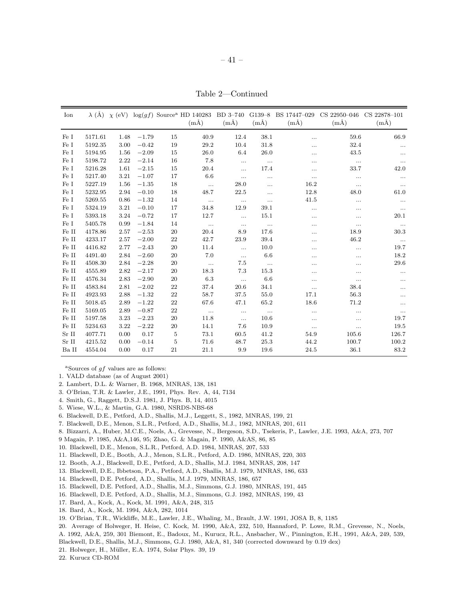Table 2—Continued

| Ion         |         | $\lambda$ (Å) $\chi$ (eV) |         |           | $log(gf)$ Source <sup>a</sup> HD 140283<br>$(m\AA)$ | BD 3-740<br>$(m\AA)$ | $G139-8$<br>$(m\AA)$ | BS 17447-029<br>$(m\AA)$ | CS 22950-046<br>$(m\AA)$ | CS 22878-101<br>$(m\AA)$ |
|-------------|---------|---------------------------|---------|-----------|-----------------------------------------------------|----------------------|----------------------|--------------------------|--------------------------|--------------------------|
| Fe I        | 5171.61 | 1.48                      | $-1.79$ | 15        | 40.9                                                | 12.4                 | 38.1                 | .                        | 59.6                     | 66.9                     |
| Fe I        | 5192.35 | 3.00                      | $-0.42$ | 19        | 29.2                                                | 10.4                 | 31.8                 | .                        | 32.4                     | $\ldots$                 |
| Fe I        | 5194.95 | 1.56                      | $-2.09$ | 15        | 26.0                                                | 6.4                  | 26.0                 | .                        | 43.5                     | $\cdots$                 |
| Fe I        | 5198.72 | 2.22                      | $-2.14$ | 16        | 7.8                                                 | $\ldots$             | $\ldots$             |                          | $\ldots$                 | $\cdots$                 |
| $\rm Fe~I$  | 5216.28 | 1.61                      | $-2.15$ | 15        | 20.4                                                | $\ldots$             | 17.4                 |                          | 33.7                     | 42.0                     |
| $\rm Fe~I$  | 5217.40 | 3.21                      | $-1.07$ | 17        | 6.6                                                 | $\ldots$             | $\ldots$             | .                        | $\ldots$                 | $\ldots$                 |
| $\rm Fe~I$  | 5227.19 | 1.56                      | $-1.35$ | 18        | $\ddots$                                            | 28.0                 | .                    | 16.2                     | $\cdots$                 | $\ldots$                 |
| Fe I        | 5232.95 | 2.94                      | $-0.10$ | 18        | 48.7                                                | 22.5                 | $\cdots$             | 12.8                     | 48.0                     | 61.0                     |
| Fe I        | 5269.55 | 0.86                      | $-1.32$ | 14        | $\ldots$                                            | $\ldots$             | $\cdots$             | 41.5                     | $\cdots$                 | $\ldots$                 |
| $\rm Fe~I$  | 5324.19 | 3.21                      | $-0.10$ | 17        | 34.8                                                | 12.9                 | 39.1                 | $\cdots$                 | $\cdots$                 | $\ldots$                 |
| Fe I        | 5393.18 | 3.24                      | $-0.72$ | 17        | 12.7                                                | $\ldots$             | 15.1                 | .                        | $\ldots$                 | 20.1                     |
| Fe I        | 5405.78 | 0.99                      | $-1.84$ | 14        | $\ldots$                                            | $\ldots$             | $\cdots$             | .                        | $\ldots$                 | $\cdots$                 |
| Fe II       | 4178.86 | 2.57                      | $-2.53$ | 20        | 20.4                                                | 8.9                  | 17.6                 | $\ddotsc$                | 18.9                     | 30.3                     |
| Fe II       | 4233.17 | 2.57                      | $-2.00$ | 22        | 42.7                                                | 23.9                 | 39.4                 | .                        | 46.2                     | $\ldots$                 |
| Fe II       | 4416.82 | 2.77                      | $-2.43$ | 20        | 11.4                                                | $\ddotsc$            | 10.0                 |                          | $\ddotsc$                | 19.7                     |
| Fe II       | 4491.40 | 2.84                      | $-2.60$ | 20        | 7.0                                                 | $\ldots$             | 6.6                  |                          | $\cdots$                 | 18.2                     |
| Fe II       | 4508.30 | 2.84                      | $-2.28$ | 20        | $\ddotsc$                                           | 7.5                  | $\ddots$             | .                        | $\cdots$                 | 29.6                     |
| Fe II       | 4555.89 | 2.82                      | $-2.17$ | 20        | 18.3                                                | 7.3                  | 15.3                 |                          | $\cdots$                 | $\ldots$                 |
| Fe II       | 4576.34 | 2.83                      | $-2.90$ | 20        | 6.3                                                 | $\ldots$             | 6.6                  | .                        | $\ldots$                 | $\ddotsc$                |
| Fe II       | 4583.84 | 2.81                      | $-2.02$ | 22        | 37.4                                                | 20.6                 | 34.1                 | .                        | 38.4                     | $\ddotsc$                |
| Fe II       | 4923.93 | 2.88                      | $-1.32$ | $\bf{22}$ | 58.7                                                | 37.5                 | 55.0                 | 17.1                     | 56.3                     | $\cdots$                 |
| $\rm Fe~II$ | 5018.45 | 2.89                      | $-1.22$ | 22        | 67.6                                                | 47.1                 | 65.2                 | 18.6                     | 71.2                     | $\cdots$                 |
| Fe II       | 5169.05 | 2.89                      | $-0.87$ | 22        | $\ldots$                                            | $\ldots$             | $\ldots$             | $\cdots$                 | $\cdots$                 | $\cdots$                 |
| Fe II       | 5197.58 | 3.23                      | $-2.23$ | 20        | 11.8                                                | $\ldots$             | 10.6                 | $\cdots$                 | $\ldots$                 | 19.7                     |
| Fe II       | 5234.63 | 3.22                      | $-2.22$ | 20        | 14.1                                                | 7.6                  | 10.9                 | $\ddots$                 | $\ldots$                 | 19.5                     |
| $Sr$ II     | 4077.71 | 0.00                      | 0.17    | 5         | 73.1                                                | 60.5                 | 41.2                 | 54.9                     | 105.6                    | 126.7                    |
| Sr II       | 4215.52 | 0.00                      | $-0.14$ | 5         | 71.6                                                | 48.7                 | 25.3                 | 44.2                     | 100.7                    | 100.2                    |
| Ba II       | 4554.04 | 0.00                      | 0.17    | 21        | 21.1                                                | 9.9                  | 19.6                 | 24.5                     | 36.1                     | 83.2                     |

<sup>a</sup>Sources of  $qf$  values are as follows:

- 1. VALD database (as of August 2001)
- 2. Lambert, D.L. & Warner, B. 1968, MNRAS, 138, 181
- 3. O'Brian, T.R. & Lawler, J.E., 1991, Phys. Rev. A, 44, 7134
- 4. Smith, G., Raggett, D.S.J. 1981, J. Phys. B, 14, 4015
- 5. Wiese, W.L., & Martin, G.A. 1980, NSRDS-NBS-68
- 6. Blackwell, D.E., Petford, A.D., Shallis, M.J., Leggett, S., 1982, MNRAS, 199, 21
- 7. Blackwell, D.E., Menon, S.L.R., Petford, A.D., Shallis, M.J., 1982, MNRAS, 201, 611
- 8. Bizzarri, A., Huber, M.C.E., Noels, A., Grevesse, N., Bergeson, S.D., Tsekeris, P., Lawler, J.E. 1993, A&A, 273, 707
- 9 Magain, P. 1985, A&A,146, 95; Zhao, G. & Magain, P. 1990, A&AS, 86, 85
- 10. Blackwell, D.E., Menon, S.L.R., Petford, A.D. 1984, MNRAS, 207, 533
- 11. Blackwell, D.E., Booth, A.J., Menon, S.L.R., Petford, A.D. 1986, MNRAS, 220, 303
- 12. Booth, A.J., Blackwell, D.E., Petford, A.D., Shallis, M.J. 1984, MNRAS, 208, 147
- 13. Blackwell, D.E., Ibbetson, P.A., Petford, A.D., Shallis, M.J. 1979, MNRAS, 186, 633
- 14. Blackwell, D.E. Petford, A.D., Shallis, M.J. 1979, MNRAS, 186, 657
- 15. Blackwell, D.E. Petford, A.D., Shallis, M.J., Simmons, G.J. 1980, MNRAS, 191, 445
- 16. Blackwell, D.E. Petford, A.D., Shallis, M.J., Simmons, G.J. 1982, MNRAS, 199, 43
- 17. Bard, A., Kock, A., Kock, M. 1991, A&A, 248, 315
- 18. Bard, A., Kock, M. 1994, A&A, 282, 1014
- 19. O'Brian, T.R., Wickliffe, M.E., Lawler, J.E., Whaling, M., Brault, J.W. 1991, JOSA B, 8, 1185
- 20. Average of Holweger, H. Heise, C. Kock, M. 1990, A&A, 232, 510, Hannaford, P. Lowe, R.M., Grevesse, N., Noels, A. 1992, A&A, 259, 301 Biemont, E., Badoux, M., Kurucz, R.L., Ansbacher, W., Pinnington, E.H., 1991, A&A, 249, 539,
- Blackwell, D.E., Shallis, M.J., Simmons, G.J. 1980, A&A, 81, 340 (corrected downward by 0.19 dex)
- 21. Holweger, H., Müller, E.A. 1974, Solar Phys. 39, 19
- 22. Kurucz CD-ROM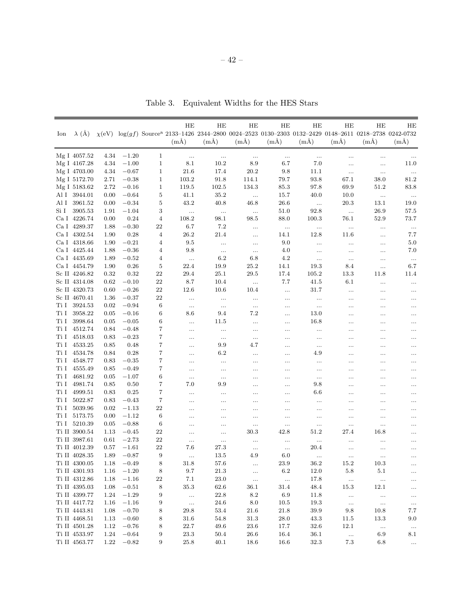| Ion          | $\lambda$ (Å)        |              |                    |                | HE               | HE               | HE               | HE              | HE                    | HE              | HE<br>$\chi$ (eV) log(gf) Source <sup>a</sup> 2133-1426 2344-2800 0024-2523 0130-2303 0132-2429 0148-2611 0218-2738 0242-0732 | HE              |
|--------------|----------------------|--------------|--------------------|----------------|------------------|------------------|------------------|-----------------|-----------------------|-----------------|-------------------------------------------------------------------------------------------------------------------------------|-----------------|
|              |                      |              |                    |                | $(m\AA)$         | $(m\AA)$         | $(m\AA)$         | $(m\AA)$        | $(m\AA)$              | $(m\AA)$        | $(m\AA)$                                                                                                                      | $(m\AA)$        |
|              |                      |              |                    |                |                  |                  |                  |                 |                       |                 |                                                                                                                               |                 |
|              | Mg I 4057.52         | 4.34         | $-1.20$            | $\mathbf{1}$   | $\ldots$         | $\ldots$         | $\ldots$         | $\ldots$        | $\ldots$              | $\ddotsc$       | $\ddotsc$                                                                                                                     | $\cdots$        |
|              | Mg I 4167.28         | 4.34         | $-1.00$            | $\mathbf{1}$   | 8.1              | 10.2             | 8.9              | 6.7             | 7.0                   |                 | $\ldots$                                                                                                                      | 11.0            |
|              | Mg I 4703.00         | 4.34         | $-0.67$            | 1              | 21.6             | 17.4             | 20.2             | 9.8             | 11.1                  | $\ldots$        | $\ldots$                                                                                                                      | $\ldots$        |
|              | Mg I 5172.70         | 2.71         | $-0.38$            | $\mathbf{1}$   | 103.2            | 91.8             | 114.1            | 79.7            | 93.8                  | 67.1            | 38.0                                                                                                                          | 81.2            |
|              | Mg I 5183.62         | 2.72         | $-0.16$            | $\mathbf{1}$   | 119.5            | 102.5            | 134.3            | 85.3            | 97.8                  | 69.9            | 51.2                                                                                                                          | 83.8            |
|              | Al I 3944.01         | 0.00         | $-0.64$            | 5              | 41.1             | 35.2             | $\ldots$         | 15.7            | 40.0                  | 10.0            | $\ldots$                                                                                                                      | $\ldots$        |
| Al I         | 3961.52              | 0.00         | $-0.34$            | $\bf 5$        | 43.2             | 40.8             | 46.8             | $26.6\,$        | $\ldots$              | 20.3            | 13.1                                                                                                                          | 19.0            |
| Si I         | 3905.53              | 1.91         | $-1.04$            | 3              | $\ldots$         | $\ldots$         | $\ldots$         | 51.0            | 92.8                  | $\ldots$        | 26.9                                                                                                                          | 57.5            |
|              | Ca I 4226.74         | 0.00         | 0.24               | $\overline{4}$ | 108.2            | 98.1             | 98.5             | 88.0            | 100.3                 | 76.1            | 52.9                                                                                                                          | 73.7            |
|              | Ca I 4289.37         | 1.88         | $-0.30$            | $22\,$         | 6.7              | 7.2              |                  | $\ldots$        | $\ldots$              | $\cdots$        | $\cdots$                                                                                                                      | $\ldots$        |
|              | Ca I 4302.54         | 1.90         | 0.28               | $\overline{4}$ | 26.2             | 21.4             | $\ldots$         | 14.1            | 12.8                  | 11.6            |                                                                                                                               | 7.7             |
|              | Ca I 4318.66         | 1.90         | $-0.21$            | 4              | 9.5              | $\ldots$         | $\ldots$         | 9.0             | $\ldots$              | $\ldots$        | $\cdots$                                                                                                                      | $5.0\,$         |
|              | Ca I 4425.44         | 1.88         | $-0.36$            | 4              | 9.8              | $\ldots$         | $\ldots$         | 4.0             | $\ldots$              | $\ldots$        | $\cdots$                                                                                                                      | 7.0             |
|              | Ca I 4435.69         | 1.89         | $-0.52$            | 4              | $\ldots$         | 6.2              | 6.8              | 4.2             | $\ldots$              | $\ldots$        | $\cdots$                                                                                                                      | $\ldots$        |
|              | Ca I 4454.79         | 1.90         | 0.26               | 5              | 22.4             | 19.9             | 25.2             | 14.1            | 19.3                  | 8.4             |                                                                                                                               | 6.7             |
|              | Sc II 4246.82        | 0.32         | 0.32               | 22             | 29.4             | 25.1             | 29.5             | 17.4            | 105.2                 | 13.3            | 11.8                                                                                                                          | 11.4            |
|              | Sc II 4314.08        | 0.62         | $-0.10$            | 22             | 8.7              | 10.4             | $\ldots$         | 7.7             | 41.5                  | 6.1             | $\ldots$                                                                                                                      | $\ldots$        |
|              | Sc II 4320.73        | 0.60         | $-0.26$            | 22             | 12.6             | 10.6             | 10.4             | $\ldots$        | 31.7                  | $\ldots$        |                                                                                                                               | $\ldots$        |
|              | Sc II 4670.41        | 1.36         | $-0.37$            | 22             | $\ldots$         | $\ldots$         | $\ldots$         | $\ldots$        | $\ldots$              |                 |                                                                                                                               | $\ldots$        |
| Ti I         | 3924.53              | 0.02         | $-0.94$            | 6              | $\ldots$         | $\ldots$         | $\ldots$         | $\ldots$        | $\ldots$              | $\ddotsc$       | $\ddotsc$                                                                                                                     | $\ldots$        |
| Ti I         | 3958.22              | 0.05         | $-0.16$            | 6              | 8.6              | 9.4              | 7.2              |                 | 13.0                  | $\ddotsc$       | $\ddotsc$                                                                                                                     | .               |
| $\rm Ti~I$   | 3998.64              | 0.05         | $-0.05$            | 6              | $\cdots$         | 11.5             | .                | $\ldots$        | 16.8                  | $\ddotsc$       | $\ddotsc$                                                                                                                     | $\ddots$        |
| Ti I         | 4512.74              | 0.84         | $-0.48$            | 7              | $\ldots$         | $\ldots$         | .                | $\ldots$        | $\ldots$              |                 |                                                                                                                               | $\cdots$        |
| Ti I         | 4518.03              | 0.83         | $-0.23$            | 7              | $\cdots$         | $\ldots$         | $\ldots$         | $\ldots$        | $\ldots$              | $\ddotsc$       |                                                                                                                               | $\cdots$        |
| Ti I         | 4533.25              | 0.85         | 0.48               | 7              | $\cdots$         | 9.9              | 4.7              | $\ldots$        | $\ldots$              | $\ddotsc$       |                                                                                                                               | $\cdots$        |
| Ti I         | 4534.78              | 0.84         | 0.28               | 7              | $\cdots$         | 6.2              | .                | $\ldots$        | 4.9                   | $\ddotsc$       |                                                                                                                               | $\cdots$        |
| Ti I         | 4548.77              | 0.83         | $-0.35$            | 7              | $\cdots$         | $\ldots$         |                  | $\ldots$        |                       |                 |                                                                                                                               | $\cdots$        |
| Ti I         | 4555.49              | $_{0.85}$    | $-0.49$            | 7              | $\cdots$         | $\ldots$         |                  | $\ldots$        | $\ldots$              | $\ddotsc$       |                                                                                                                               | $\ldots$        |
| Ti I         | 4681.92              | 0.05         | $-1.07$            | 6              | $\cdots$         | $\cdots$         | .                |                 | $\ldots$              | $\cdots$        | $\cdots$                                                                                                                      | $\ldots$        |
| Ti I         | 4981.74              | 0.85         | 0.50               | 7              | 7.0              | 9.9              | .                | $\cdots$        | 9.8                   | $\ddotsc$       | $\cdots$                                                                                                                      | $\cdots$        |
| Ti I         | 4999.51              | 0.83         | 0.25               | 7              | $\cdots$         | $\cdots$         | .                | $\cdots$        | 6.6                   | $\cdots$        | $\cdots$                                                                                                                      | $\cdots$        |
| Ti I         | 5022.87              | 0.83         | $-0.43$            | 7              | $\cdots$         | .                | .                | $\cdots$        | $\cdots$              | $\cdots$        | $\cdots$                                                                                                                      | $\cdots$        |
| Ti I<br>Ti I | 5039.96              | 0.02         | $-1.13$            | 22             |                  |                  | .                | $\cdots$        |                       | $\cdots$        | $\cdots$                                                                                                                      | $\cdots$        |
| Ti I         | 5173.75<br>5210.39   | 0.00<br>0.05 | $-1.12$<br>$-0.88$ | 6<br>6         | .                | .                | .                | $\cdots$        |                       | $\ddotsc$       |                                                                                                                               | $\cdots$        |
|              | $\rm Ti~II~$ 3900.54 | 1.13         |                    | 22             | .                | .                | $\cdots$<br>30.3 | $\ldots$        | $\ldots$<br>$^{51.2}$ |                 | $\cdots$<br>16.8                                                                                                              | $\cdots$        |
|              | Ti II 3987.61        | 0.61         | $-0.45$<br>$-2.73$ | 22             | .                | .                |                  | 42.8            |                       | 27.4            |                                                                                                                               | $\cdots$        |
|              | Ti II 4012.39        | 0.57         | $-1.61$            | 22             | $\cdots$<br>7.6  | $\ldots$<br>27.3 | $\ldots$         | $\ldots$        | $\ldots$<br>20.4      | $\ddotsc$       |                                                                                                                               | $\cdots$        |
|              | Ti II 4028.35        | 1.89         | $-0.87$            | 9              |                  | 13.5             | $\ldots$<br>4.9  | $\ldots$<br>6.0 |                       |                 |                                                                                                                               | $\cdots$        |
|              | Ti II 4300.05        | 1.18         | $-0.49$            | 8              | 31.8             | 57.6             |                  | 23.9            | 36.2                  | 15.2            | 10.3                                                                                                                          |                 |
|              | Ti II 4301.93        | 1.16         | $-1.20$            | $\,8\,$        | $9.7\,$          | $21.3\,$         |                  | $6.2\,$         | 12.0                  | $5.8\,$         | $5.1\,$                                                                                                                       | $\ldots$        |
|              | Ti II 4312.86        | 1.18         | $-1.16$            | $\bf{22}$      | 7.1              | $23.0\,$         | $\ldots$         | $\ldots$        | 17.8                  | $\ldots$        |                                                                                                                               | $\ldots$        |
|              | Ti II 4395.03        |              | $-0.51$            |                | $35.3\,$         | 62.6             | $\ldots$<br>36.1 | 31.4            | 48.4                  | 15.3            | $\ldots$<br>12.1                                                                                                              | $\ldots$        |
|              | Ti II 4399.77        | 1.08<br>1.24 | $-1.29$            | 8<br>9         |                  | $22.8\,$         | $\!\!\!\!\!8.2$  | $6.9\,$         | 11.8                  |                 |                                                                                                                               | $\ldots$        |
|              | Ti II 4417.72        | 1.16         | $-1.16$            | 9              | $\ddotsc$        | $24.6\,$         | $\!\!\!\!\!8.0$  | $10.5\,$        | 19.3                  | $\ldots$        | $\ldots$                                                                                                                      | $\ldots$        |
|              | Ti II 4443.81        | 1.08         | $-0.70$            | 8              | $\ldots$<br>29.8 | 53.4             | 21.6             | 21.8            | 39.9                  | $\ldots$<br>9.8 | $\ldots$<br>10.8                                                                                                              | $\ldots$<br>7.7 |
|              | Ti II 4468.51        | 1.13         | $-0.60$            | 8              | 31.6             | 54.8             | 31.3             | 28.0            | 43.3                  | 11.5            | 13.3                                                                                                                          | 9.0             |
|              | Ti II 4501.28        | 1.12         | $-0.76$            | 8              | 22.7             | 49.6             | 23.6             | 17.7            | 32.6                  | 12.1            |                                                                                                                               |                 |
|              | Ti II 4533.97        | 1.24         | $-0.64$            | 9              | 23.3             | 50.4             | 26.6             | 16.4            | 36.1                  |                 | $\ldots$<br>6.9                                                                                                               | $\ldots$<br>8.1 |
|              | Ti II 4563.77        | 1.22         | $-0.82$            | 9              | 25.8             | 40.1             | 18.6             | 16.6            | 32.3                  | $\ldots$<br>7.3 | 6.8                                                                                                                           | $\ldots$        |
|              |                      |              |                    |                |                  |                  |                  |                 |                       |                 |                                                                                                                               |                 |

Table 3. Equivalent Widths for the HES Stars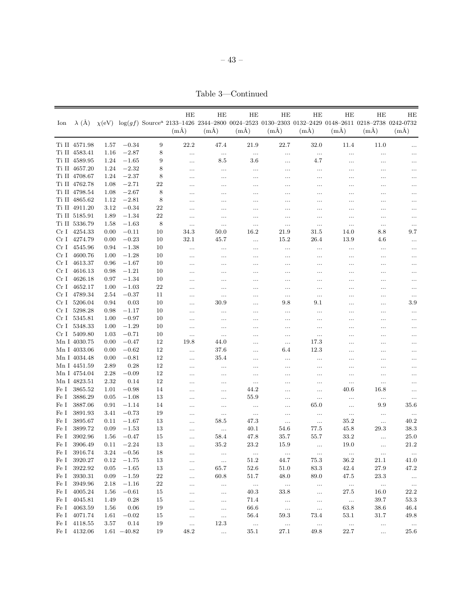Table 3—Continued

| $\chi$ (eV) log(gf) Source <sup>a</sup> 2133-1426 2344-2800 0024-2523 0130-2303 0132-2429 0148-2611 0218-2738 0242-0732<br>$\lambda$ (Å)<br>Ion<br>$(m\AA)$<br>$(m\AA)$<br>$(m\AA)$<br>$(m\AA)$<br>$(m\AA)$<br>$(m\AA)$<br>$(m\AA)$<br>$(m\AA)$<br>Ti II 4571.98<br>$-0.34$<br>9<br>22.2<br>47.4<br>21.9<br>22.7<br>32.0<br>11.4<br>1.57<br>11.0<br>Ti II 4583.41<br>$-2.87$<br>8<br>1.16<br>$\ldots$<br><br>$\cdots$<br>$\ldots$<br>$\cdots$<br>$\cdots$<br>$\ldots$<br>$-1.65$<br>9<br>Ti II 4589.95<br>1.24<br>8.5<br>$_{3.6}$<br>4.7<br><br><br>$\ldots$<br>$\ldots$<br>$-2.32$<br>Ti II 4657.20<br>8<br>1.24<br><br>$\cdots$<br>$\ldots$<br><br>$\cdots$<br>$\cdots$<br>$\cdots$<br>$-2.37$<br>8<br>Ti II 4708.67<br>1.24<br><br><br><br>$\cdots$<br>$\cdots$<br>$\cdots$<br><br>Ti II 4762.78<br>$-2.71$<br>22<br>1.08<br><br><br><br><br>$\cdots$<br>$\cdots$<br>$\ddots$<br>$-2.67$<br>8<br>Ti II 4798.54<br>1.08<br><br><br>.<br>$\cdots$<br>$\cdots$<br><br><br>$-2.81$<br>8<br>Ti II 4865.62<br>1.12<br><br><br><br>$\ddotsc$<br>$\ddots$<br><br>$\ddotsc$<br>Ti II 4911.20<br>3.12<br>$-0.34$<br>22<br><br><br><br>$\ldots$<br><br>$\cdots$<br>$\cdots$<br>Ti II 5185.91<br>$-1.34$<br>22<br>1.89<br><br><br><br><br><br>$\ldots$<br>$\cdots$<br>Ti II 5336.79<br>$-1.63$<br>1.58<br>8<br><br>$\cdots$<br>$\cdots$<br><br>$\ldots$<br>$\ldots$<br>$\ldots$<br>Cr I 4254.33<br>$-0.11$<br>34.3<br>16.2<br>0.00<br>10<br>50.0<br>21.9<br>31.5<br>14.0<br>8.8<br>Cr I 4274.79<br>$-0.23$<br>0.00<br>10<br>32.1<br>45.7<br>15.2<br>26.4<br>13.9<br>4.6<br><br>Cr I 4545.96<br>$-1.38$<br>0.94<br>10<br><br><br><br><br><br>$\ldots$<br>$\ldots$<br>Cr I 4600.76<br>$-1.28$<br>10<br>1.00<br><br><br><br><br><br>$\ldots$<br>$\ddotsc$<br>Cr I 4613.37<br>$-1.67$<br>0.96<br>10<br><br>.<br>.<br><br>$\cdots$<br>$\cdots$<br>$\cdots$<br>Cr I 4616.13<br>$-1.21$<br>10<br>0.98<br><br><br><br>$\cdots$<br>$\cdots$<br>$\cdots$<br>$\ddots$<br>Cr I 4626.18<br>$-1.34$<br>0.97<br>10<br><br><br>.<br><br>$\cdots$<br>$\cdots$<br><br>Cr I 4652.17<br>$-1.03$<br>22<br>1.00<br><br><br><br><br>$\ddotsc$<br>$\cdots$<br>$\ddots$<br>Cr I 4789.34<br>$-0.37$<br>2.54<br>11<br><br>.<br>.<br><br>.<br>$\ldots$<br>$\cdots$<br>Cr I 5206.04 |  |      |      |    | HE | HE   | HE | HE       | HE  | HЕ        | HE       | HE                          |
|-----------------------------------------------------------------------------------------------------------------------------------------------------------------------------------------------------------------------------------------------------------------------------------------------------------------------------------------------------------------------------------------------------------------------------------------------------------------------------------------------------------------------------------------------------------------------------------------------------------------------------------------------------------------------------------------------------------------------------------------------------------------------------------------------------------------------------------------------------------------------------------------------------------------------------------------------------------------------------------------------------------------------------------------------------------------------------------------------------------------------------------------------------------------------------------------------------------------------------------------------------------------------------------------------------------------------------------------------------------------------------------------------------------------------------------------------------------------------------------------------------------------------------------------------------------------------------------------------------------------------------------------------------------------------------------------------------------------------------------------------------------------------------------------------------------------------------------------------------------------------------------------------------------------------------------------------------------------------------------------------------------------------------------------------------------------------------------------------------------------------------------------------------------------------------------------------------------------------------------------------|--|------|------|----|----|------|----|----------|-----|-----------|----------|-----------------------------|
|                                                                                                                                                                                                                                                                                                                                                                                                                                                                                                                                                                                                                                                                                                                                                                                                                                                                                                                                                                                                                                                                                                                                                                                                                                                                                                                                                                                                                                                                                                                                                                                                                                                                                                                                                                                                                                                                                                                                                                                                                                                                                                                                                                                                                                               |  |      |      |    |    |      |    |          |     |           |          |                             |
|                                                                                                                                                                                                                                                                                                                                                                                                                                                                                                                                                                                                                                                                                                                                                                                                                                                                                                                                                                                                                                                                                                                                                                                                                                                                                                                                                                                                                                                                                                                                                                                                                                                                                                                                                                                                                                                                                                                                                                                                                                                                                                                                                                                                                                               |  |      |      |    |    |      |    |          |     |           |          |                             |
|                                                                                                                                                                                                                                                                                                                                                                                                                                                                                                                                                                                                                                                                                                                                                                                                                                                                                                                                                                                                                                                                                                                                                                                                                                                                                                                                                                                                                                                                                                                                                                                                                                                                                                                                                                                                                                                                                                                                                                                                                                                                                                                                                                                                                                               |  |      |      |    |    |      |    |          |     |           |          | $\ldots$                    |
|                                                                                                                                                                                                                                                                                                                                                                                                                                                                                                                                                                                                                                                                                                                                                                                                                                                                                                                                                                                                                                                                                                                                                                                                                                                                                                                                                                                                                                                                                                                                                                                                                                                                                                                                                                                                                                                                                                                                                                                                                                                                                                                                                                                                                                               |  |      |      |    |    |      |    |          |     |           |          | $\cdots$                    |
|                                                                                                                                                                                                                                                                                                                                                                                                                                                                                                                                                                                                                                                                                                                                                                                                                                                                                                                                                                                                                                                                                                                                                                                                                                                                                                                                                                                                                                                                                                                                                                                                                                                                                                                                                                                                                                                                                                                                                                                                                                                                                                                                                                                                                                               |  |      |      |    |    |      |    |          |     |           |          | $\ddotsc$                   |
|                                                                                                                                                                                                                                                                                                                                                                                                                                                                                                                                                                                                                                                                                                                                                                                                                                                                                                                                                                                                                                                                                                                                                                                                                                                                                                                                                                                                                                                                                                                                                                                                                                                                                                                                                                                                                                                                                                                                                                                                                                                                                                                                                                                                                                               |  |      |      |    |    |      |    |          |     |           |          | $\cdots$                    |
|                                                                                                                                                                                                                                                                                                                                                                                                                                                                                                                                                                                                                                                                                                                                                                                                                                                                                                                                                                                                                                                                                                                                                                                                                                                                                                                                                                                                                                                                                                                                                                                                                                                                                                                                                                                                                                                                                                                                                                                                                                                                                                                                                                                                                                               |  |      |      |    |    |      |    |          |     |           |          | $\cdots$                    |
|                                                                                                                                                                                                                                                                                                                                                                                                                                                                                                                                                                                                                                                                                                                                                                                                                                                                                                                                                                                                                                                                                                                                                                                                                                                                                                                                                                                                                                                                                                                                                                                                                                                                                                                                                                                                                                                                                                                                                                                                                                                                                                                                                                                                                                               |  |      |      |    |    |      |    |          |     |           |          | $\cdots$                    |
|                                                                                                                                                                                                                                                                                                                                                                                                                                                                                                                                                                                                                                                                                                                                                                                                                                                                                                                                                                                                                                                                                                                                                                                                                                                                                                                                                                                                                                                                                                                                                                                                                                                                                                                                                                                                                                                                                                                                                                                                                                                                                                                                                                                                                                               |  |      |      |    |    |      |    |          |     |           |          | $\cdots$                    |
|                                                                                                                                                                                                                                                                                                                                                                                                                                                                                                                                                                                                                                                                                                                                                                                                                                                                                                                                                                                                                                                                                                                                                                                                                                                                                                                                                                                                                                                                                                                                                                                                                                                                                                                                                                                                                                                                                                                                                                                                                                                                                                                                                                                                                                               |  |      |      |    |    |      |    |          |     |           |          | $\cdots$                    |
|                                                                                                                                                                                                                                                                                                                                                                                                                                                                                                                                                                                                                                                                                                                                                                                                                                                                                                                                                                                                                                                                                                                                                                                                                                                                                                                                                                                                                                                                                                                                                                                                                                                                                                                                                                                                                                                                                                                                                                                                                                                                                                                                                                                                                                               |  |      |      |    |    |      |    |          |     |           |          | $\ldots$                    |
|                                                                                                                                                                                                                                                                                                                                                                                                                                                                                                                                                                                                                                                                                                                                                                                                                                                                                                                                                                                                                                                                                                                                                                                                                                                                                                                                                                                                                                                                                                                                                                                                                                                                                                                                                                                                                                                                                                                                                                                                                                                                                                                                                                                                                                               |  |      |      |    |    |      |    |          |     |           |          | $\cdots$                    |
|                                                                                                                                                                                                                                                                                                                                                                                                                                                                                                                                                                                                                                                                                                                                                                                                                                                                                                                                                                                                                                                                                                                                                                                                                                                                                                                                                                                                                                                                                                                                                                                                                                                                                                                                                                                                                                                                                                                                                                                                                                                                                                                                                                                                                                               |  |      |      |    |    |      |    |          |     |           |          | $\ldots$                    |
|                                                                                                                                                                                                                                                                                                                                                                                                                                                                                                                                                                                                                                                                                                                                                                                                                                                                                                                                                                                                                                                                                                                                                                                                                                                                                                                                                                                                                                                                                                                                                                                                                                                                                                                                                                                                                                                                                                                                                                                                                                                                                                                                                                                                                                               |  |      |      |    |    |      |    |          |     |           |          | 9.7                         |
|                                                                                                                                                                                                                                                                                                                                                                                                                                                                                                                                                                                                                                                                                                                                                                                                                                                                                                                                                                                                                                                                                                                                                                                                                                                                                                                                                                                                                                                                                                                                                                                                                                                                                                                                                                                                                                                                                                                                                                                                                                                                                                                                                                                                                                               |  |      |      |    |    |      |    |          |     |           |          | $\ldots$                    |
|                                                                                                                                                                                                                                                                                                                                                                                                                                                                                                                                                                                                                                                                                                                                                                                                                                                                                                                                                                                                                                                                                                                                                                                                                                                                                                                                                                                                                                                                                                                                                                                                                                                                                                                                                                                                                                                                                                                                                                                                                                                                                                                                                                                                                                               |  |      |      |    |    |      |    |          |     |           |          | $\ldots$                    |
|                                                                                                                                                                                                                                                                                                                                                                                                                                                                                                                                                                                                                                                                                                                                                                                                                                                                                                                                                                                                                                                                                                                                                                                                                                                                                                                                                                                                                                                                                                                                                                                                                                                                                                                                                                                                                                                                                                                                                                                                                                                                                                                                                                                                                                               |  |      |      |    |    |      |    |          |     |           |          | $\ldots$                    |
|                                                                                                                                                                                                                                                                                                                                                                                                                                                                                                                                                                                                                                                                                                                                                                                                                                                                                                                                                                                                                                                                                                                                                                                                                                                                                                                                                                                                                                                                                                                                                                                                                                                                                                                                                                                                                                                                                                                                                                                                                                                                                                                                                                                                                                               |  |      |      |    |    |      |    |          |     |           |          | $\ddotsc$                   |
|                                                                                                                                                                                                                                                                                                                                                                                                                                                                                                                                                                                                                                                                                                                                                                                                                                                                                                                                                                                                                                                                                                                                                                                                                                                                                                                                                                                                                                                                                                                                                                                                                                                                                                                                                                                                                                                                                                                                                                                                                                                                                                                                                                                                                                               |  |      |      |    |    |      |    |          |     |           |          | $\cdots$                    |
|                                                                                                                                                                                                                                                                                                                                                                                                                                                                                                                                                                                                                                                                                                                                                                                                                                                                                                                                                                                                                                                                                                                                                                                                                                                                                                                                                                                                                                                                                                                                                                                                                                                                                                                                                                                                                                                                                                                                                                                                                                                                                                                                                                                                                                               |  |      |      |    |    |      |    |          |     |           |          | $\ddotsc$                   |
|                                                                                                                                                                                                                                                                                                                                                                                                                                                                                                                                                                                                                                                                                                                                                                                                                                                                                                                                                                                                                                                                                                                                                                                                                                                                                                                                                                                                                                                                                                                                                                                                                                                                                                                                                                                                                                                                                                                                                                                                                                                                                                                                                                                                                                               |  |      |      |    |    |      |    |          |     |           |          | $\cdots$                    |
|                                                                                                                                                                                                                                                                                                                                                                                                                                                                                                                                                                                                                                                                                                                                                                                                                                                                                                                                                                                                                                                                                                                                                                                                                                                                                                                                                                                                                                                                                                                                                                                                                                                                                                                                                                                                                                                                                                                                                                                                                                                                                                                                                                                                                                               |  |      |      |    |    |      |    |          |     |           |          | $\ldots$                    |
|                                                                                                                                                                                                                                                                                                                                                                                                                                                                                                                                                                                                                                                                                                                                                                                                                                                                                                                                                                                                                                                                                                                                                                                                                                                                                                                                                                                                                                                                                                                                                                                                                                                                                                                                                                                                                                                                                                                                                                                                                                                                                                                                                                                                                                               |  | 0.94 | 0.03 | 10 |    | 30.9 | .  | $_{9.8}$ | 9.1 | $\ddotsc$ | $\cdots$ | $3.9\,$                     |
| Cr I 5298.28<br>$-1.17$<br>10<br>0.98<br><br>.<br>.<br>$\cdots$<br>$\ddotsc$<br>$\cdots$<br>$\cdots$                                                                                                                                                                                                                                                                                                                                                                                                                                                                                                                                                                                                                                                                                                                                                                                                                                                                                                                                                                                                                                                                                                                                                                                                                                                                                                                                                                                                                                                                                                                                                                                                                                                                                                                                                                                                                                                                                                                                                                                                                                                                                                                                          |  |      |      |    |    |      |    |          |     |           |          | $\ldots$                    |
| Cr I 5345.81<br>$-0.97$<br>1.00<br>10<br>.<br>$\cdots$<br><br>$\cdots$<br><br>$\ddotsc$<br>$\ddotsc$                                                                                                                                                                                                                                                                                                                                                                                                                                                                                                                                                                                                                                                                                                                                                                                                                                                                                                                                                                                                                                                                                                                                                                                                                                                                                                                                                                                                                                                                                                                                                                                                                                                                                                                                                                                                                                                                                                                                                                                                                                                                                                                                          |  |      |      |    |    |      |    |          |     |           |          | $\cdots$                    |
| Cr I 5348.33<br>$-1.29$<br>1.00<br>10<br>.<br><br><br>.<br>$\ddotsc$<br>$\ldots$<br>$\cdots$                                                                                                                                                                                                                                                                                                                                                                                                                                                                                                                                                                                                                                                                                                                                                                                                                                                                                                                                                                                                                                                                                                                                                                                                                                                                                                                                                                                                                                                                                                                                                                                                                                                                                                                                                                                                                                                                                                                                                                                                                                                                                                                                                  |  |      |      |    |    |      |    |          |     |           |          | $\cdots$                    |
| Cr I 5409.80<br>$-0.71$<br>1.03<br>10<br><br><br>$\cdots$<br><br><br>$\ldots$<br>$\ddotsc$                                                                                                                                                                                                                                                                                                                                                                                                                                                                                                                                                                                                                                                                                                                                                                                                                                                                                                                                                                                                                                                                                                                                                                                                                                                                                                                                                                                                                                                                                                                                                                                                                                                                                                                                                                                                                                                                                                                                                                                                                                                                                                                                                    |  |      |      |    |    |      |    |          |     |           |          | $\ldots$                    |
| Mn I 4030.75<br>$-0.47$<br>12<br>19.8<br>17.3<br>0.00<br>44.0<br>$\ldots$<br><br><br>$\ldots$                                                                                                                                                                                                                                                                                                                                                                                                                                                                                                                                                                                                                                                                                                                                                                                                                                                                                                                                                                                                                                                                                                                                                                                                                                                                                                                                                                                                                                                                                                                                                                                                                                                                                                                                                                                                                                                                                                                                                                                                                                                                                                                                                 |  |      |      |    |    |      |    |          |     |           |          | .                           |
| Mn I 4033.06<br>$-0.62$<br>12<br>37.6<br>12.3<br>0.00<br>$6.4\,$<br><br>.<br>$\ldots$<br>$\ddotsc$                                                                                                                                                                                                                                                                                                                                                                                                                                                                                                                                                                                                                                                                                                                                                                                                                                                                                                                                                                                                                                                                                                                                                                                                                                                                                                                                                                                                                                                                                                                                                                                                                                                                                                                                                                                                                                                                                                                                                                                                                                                                                                                                            |  |      |      |    |    |      |    |          |     |           |          | $\ddots$                    |
| 12<br>Mn I 4034.48<br>$-0.81$<br>0.00<br>35.4<br><br><br>$\ldots$<br><br><br>$\ldots$                                                                                                                                                                                                                                                                                                                                                                                                                                                                                                                                                                                                                                                                                                                                                                                                                                                                                                                                                                                                                                                                                                                                                                                                                                                                                                                                                                                                                                                                                                                                                                                                                                                                                                                                                                                                                                                                                                                                                                                                                                                                                                                                                         |  |      |      |    |    |      |    |          |     |           |          | $\ldots$                    |
| 0.28<br>12<br>Mn I 4451.59<br>2.89<br><br><br><br><br>$\ldots$<br>$\ddotsc$<br>$\ddotsc$                                                                                                                                                                                                                                                                                                                                                                                                                                                                                                                                                                                                                                                                                                                                                                                                                                                                                                                                                                                                                                                                                                                                                                                                                                                                                                                                                                                                                                                                                                                                                                                                                                                                                                                                                                                                                                                                                                                                                                                                                                                                                                                                                      |  |      |      |    |    |      |    |          |     |           |          | $\ldots$                    |
| 12<br>Mn I 4754.04<br>2.28<br>$-0.09$<br><br><br><br><br>$\ldots$<br>$\cdots$<br>$\ddotsc$                                                                                                                                                                                                                                                                                                                                                                                                                                                                                                                                                                                                                                                                                                                                                                                                                                                                                                                                                                                                                                                                                                                                                                                                                                                                                                                                                                                                                                                                                                                                                                                                                                                                                                                                                                                                                                                                                                                                                                                                                                                                                                                                                    |  |      |      |    |    |      |    |          |     |           |          | $\ldots$                    |
| 12<br>Mn I 4823.51<br>2.32<br>0.14<br><br><br><br><br><br>$\ldots$<br>$\cdots$                                                                                                                                                                                                                                                                                                                                                                                                                                                                                                                                                                                                                                                                                                                                                                                                                                                                                                                                                                                                                                                                                                                                                                                                                                                                                                                                                                                                                                                                                                                                                                                                                                                                                                                                                                                                                                                                                                                                                                                                                                                                                                                                                                |  |      |      |    |    |      |    |          |     |           |          | $\ldots$                    |
| Fe I<br>3865.52<br>1.01<br>$-0.98$<br>14<br>44.2<br>40.6<br>16.8<br><br><br><br><br>3886.29<br>$-1.08$                                                                                                                                                                                                                                                                                                                                                                                                                                                                                                                                                                                                                                                                                                                                                                                                                                                                                                                                                                                                                                                                                                                                                                                                                                                                                                                                                                                                                                                                                                                                                                                                                                                                                                                                                                                                                                                                                                                                                                                                                                                                                                                                        |  |      |      |    |    |      |    |          |     |           |          | $\ldots$                    |
| Fe I<br>0.05<br>13<br>55.9<br>$\ldots$<br><br>$\cdots$<br>$\ldots$<br><br><br>Fe I<br>3887.06<br>$-1.14$<br>14                                                                                                                                                                                                                                                                                                                                                                                                                                                                                                                                                                                                                                                                                                                                                                                                                                                                                                                                                                                                                                                                                                                                                                                                                                                                                                                                                                                                                                                                                                                                                                                                                                                                                                                                                                                                                                                                                                                                                                                                                                                                                                                                |  |      |      |    |    |      |    |          |     |           |          | $\cdots$<br>35.6            |
| 0.91<br>65.0<br>9.9<br>$\ldots$<br>$\ldots$<br><br><br>$\cdots$<br>3891.93                                                                                                                                                                                                                                                                                                                                                                                                                                                                                                                                                                                                                                                                                                                                                                                                                                                                                                                                                                                                                                                                                                                                                                                                                                                                                                                                                                                                                                                                                                                                                                                                                                                                                                                                                                                                                                                                                                                                                                                                                                                                                                                                                                    |  |      |      |    |    |      |    |          |     |           |          |                             |
| Fe I<br>$-0.73$<br>19<br>3.41<br>$\ddotsc$<br>$\cdots$<br>$\ldots$<br><br>$\cdots$<br><br><br>Fe I<br>3895.67<br>$-1.67$                                                                                                                                                                                                                                                                                                                                                                                                                                                                                                                                                                                                                                                                                                                                                                                                                                                                                                                                                                                                                                                                                                                                                                                                                                                                                                                                                                                                                                                                                                                                                                                                                                                                                                                                                                                                                                                                                                                                                                                                                                                                                                                      |  |      |      |    |    |      |    |          |     |           |          | $\ldots$<br>40.2            |
| 0.11<br>13<br>58.5<br>47.3<br>35.2<br>$\ldots$<br>$\ddotsc$<br>$\ldots$<br><br>Fe I<br>3899.72<br>0.09<br>$-1.53$<br>13<br>40.1<br>54.6<br>77.5<br>45.8<br>29.3                                                                                                                                                                                                                                                                                                                                                                                                                                                                                                                                                                                                                                                                                                                                                                                                                                                                                                                                                                                                                                                                                                                                                                                                                                                                                                                                                                                                                                                                                                                                                                                                                                                                                                                                                                                                                                                                                                                                                                                                                                                                               |  |      |      |    |    |      |    |          |     |           |          | 38.3                        |
| $\ldots$<br><br>Fe I<br>3902.96<br>35.7<br>33.2<br>1.56<br>$-0.47$<br>15<br>58.4<br>47.8<br>55.7                                                                                                                                                                                                                                                                                                                                                                                                                                                                                                                                                                                                                                                                                                                                                                                                                                                                                                                                                                                                                                                                                                                                                                                                                                                                                                                                                                                                                                                                                                                                                                                                                                                                                                                                                                                                                                                                                                                                                                                                                                                                                                                                              |  |      |      |    |    |      |    |          |     |           |          | 25.0                        |
| $\ldots$<br>.<br>Fe I 3906.49<br>$-2.24$<br>$13\,$<br>$35.2\,$<br>$23.2\,$<br>$19.0\,$<br>0.11                                                                                                                                                                                                                                                                                                                                                                                                                                                                                                                                                                                                                                                                                                                                                                                                                                                                                                                                                                                                                                                                                                                                                                                                                                                                                                                                                                                                                                                                                                                                                                                                                                                                                                                                                                                                                                                                                                                                                                                                                                                                                                                                                |  |      |      |    |    |      |    |          |     |           |          | $21.2\,$                    |
| 15.9<br>$\cdots$<br>$\cdots$<br>3.24<br>$-0.56$                                                                                                                                                                                                                                                                                                                                                                                                                                                                                                                                                                                                                                                                                                                                                                                                                                                                                                                                                                                                                                                                                                                                                                                                                                                                                                                                                                                                                                                                                                                                                                                                                                                                                                                                                                                                                                                                                                                                                                                                                                                                                                                                                                                               |  |      |      |    |    |      |    |          |     |           |          |                             |
| Fe I 3916.74<br>18<br>$\sim$ $\sim$<br>$\cdots$<br>$\ldots$<br>$\sim$ $\sim$<br>$\sim$ $\sim$<br>$\sim$ $\sim$<br>$\sim$ $\sim$<br>Fe I<br>3920.27<br>0.12<br>$-1.75$<br>44.7<br>75.3<br>36.2                                                                                                                                                                                                                                                                                                                                                                                                                                                                                                                                                                                                                                                                                                                                                                                                                                                                                                                                                                                                                                                                                                                                                                                                                                                                                                                                                                                                                                                                                                                                                                                                                                                                                                                                                                                                                                                                                                                                                                                                                                                 |  |      |      |    |    |      |    |          |     |           |          | $\ldots$<br>41.0            |
| 13<br>51.2<br>21.1<br>$\ldots$<br>$\ldots$<br>Fe I 3922.92<br>$-1.65$<br>52.6<br>51.0<br>83.3<br>42.4<br>27.9<br>0.05<br>13<br>65.7                                                                                                                                                                                                                                                                                                                                                                                                                                                                                                                                                                                                                                                                                                                                                                                                                                                                                                                                                                                                                                                                                                                                                                                                                                                                                                                                                                                                                                                                                                                                                                                                                                                                                                                                                                                                                                                                                                                                                                                                                                                                                                           |  |      |      |    |    |      |    |          |     |           |          | 47.2                        |
| $\cdots$<br>Fe I 3930.31<br>0.09<br>$-1.59$<br>22<br>51.7                                                                                                                                                                                                                                                                                                                                                                                                                                                                                                                                                                                                                                                                                                                                                                                                                                                                                                                                                                                                                                                                                                                                                                                                                                                                                                                                                                                                                                                                                                                                                                                                                                                                                                                                                                                                                                                                                                                                                                                                                                                                                                                                                                                     |  |      |      |    |    |      |    |          |     |           |          |                             |
| 60.8<br>48.0<br>89.0<br>47.5<br>23.3<br>$\cdots$<br>Fe I 3949.96<br>2.18<br>$-1.16$<br>22                                                                                                                                                                                                                                                                                                                                                                                                                                                                                                                                                                                                                                                                                                                                                                                                                                                                                                                                                                                                                                                                                                                                                                                                                                                                                                                                                                                                                                                                                                                                                                                                                                                                                                                                                                                                                                                                                                                                                                                                                                                                                                                                                     |  |      |      |    |    |      |    |          |     |           |          | $\sim$                      |
| $\sim$ $\sim$<br>$\ldots$<br>$\sim$<br>$\ldots$<br>$\sim$<br>$\sim$ 100 $\pm$<br><br>Fe I 4005.24<br>$-0.61$<br>1.56<br>15<br>40.3<br>16.0                                                                                                                                                                                                                                                                                                                                                                                                                                                                                                                                                                                                                                                                                                                                                                                                                                                                                                                                                                                                                                                                                                                                                                                                                                                                                                                                                                                                                                                                                                                                                                                                                                                                                                                                                                                                                                                                                                                                                                                                                                                                                                    |  |      |      |    |    |      |    |          |     |           |          | $\sim$ - $\sim$<br>$22.2\,$ |
| 33.8<br>27.5<br>$\ldots$<br>$\ldots$<br><br>Fe I 4045.81<br>0.28<br>39.7<br>1.49<br>15<br>71.4                                                                                                                                                                                                                                                                                                                                                                                                                                                                                                                                                                                                                                                                                                                                                                                                                                                                                                                                                                                                                                                                                                                                                                                                                                                                                                                                                                                                                                                                                                                                                                                                                                                                                                                                                                                                                                                                                                                                                                                                                                                                                                                                                |  |      |      |    |    |      |    |          |     |           |          | $53.3\,$                    |
| $\sim$ $\sim$<br>$\ldots$<br>$\sim$ $\sim$<br>$\ldots$<br>$\cdots$<br>Fe I 4063.59<br>1.56<br>0.06<br>19<br>66.6<br>63.8<br>38.6                                                                                                                                                                                                                                                                                                                                                                                                                                                                                                                                                                                                                                                                                                                                                                                                                                                                                                                                                                                                                                                                                                                                                                                                                                                                                                                                                                                                                                                                                                                                                                                                                                                                                                                                                                                                                                                                                                                                                                                                                                                                                                              |  |      |      |    |    |      |    |          |     |           |          | 46.4                        |
| $\sim$ $\sim$ $\sim$<br>$\dots$<br>$\ldots$<br>$\cdots$<br>Fe I 4071.74<br>$-0.02$<br>31.7<br>1.61<br>15<br>56.4<br>59.3<br>73.4<br>53.1                                                                                                                                                                                                                                                                                                                                                                                                                                                                                                                                                                                                                                                                                                                                                                                                                                                                                                                                                                                                                                                                                                                                                                                                                                                                                                                                                                                                                                                                                                                                                                                                                                                                                                                                                                                                                                                                                                                                                                                                                                                                                                      |  |      |      |    |    |      |    |          |     |           |          | 49.8                        |
| $\ldots$<br>$\cdots$<br>Fe I 4118.55<br>3.57<br>0.14<br>19<br>12.3<br>$\sim$<br>$\sim$ $\sim$ $\sim$<br>$\ldots$<br>$\sim$ $\sim$<br>$\sim$ $\sim$<br>$\ldots$                                                                                                                                                                                                                                                                                                                                                                                                                                                                                                                                                                                                                                                                                                                                                                                                                                                                                                                                                                                                                                                                                                                                                                                                                                                                                                                                                                                                                                                                                                                                                                                                                                                                                                                                                                                                                                                                                                                                                                                                                                                                                |  |      |      |    |    |      |    |          |     |           |          | $\sim$ 100 $\,$             |
| Fe I 4132.06<br>$1.61 - 40.82$<br>19<br>48.2<br>27.1<br>49.8<br>22.7<br>$\ldots$<br>35.1<br>$\ldots$                                                                                                                                                                                                                                                                                                                                                                                                                                                                                                                                                                                                                                                                                                                                                                                                                                                                                                                                                                                                                                                                                                                                                                                                                                                                                                                                                                                                                                                                                                                                                                                                                                                                                                                                                                                                                                                                                                                                                                                                                                                                                                                                          |  |      |      |    |    |      |    |          |     |           |          | 25.6                        |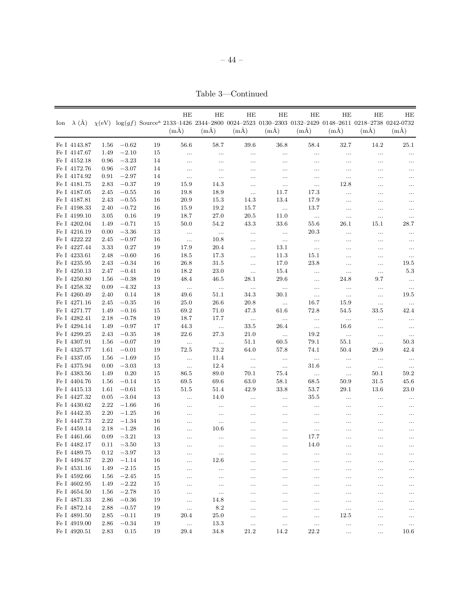Table 3—Continued

|                              |                  |                    |          | HE<br>Ion $\lambda$ (Å) $\chi$ (eV) $\log(gf)$ Source <sup>a</sup> 2133-1426 2344-2800 0024-2523 0130-2303 0132-2429 0148-2611 0218-2738 0242-0732 | HE          | HE               | HE               | HE               | HЕ           | HЕ                   | HЕ                   |
|------------------------------|------------------|--------------------|----------|----------------------------------------------------------------------------------------------------------------------------------------------------|-------------|------------------|------------------|------------------|--------------|----------------------|----------------------|
|                              |                  |                    |          | $(m\AA)$                                                                                                                                           | $(m\AA)$    | (mA)             | $(m\AA)$         | (mA)             | $(m\AA)$     | $(m\AA)$             | $(m\AA)$             |
| Fe I 4143.87                 | 1.56             | $-0.62$            | 19       | 56.6                                                                                                                                               | 58.7        | 39.6             | 36.8             | 58.4             | 32.7         | 14.2                 | 25.1                 |
| Fe I 4147.67                 | 1.49             | $-2.10$            | 15       | $\ldots$                                                                                                                                           |             | $\cdots$         | $\ldots$         | $\ldots$         | $\cdots$     | $\cdots$             | $\ldots$             |
| Fe I 4152.18                 | 0.96             | $-3.23$            | 14       | $\ldots$                                                                                                                                           |             |                  | $\cdots$         | $\ldots$         |              | $\cdots$             | $\cdots$             |
| Fe I 4172.76                 | 0.96             | $-3.07$            | 14       | $\cdots$                                                                                                                                           | .           |                  | $\ldots$         |                  | $\cdots$     |                      | $\cdots$             |
| Fe I 4174.92                 | 0.91             | $-2.97$            | 14       | $\ldots$                                                                                                                                           | $\ldots$    | $\cdots$         | $\ldots$         | $\ldots$         | $\ldots$     | $\cdots$             | $\ldots$             |
| Fe I 4181.75                 | 2.83             | $-0.37$            | 19       | 15.9                                                                                                                                               | 14.3        | $\cdots$         | $\ddots$         | $\ldots$         | 12.8         |                      | $\ldots$             |
| Fe I 4187.05                 | 2.45             | $-0.55$            | 16       | 19.8                                                                                                                                               | 18.9        | $\ddotsc$        | 11.7             | 17.3             |              | $\cdots$             | $\cdots$             |
| Fe I 4187.81                 | 2.43             | $-0.55$            | 16       | 20.9                                                                                                                                               | 15.3        | 14.3             | 13.4             | 17.9             | $\ldots$     |                      | $\ldots$             |
| Fe I 4198.33                 | 2.40             | $-0.72$            | 16       | 15.9                                                                                                                                               | 19.2        | 15.7             | $\sim$ 100 $\,$  | 13.7             | $\ldots$     | $\cdots$             | $\ldots$             |
| Fe I 4199.10                 | $3.05\,$         | 0.16               | 19       | 18.7                                                                                                                                               | 27.0        | 20.5             | 11.0             | $\ldots$         | $\ldots$     | $\ldots$             | $\ldots$             |
| Fe I 4202.04                 | 1.49             | $-0.71$            | 15       | 50.0                                                                                                                                               | 54.2        | 43.3             | 33.6             | 55.6             | 26.1         | 15.1                 | 28.7                 |
| Fe I 4216.19                 | 0.00             | $-3.36$            | 13       | $\sim$                                                                                                                                             | $\ldots$    | $\cdots$         | $\sim$ 100 $\pm$ | 20.3             | $\cdots$     | $\ldots$             | $\ldots$             |
| Fe I 4222.22                 | 2.45             | $-0.97$            | 16       | $\sim$                                                                                                                                             | 10.8        | $\cdots$         | $\sim$ 100 $\pm$ | $\sim$           |              | $\cdots$             | $\ldots$             |
| Fe I 4227.44                 | 3.33             | 0.27               | 19       | 17.9                                                                                                                                               | 20.4        | $\ldots$         | 13.1             | $\ldots$         |              | $\cdots$             | $\ldots$             |
| Fe I 4233.61                 | 2.48             | $-0.60$            | 16       | 18.5                                                                                                                                               | 17.3        | $\cdots$         | 11.3             | 15.1             | .            |                      | $\ldots$             |
| Fe I 4235.95                 | 2.43             | $-0.34$            | 16       | 26.8                                                                                                                                               | 31.5        | $\ldots$         | 17.0             | 23.8             | $\ldots$     | $\ldots$             | 19.5                 |
| Fe I 4250.13                 | 2.47             | $-0.41$            | 16       | 18.2                                                                                                                                               | 23.0        | $\ldots$         | 15.4             | $\ldots$         | $\ldots$     | $\ldots$             | $5.3\,$              |
| Fe I 4250.80                 | 1.56             | $-0.38$            | 19       | 48.4                                                                                                                                               | 46.5        | 28.1             | 29.6             | $\ldots$         | 24.8         | 9.7                  | $\ldots$             |
| Fe I 4258.32                 | 0.09             | $-4.32$            | 13       | $\sim$                                                                                                                                             | $\sim$      | $\ldots$         | $\sim$           | $\ldots$         | $\ldots$     | $\ldots$             | $\ldots$             |
| Fe I 4260.49                 | 2.40             | 0.14               | 18       | 49.6                                                                                                                                               | $51.1\,$    | 34.3             | 30.1             | $\ldots$         | $\ldots$     | $\ldots$             | 19.5                 |
| Fe I 4271.16                 | 2.45             | $-0.35$            | 16       | 25.0                                                                                                                                               | 26.6        | 20.8             | $\sim$           | 16.7             | 15.9         | $\ldots$             | $\dots$              |
| Fe I 4271.77                 | 1.49             | $-0.16$            | 15       | 69.2                                                                                                                                               | 71.0        | 47.3             | 61.6             | 72.8             | 54.5         | 33.5                 | 42.4                 |
| Fe I 4282.41                 | 2.18             | $-0.78$            | 19       | 18.7                                                                                                                                               | 17.7        | $\dots$          | $\sim$           | $\ldots$         | $\ldots$     | $\ldots$             | $\ldots$             |
| Fe I 4294.14                 | 1.49             | $-0.97$            | 17       | 44.3                                                                                                                                               | $\ldots$    | 33.5             | 26.4             | $\dots$          | 16.6         | $\ldots$             | $\dots$              |
| Fe I 4299.25                 | 2.43             | $-0.35$            | 18       | 22.6                                                                                                                                               | 27.3        | 21.0             | $\sim$ $\sim$    | 19.2             | $\dots$      | $\ldots$             | $\ldots$             |
| Fe I 4307.91                 | 1.56             | $-0.07$            | 19       | $\sim$ 100 $\pm$                                                                                                                                   | $\sim$      | 51.1             | 60.5             | 79.1             | 55.1         | $\ldots$             | 50.3                 |
| Fe I 4325.77                 | 1.61             | $-0.01$            | 19       | 72.5                                                                                                                                               | 73.2        | 64.0             | 57.8             | 74.1             | 50.4         | 29.9                 | 42.4                 |
| Fe I 4337.05                 | 1.56             | $-1.69$            | 15       | $\sim$ 100 $\,$                                                                                                                                    | 11.4        | $\ldots$         | $\sim$           | $\cdots$         | $\ldots$     | $\ldots$             | $\sim$               |
| Fe I 4375.94                 | 0.00             | $-3.03$            | 13       | $\ldots$                                                                                                                                           | 12.4        | $\ldots$         | $\ldots$         | 31.6             | $\ldots$     | $\ldots$             | $\dots$              |
| Fe I 4383.56                 | 1.49             | 0.20               | 15       | 86.5                                                                                                                                               | 89.0        | 70.1             | 75.4             | $\ldots$         | $\ldots$     | 50.1                 | 59.2                 |
| Fe I 4404.76                 | 1.56             | $-0.14$            | 15       | 69.5                                                                                                                                               | 69.6        | 63.0             | 58.1             | 68.5             | 50.9         | 31.5                 | 45.6                 |
| Fe I 4415.13                 | 1.61             | $-0.61$            | 15       | 51.5                                                                                                                                               | 51.4        | 42.9             | 33.8             | 53.7             | 29.1         | 13.6                 | 23.0                 |
| Fe I 4427.32                 | 0.05             | $-3.04$            | 13       | $\ldots$                                                                                                                                           | 14.0        | $\ldots$         | $\ldots$         | 35.5             | $\cdots$     | $\cdots$             | $\ldots$             |
| Fe I 4430.62                 | 2.22             | $-1.66$            | 16       | $\ddots$                                                                                                                                           | $\ldots$    |                  | $\ldots$         | $\ldots$         | $\cdots$     |                      | $\ldots$             |
| Fe I 4442.35                 | 2.20             | $-1.25$            | 16       | $\ldots$                                                                                                                                           | $\ldots$    |                  | $\ldots$         | $\ldots$         |              |                      | $\ldots$             |
| Fe I 4447.73                 | 2.22             | $-1.34$            | 16       | $\cdots$                                                                                                                                           | $\ldots$    |                  | $\ldots$         | $\ldots$         |              |                      | $\ldots$             |
| Fe I 4459.14                 | 2.18             | $-1.28$            | 16       | $\cdots$                                                                                                                                           | 10.6        | .                | $\ldots$         | $\cdots$         | .            |                      | $\cdots$             |
| Fe I 4461.66                 | 0.09             | $-3.21$            | 13       | $\cdots$                                                                                                                                           | .           | .                | $\cdots$         | 17.7             | $\cdots$     |                      |                      |
| Fe I 4482.17                 |                  | $0.11 - 3.50$      | 13       |                                                                                                                                                    |             |                  |                  | 14.0             |              |                      |                      |
| Fe I 4489.75                 | 0.12             | $-3.97$            | 13       | $\cdots$                                                                                                                                           | $\ldots$    | $\cdots$         | $\ldots$         | $\cdots$         |              | $\cdots$             | $\ldots$             |
| Fe I 4494.57                 | 2.20             | $-1.14$            | 16       | .                                                                                                                                                  | 12.6        | .                |                  |                  |              | $\ddotsc$            | $\cdots$             |
| Fe I 4531.16                 | 1.49             | $-2.15$            | 15       | $\cdots$                                                                                                                                           | $\cdots$    |                  | $\ldots$         | $\cdots$         | .            |                      | $\ldots$             |
| Fe I 4592.66                 | 1.56             | $-2.45$            | 15       | $\cdots$                                                                                                                                           |             |                  | $\cdots$         | .                |              |                      | $\cdots$             |
| Fe I 4602.95                 | 1.49             | $-2.22$            | 15       |                                                                                                                                                    | $\ldots$    | .                | $\cdots$         | .                | .            |                      |                      |
| Fe I 4654.50                 | 1.56             | $-2.78$            | 15       |                                                                                                                                                    | $\ldots$    |                  | $\ddots$         |                  |              | $\cdots$             | $\cdots$             |
| Fe I 4871.33                 | 2.86             | $-0.36$            | 19       | $\ldots$                                                                                                                                           | 14.8        |                  | $\ldots$         |                  |              | $\cdots$             | $\ldots$             |
| Fe I 4872.14<br>Fe I 4891.50 | 2.88<br>$2.85\,$ | $-0.57$<br>$-0.11$ | 19       | $\ldots$                                                                                                                                           | 8.2<br>25.0 |                  | $\ldots$         |                  | $\ldots$     |                      | $\cdots$             |
| Fe I 4919.00                 | 2.86             | $-0.34$            | 19<br>19 | 20.4                                                                                                                                               | 13.3        |                  | $\ldots$         | $\ldots$         | 12.5         | $\cdots$             | $\ldots$             |
| Fe I 4920.51                 | 2.83             | 0.15               | 19       | $\ldots$<br>29.4                                                                                                                                   | 34.8        | $\cdots$<br>21.2 | $\ldots$<br>14.2 | $\ldots$<br>22.2 | <br>$\cdots$ | $\cdots$<br>$\ldots$ | $\ldots$<br>$10.6\,$ |
|                              |                  |                    |          |                                                                                                                                                    |             |                  |                  |                  |              |                      |                      |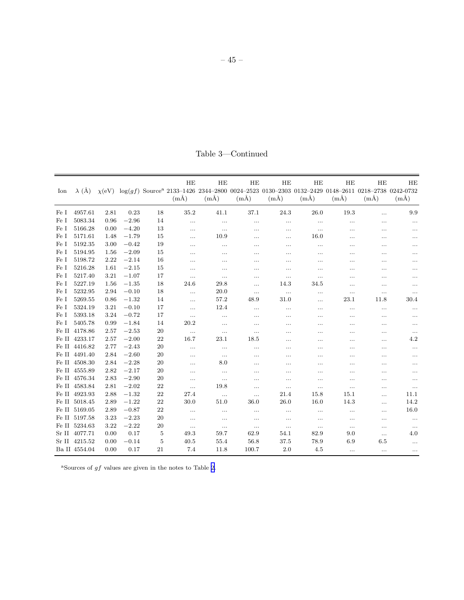|  | Table 3—Continued |
|--|-------------------|
|  |                   |

| Ion  | $\lambda$ (Å) | $\chi$ (eV) |         |    | HE<br>$(m\AA)$ | HE<br>$(m\AA)$ | HE<br>$(m\AA)$ | HE<br>$(m\AA)$ | HE<br>$(m\AA)$ | HE<br>$(m\AA)$ | HE<br>$\log(gf)$ Source <sup>a</sup> 2133-1426 2344-2800 0024-2523 0130-2303 0132-2429 0148-2611 0218-2738 0242-0732<br>$(m\AA)$ | HE<br>$(m\AA)$ |
|------|---------------|-------------|---------|----|----------------|----------------|----------------|----------------|----------------|----------------|----------------------------------------------------------------------------------------------------------------------------------|----------------|
| Fe I | 4957.61       | 2.81        | 0.23    | 18 | 35.2           | 41.1           | 37.1           | 24.3           | 26.0           | 19.3           | .                                                                                                                                | 9.9            |
| Fe I | 5083.34       | 0.96        | $-2.96$ | 14 | $\cdots$       | $\cdots$       | .              | $\ldots$       | $\ldots$       | .              | $\cdots$                                                                                                                         | $\ldots$       |
| Fe I | 5166.28       | 0.00        | $-4.20$ | 13 | $\ldots$       | $\cdots$       | $\ldots$       | .              | $\ldots$       | .              | $\ldots$                                                                                                                         | $\ldots$       |
| Fe I | 5171.61       | 1.48        | $-1.79$ | 15 | $\cdots$       | 10.9           | $\cdots$       | .              | 16.0           |                |                                                                                                                                  |                |
| Fe I | 5192.35       | 3.00        | $-0.42$ | 19 | $\cdots$       | $\ldots$       |                |                |                | .              | $\cdots$                                                                                                                         |                |
| Fe I | 5194.95       | 1.56        | $-2.09$ | 15 |                |                |                | .              | .              |                |                                                                                                                                  | .              |
| Fe I | 5198.72       | 2.22        | $-2.14$ | 16 | .              | $\cdots$       | $\cdots$       | .              | .              | .              | $\cdots$                                                                                                                         | .              |
| Fe I | 5216.28       | 1.61        | $-2.15$ | 15 | $\cdots$       |                | $\cdots$       | .              |                | .              | .                                                                                                                                | .              |
| Fe I | 5217.40       | 3.21        | $-1.07$ | 17 | $\ldots$       | $\cdots$       | $\ldots$       | $\ldots$       | $\ldots$       |                | .                                                                                                                                |                |
| Fe I | 5227.19       | 1.56        | $-1.35$ | 18 | 24.6           | 29.8           | $\cdots$       | 14.3           | 34.5           | .              | .                                                                                                                                |                |
| Fe I | 5232.95       | 2.94        | $-0.10$ | 18 | $\cdots$       | 20.0           | $\ldots$       | $\ldots$       | $\ldots$       | $\cdots$       | $\ldots$                                                                                                                         |                |
| Fe I | 5269.55       | 0.86        | $-1.32$ | 14 | $\cdots$       | 57.2           | 48.9           | 31.0           | .              | 23.1           | 11.8                                                                                                                             | 30.4           |
| Fe I | 5324.19       | 3.21        | $-0.10$ | 17 | $\ldots$       | 12.4           | $\cdots$       | .              | $\cdots$       | .              | $\ldots$                                                                                                                         |                |
| Fe I | 5393.18       | 3.24        | $-0.72$ | 17 | $\ldots$       | $\ldots$       | .              | .              |                |                | .                                                                                                                                |                |
| Fe I | 5405.78       | 0.99        | $-1.84$ | 14 | 20.2           | $\cdots$       | $\ldots$       |                | .              | .              |                                                                                                                                  | $\cdots$       |
|      | Fe II 4178.86 | 2.57        | $-2.53$ | 20 | $\ldots$       | $\ldots$       | $\ldots$       | .              |                |                |                                                                                                                                  |                |
|      | Fe II 4233.17 | 2.57        | $-2.00$ | 22 | 16.7           | 23.1           | 18.5           | .              | .              | .              | $\cdots$                                                                                                                         | 4.2            |
|      | Fe II 4416.82 | 2.77        | $-2.43$ | 20 |                | $\ldots$       |                | .              |                | .              |                                                                                                                                  |                |
|      | Fe II 4491.40 | 2.84        | $-2.60$ | 20 | $\cdots$       | $\ldots$       |                | .              | .              | .              |                                                                                                                                  |                |
|      | Fe II 4508.30 | 2.84        | $-2.28$ | 20 | $\ldots$       | 8.0            | $\ldots$       | .              | .              | .              |                                                                                                                                  | .              |
|      | Fe II 4555.89 | 2.82        | $-2.17$ | 20 | $\cdots$       | $\ldots$       | $\cdots$       | .              | .              |                |                                                                                                                                  | .              |
|      | Fe II 4576.34 | 2.83        | $-2.90$ | 20 | $\ldots$       | $\ldots$       | $\cdots$       | .              | .              | .              | $\cdots$                                                                                                                         | $\cdots$       |
|      | Fe II 4583.84 | 2.81        | $-2.02$ | 22 | $\cdots$       | 19.8           | $\ldots$       | $\ldots$       | $\ldots$       | .              | $\cdots$                                                                                                                         | $\ldots$       |
|      | Fe II 4923.93 | 2.88        | $-1.32$ | 22 | 27.4           | $\ldots$       | $\ldots$       | 21.4           | 15.8           | 15.1           | $\cdots$                                                                                                                         | 11.1           |
|      | Fe II 5018.45 | 2.89        | $-1.22$ | 22 | 30.0           | 51.0           | 36.0           | 26.0           | 16.0           | 14.3           | $\cdots$                                                                                                                         | 14.2           |
|      | Fe II 5169.05 | 2.89        | $-0.87$ | 22 | $\ldots$       | $\ldots$       | $\ldots$       | $\ldots$       | $\ldots$       |                | .                                                                                                                                | 16.0           |
|      | Fe II 5197.58 | 3.23        | $-2.23$ | 20 | $\ldots$       | $\ldots$       | $\ldots$       | $\cdots$       | $\cdots$       |                | $\cdots$                                                                                                                         | $\ldots$       |
|      | Fe II 5234.63 | 3.22        | $-2.22$ | 20 | $\ldots$       | $\ldots$       | $\ldots$       | $\cdots$       | $\ldots$       | $\ldots$       | $\ldots$                                                                                                                         | $\ldots$       |
|      | Sr II 4077.71 | 0.00        | 0.17    | 5  | 49.3           | 59.7           | 62.9           | 54.1           | 82.9           | 9.0            | $\ldots$                                                                                                                         | 4.0            |
|      | Sr II 4215.52 | 0.00        | $-0.14$ | 5  | 40.5           | 55.4           | 56.8           | 37.5           | 78.9           | 6.9            | 6.5                                                                                                                              |                |
|      | Ba II 4554.04 | 0.00        | 0.17    | 21 | 7.4            | 11.8           | 100.7          | 2.0            | 4.5            | $\cdots$       | $\ldots$                                                                                                                         | $\ldots$       |

 $^{\rm a}$  Sources of  $gf$  values are given in the notes to Table [2.](#page-36-0)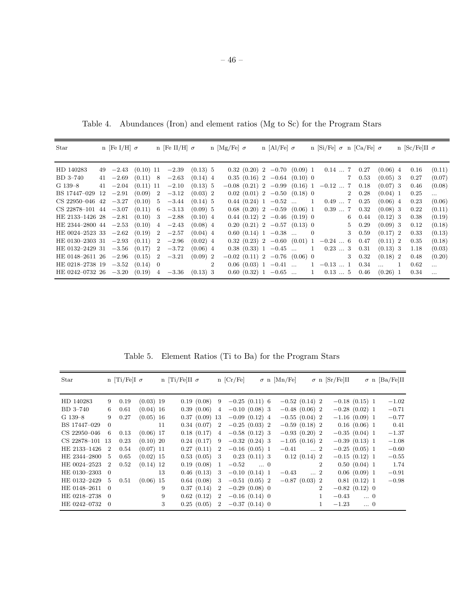Star n [Fe I/H] σ n [Fe II/H] σ n [Mg/Fe] σ n [Al/Fe] σ n [Si/Fe] σ n [Ca/Fe] σ n [Sc/Fe]II σ HD 140283 49 −2.43 (0.10) 11 −2.39 (0.13) 5 0.32 (0.20) 2 −0.70 (0.09) 1 0.14 ... 7 0.27 (0.06) 4 0.16 (0.11) BD 3–740 41 −2.69 (0.11) 8 −2.63 (0.14) 4 0.35 (0.16) 2 −0.64 (0.10) 0 7 0.53 (0.05) 3 0.27 (0.07) G 139–8 41 −2.04 (0.11) 11 −2.10 (0.13) 5 −0.08 (0.21) 2 −0.99 (0.16) 1 −0.12 ... 7 0.18 (0.07) 3 0.46 (0.08) BS 17447–029 12 −2.91 (0.09) 2 −3.12 (0.03) 2 0.02 (0.01) 2 −0.50 (0.18) 0 2 0.28 (0.04) 1 0.25 ... CS 22950-046 42 -3.27 (0.10) 5 -3.44 (0.14) 5 0.44 (0.24) 1 -0.52 ... 1 0.49 ... 7 0.25 (0.06) 4 0.23 (0.06) CS 22878–101 44 −3.07 (0.11) 6 −3.13 (0.09) 5 0.68 (0.20) 2 −0.59 (0.06) 1 0.39 ... 7 0.32 (0.08) 3 0.22 (0.11) HE 2133–1426 28 −2.81 (0.10) 3 −2.88 (0.10) 4 0.44 (0.12) 2 −0.46 (0.19) 0 6 0.44 (0.12) 3 0.38 (0.19) HE 2344–2800 44 −2.53 (0.10) 4 −2.43 (0.08) 4 0.20 (0.21) 2 −0.57 (0.13) 0 5 0.29 (0.09) 3 0.12 (0.18)<br>HE 0024–2523 33 −2.62 (0.19) 2 −2.57 (0.04) 4 0.60 (0.14) 1 −0.38 ... 0 3 0.59 (0.17) 2 0.33 (0.13) HE 0024–2523 33 −2.62 (0.19) 2 −2.57 (0.04) 4 0.60 (0.14) 1 −0.38 ... 0 3 0.59 (0.17) 2 0.33 (0.13)<br>HE 0130–2303 31 −2.93 (0.11) 2 −2.96 (0.02) 4 0.32 (0.23) 2 −0.60 (0.01) 1 −0.24 ... 6 0.47 (0.11) 2 0.35 (0.18) HE 0130–2303 31 −2.93 (0.11) 2 −2.96 (0.02) 4 0.32 (0.23) 2 −0.60 (0.01) 1 −0.24 ... 6 0.47 (0.11) 2 0.35 (0.18) HE 0132–2429 31 −3.56 (0.17) 2 −3.72 (0.06) 4 0.38 (0.33) 1 −0.45 ... 1 0.23 ... 3 0.31 (0.13) 3 1.18 (0.03) HE 0148–2611 26 −2.96 (0.15) 2 −3.21 (0.09) 2 −0.02 (0.11) 2 −0.76 (0.06) 0 3 0.32 (0.18) 2 0.48 (0.20) HE 0218–2738 19 −3.52 (0.14) 0 2 0.06 (0.03) 1 −0.41  $\dots$  1 −0.13  $\dots$  1 0.34  $\dots$  1 0.62  $\dots$ HE 0242–0732 26 −3.20 (0.19) 4 −3.36 (0.13) 3 0.60 (0.32) 1 −0.65 ... 1 0.13 ... 5 0.46 (0.26) 1 0.34 ...

Table 4. Abundances (Iron) and element ratios (Mg to Sc) for the Program Stars

Table 5. Element Ratios (Ti to Ba) for the Program Stars

| Star            |                | n [Ti/Fe]I $\sigma$ |             |    | n [Ti/Fe]II $\sigma$ |                 |                | $n$ [Cr/Fe]      |            | $\sigma$ n [Mn/Fe] |                 |                | $\sigma$ n [Sr/Fe]II |                  | $\sigma$ n [Ba/Fe]II |
|-----------------|----------------|---------------------|-------------|----|----------------------|-----------------|----------------|------------------|------------|--------------------|-----------------|----------------|----------------------|------------------|----------------------|
|                 |                |                     |             |    |                      |                 |                |                  |            |                    |                 |                |                      |                  |                      |
| HD 140283       | 9              | 0.19                | $(0.03)$ 19 |    |                      | 0.19(0.08)      |                | $9 -0.25(0.11)6$ |            | $-0.52(0.14)$ 2    |                 |                |                      | $-0.18$ (0.15) 1 | $-1.02$              |
| BD 3-740        | 6              | 0.61                | $(0.04)$ 16 |    |                      | 0.39(0.06)      | $\overline{4}$ | $-0.10(0.08)$ 3  |            | $-0.48(0.06)$ 2    |                 |                |                      | $-0.28(0.02)$ 1  | $-0.71$              |
| G 139-8         | 9              | 0.27                | $(0.05)$ 16 |    |                      | $0.37(0.09)$ 13 |                | $-0.09(0.12)4$   |            | $-0.55(0.04)$ 2    |                 |                |                      | $-1.16(0.09)1$   | $-0.77$              |
| BS 17447-029    | $\Omega$       |                     |             | 11 |                      | 0.34(0.07)      | $\overline{2}$ | $-0.25(0.03)$ 2  |            | $-0.59(0.18)$ 2    |                 |                |                      | $0.16(0.06)$ 1   | 0.41                 |
| CS 22950-046    | 6              | 0.13                | $(0.06)$ 17 |    |                      | 0.18(0.17)      | $\overline{4}$ | $-0.58(0.12)$ 3  |            | $-0.93(0.20)$ 2    |                 |                | $-0.35(0.04)$ 1      |                  | $-1.37$              |
| CS 22878-101 13 |                | 0.23                | $(0.10)$ 20 |    |                      | 0.24(0.17)      | -9             | $-0.32(0.24)$ 3  |            | $-1.05(0.16)$ 2    |                 |                |                      | $-0.39(0.13)1$   | $-1.08$              |
| HE 2133-1426    | -2             | 0.54                | $(0.07)$ 11 |    |                      | 0.27(0.11)      | $\overline{2}$ | $-0.16$ (0.05) 1 |            |                    | $-0.41$ 2       |                |                      | $-0.25(0.05)$ 1  | $-0.60$              |
| HE 2344-2800    | $\frac{5}{2}$  | 0.65                | $(0.02)$ 15 |    |                      | 0.53(0.05)      | -3             | 0.23(0.11)3      |            |                    | 0.12(0.14)2     |                | $-0.15(0.12)1$       |                  | $-0.55$              |
| HE 0024-2523    | 2              | 0.52                | $(0.14)$ 12 |    |                      | 0.19(0.08)      | 1              | $-0.52\,$        | $\ldots$ 0 |                    |                 | $\overline{2}$ |                      | 0.50(0.04)1      | 1.74                 |
| HE 0130-2303    | $\Omega$       |                     |             | 13 |                      | 0.46(0.13)      | 3              | $-0.10(0.14)1$   |            |                    | $-0.43$ 2       |                |                      | 0.06(0.09)1      | $-0.91$              |
| HE 0132-2429    | 5              | 0.51                | $(0.06)$ 15 |    |                      | 0.64(0.08)      | 3              | $-0.51(0.05)$ 2  |            |                    | $-0.87(0.03)$ 2 |                |                      | 0.81(0.12)1      | $-0.98$              |
| HE 0148-2611    | $\Omega$       |                     |             | 9  |                      | 0.37(0.14)      | $\overline{2}$ | $-0.29(0.08)$ 0  |            |                    |                 | $\overline{2}$ |                      | $-0.82(0.12)$ 0  |                      |
| HE 0218-2738    | $\overline{0}$ |                     |             | 9  |                      | 0.62(0.12)      | $\overline{2}$ | $-0.16$ (0.14) 0 |            |                    |                 | $\mathbf{1}$   | $-0.43$              | $\ldots$ 0       |                      |
| HE 0242-0732    | $\theta$       |                     |             | 3  |                      | 0.25(0.05)      | $2^{\circ}$    | $-0.37(0.14)$ 0  |            |                    |                 | $\mathbf 1$    | $-1.23\,$            | $\ldots$ 0       |                      |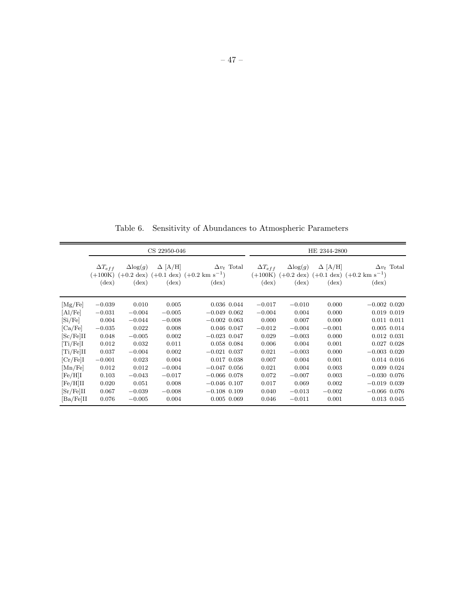Table 6. Sensitivity of Abundances to Atmospheric Parameters

|             | CS 22950-046                                    |                                                              |                                  |                                                                   | HE 2344-2800       |                                                 |                                                              |                                  |                                                                   |                    |
|-------------|-------------------------------------------------|--------------------------------------------------------------|----------------------------------|-------------------------------------------------------------------|--------------------|-------------------------------------------------|--------------------------------------------------------------|----------------------------------|-------------------------------------------------------------------|--------------------|
|             | $\Delta T_{eff}$<br>$(+100K)$<br>$(\text{dex})$ | $\Delta$ log $(g)$<br>$(+0.2 \text{ dex})$<br>$(\text{dex})$ | $\Delta$ [A/H]<br>$(\text{dex})$ | $(+0.1 \text{ dex})$ $(+0.2 \text{ km s}^{-1})$<br>$(\text{dex})$ | $\Delta v_t$ Total | $\Delta T_{eff}$<br>$(+100K)$<br>$(\text{dex})$ | $\Delta$ log $(g)$<br>$(+0.2 \text{ dex})$<br>$(\text{dex})$ | $\Delta$ [A/H]<br>$(\text{dex})$ | $(+0.1 \text{ dex})$ $(+0.2 \text{ km s}^{-1})$<br>$(\text{dex})$ | $\Delta v_t$ Total |
| [Mg/Fe]     | $-0.039$                                        | 0.010                                                        | 0.005                            |                                                                   | 0.036 0.044        | $-0.017$                                        | $-0.010$                                                     | 0.000                            | $-0.002$ 0.020                                                    |                    |
| [Al/Fe]     | $-0.031$                                        | $-0.004$                                                     | $-0.005$                         | $-0.049$ 0.062                                                    |                    | $-0.004$                                        | 0.004                                                        | 0.000                            | $0.019$ $0.019$                                                   |                    |
| [Si/Fe]     | 0.004                                           | $-0.044$                                                     | $-0.008$                         | $-0.002$ 0.063                                                    |                    | 0.000                                           | 0.007                                                        | 0.000                            | $0.011$ $0.011$                                                   |                    |
| [Ca/Fe]     | $-0.035$                                        | 0.022                                                        | 0.008                            |                                                                   | 0.046 0.047        | $-0.012$                                        | $-0.004$                                                     | $-0.001$                         | 0.005 0.014                                                       |                    |
| [Sc/Fe]II   | 0.048                                           | $-0.005$                                                     | 0.002                            | $-0.023$ 0.047                                                    |                    | 0.029                                           | $-0.003$                                                     | 0.000                            | $0.012$ $0.031$                                                   |                    |
| $[Ti/Fe]$ I | 0.012                                           | 0.032                                                        | 0.011                            |                                                                   | 0.058 0.084        | 0.006                                           | 0.004                                                        | 0.001                            | $0.027$ $0.028$                                                   |                    |
| [Ti/Fe]II   | 0.037                                           | $-0.004$                                                     | 0.002                            | $-0.021$ 0.037                                                    |                    | 0.021                                           | $-0.003$                                                     | 0.000                            | $-0.003$ 0.020                                                    |                    |
| [Cr/Fe]I    | $-0.001$                                        | 0.023                                                        | 0.004                            | $0.017$ $0.038$                                                   |                    | 0.007                                           | 0.004                                                        | 0.001                            | $0.014$ $0.016$                                                   |                    |
| [Mn/Fe]     | 0.012                                           | 0.012                                                        | $-0.004$                         | $-0.047$ 0.056                                                    |                    | 0.021                                           | 0.004                                                        | 0.003                            | 0.009 0.024                                                       |                    |
| [Fe/H]I     | 0.103                                           | $-0.043$                                                     | $-0.017$                         | $-0.066$ 0.078                                                    |                    | 0.072                                           | $-0.007$                                                     | 0.003                            | $-0.030$ 0.076                                                    |                    |
| [Fe/H]II    | 0.020                                           | 0.051                                                        | 0.008                            | $-0.046$ 0.107                                                    |                    | 0.017                                           | 0.069                                                        | 0.002                            | $-0.019$ 0.039                                                    |                    |
| [Sr/Fe]II   | 0.067                                           | $-0.039$                                                     | $-0.008$                         | $-0.108$ 0.109                                                    |                    | 0.040                                           | $-0.013$                                                     | $-0.002$                         | $-0.066$ 0.076                                                    |                    |
| [Ba/Fe]II   | 0.076                                           | $-0.005$                                                     | 0.004                            |                                                                   | $0.005$ 0.069      | 0.046                                           | $-0.011$                                                     | 0.001                            | 0.013 0.045                                                       |                    |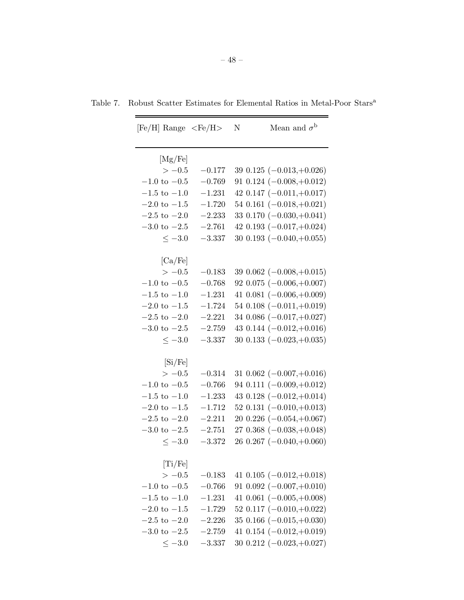| $[Fe/H]$ Range $\langle Fe/H \rangle$ |          | Mean and $\sigma^{\rm b}$<br>Ν |
|---------------------------------------|----------|--------------------------------|
| [Mg/Fe]                               |          |                                |
| $>-0.5$                               | $-0.177$ | 39 0.125 $(-0.013,+0.026)$     |
| $-1.0$ to $-0.5$                      | $-0.769$ | 91 0.124 $(-0.008,+0.012)$     |
| $-1.5$ to $-1.0$                      | $-1.231$ | 42 0.147 $(-0.011,+0.017)$     |
| $-2.0 \text{ to } -1.5$               | $-1.720$ | 54 0.161 $(-0.018,+0.021)$     |
| $-2.5$ to $-2.0$                      | $-2.233$ | 33 0.170 $(-0.030,+0.041)$     |
| $-3.0 \text{ to } -2.5$               | $-2.761$ | 42 0.193 $(-0.017,+0.024)$     |
| $<-3.0$                               | $-3.337$ | 30 0.193 $(-0.040,+0.055)$     |
| [Ca/Fe]                               |          |                                |
| $>-0.5$                               | $-0.183$ | 39 0.062 $(-0.008,+0.015)$     |
| $-1.0 \text{ to } -0.5$               | $-0.768$ | 92 0.075 $(-0.006,+0.007)$     |
| $-1.5$ to $-1.0$                      | $-1.231$ | 41 0.081 $(-0.006,+0.009)$     |
| $-2.0 \text{ to } -1.5$               | $-1.724$ | 54 0.108 $(-0.011,+0.019)$     |
| $-2.5$ to $-2.0$                      | $-2.221$ | 34 0.086 $(-0.017,+0.027)$     |
| $-3.0 \text{ to } -2.5$               | $-2.759$ | 43 0.144 $(-0.012,+0.016)$     |
| $\leq -3.0$                           | $-3.337$ | 30 0.133 $(-0.023,+0.035)$     |
| [Si/Fe]                               |          |                                |
| $>-0.5$                               | $-0.314$ | 31 0.062 $(-0.007,+0.016)$     |
| $-1.0 \text{ to } -0.5$               | $-0.766$ | 94 0.111 $(-0.009,+0.012)$     |
| $-1.5$ to $-1.0$                      | $-1.233$ | 43 0.128 $(-0.012,+0.014)$     |
| $-2.0 \text{ to } -1.5$               | $-1.712$ | $52$ 0.131 $(-0.010,+0.013)$   |
| $-2.5$ to $-2.0$                      | $-2.211$ | 20 0.226 $(-0.054,+0.067)$     |
| $-3.0 \text{ to } -2.5$               | $-2.751$ | 27 0.368 $(-0.038,+0.048)$     |
| $\leq -3.0$                           | $-3.372$ | 26 0.267 $(-0.040,+0.060)$     |
| [Ti/Fe]                               |          |                                |
| $>-0.5$                               | $-0.183$ | 41 0.105 $(-0.012,+0.018)$     |
| $-1.0 \text{ to } -0.5$               | $-0.766$ | 91 0.092 $(-0.007,+0.010)$     |
| $-1.5$ to $-1.0$                      | $-1.231$ | 41 0.061 $(-0.005,+0.008)$     |
| $-2.0 \text{ to } -1.5$               | $-1.729$ | 52 0.117 $(-0.010,+0.022)$     |
| $-2.5 \text{ to } -2.0$               | $-2.226$ | $35\,0.166\;(-0.015,+0.030)$   |
| $-3.0 \text{ to } -2.5$               | $-2.759$ | 41 0.154 $(-0.012,+0.019)$     |
| $\leq -3.0$                           | $-3.337$ | 30 0.212 $(-0.023,+0.027)$     |

Table 7. Robust Scatter Estimates for Elemental Ratios in Metal-Poor  $\rm Stars^a$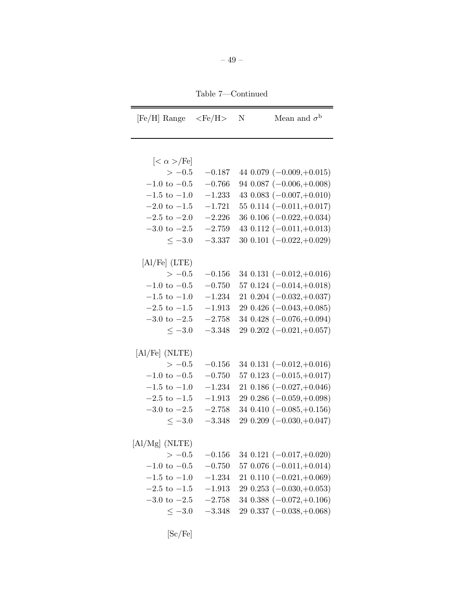Table 7—Continued

| [Fe/H] Range                          | $\rm <\! Fe/H\!>$ | $\mathbf N$ | Mean and $\sigma^{\rm b}$       |
|---------------------------------------|-------------------|-------------|---------------------------------|
|                                       |                   |             |                                 |
| $\left[<\alpha>\!/\mathrm{Fe}\right]$ |                   |             |                                 |
| $>-0.5$                               | $-0.187$          |             | 44 $0.079$ ( $-0.009, +0.015$ ) |
| $-1.0$ to $-0.5$                      | $-0.766$          |             | 94 $0.087$ ( $-0.006, +0.008$ ) |
| $-1.5$ to $-1.0$                      | $-1.233$          |             | 43 0.083 $(-0.007,+0.010)$      |
| $-2.0 \text{ to } -1.5$               | $-1.721$          |             | $55\,0.114\;(-0.011,+0.017)$    |
| $-2.5$ to $-2.0$                      | $-2.226$          |             | 36 0.106 $(-0.022,+0.034)$      |
| $-3.0 \text{ to } -2.5$               | $-2.759$          |             | 43 0.112 $(-0.011,+0.013)$      |
| $\leq -3.0$                           | $-3.337$          |             | 30 0.101 $(-0.022,+0.029)$      |
|                                       |                   |             |                                 |
| [Al/Fe] (LTE)                         |                   |             |                                 |
| $>-0.5$                               | $-0.156$          |             | 34 0.131 $(-0.012,+0.016)$      |
| $-1.0$ to $-0.5$                      | $-0.750$          |             | 57 0.124 $(-0.014,+0.018)$      |
| $-1.5$ to $-1.0$                      | $-1.234$          |             | $21\ 0.204\ (-0.032,+0.037)$    |
| $-2.5$ to $-1.5$                      | $-1.913$          |             | 29 0.426 $(-0.043,+0.085)$      |
| $-3.0 \text{ to } -2.5$               | $-2.758$          |             | 34 0.428 $(-0.076,+0.094)$      |
| $\leq -3.0$                           | $-3.348$          |             | $29\ 0.202\ (-0.021,+0.057)$    |
|                                       |                   |             |                                 |
| [Al/Fe] (NLTE)                        |                   |             |                                 |
| $>-0.5$                               | $-0.156$          |             | 34 0.131 $(-0.012,+0.016)$      |
| $-1.0$ to $-0.5$                      | $-0.750$          |             | 57 0.123 $(-0.015,+0.017)$      |
| $-1.5$ to $-1.0$                      | $-1.234$          |             | 21 0.186 $(-0.027,+0.046)$      |
| $-2.5$ to $-1.5$                      | $-1.913$          |             | 29 0.286 $(-0.059,+0.098)$      |
| $-3.0 \text{ to } -2.5$               | $-2.758$          |             | 34 0.410 $(-0.085,+0.156)$      |
| $<-3.0$                               | $-3.348$          |             | 29 0.209 $(-0.030,+0.047)$      |
|                                       |                   |             |                                 |
| $[{\rm Al}/{\rm Mg}]$ (NLTE)          |                   |             |                                 |
| $>-0.5$                               | $-0.156$          |             | 34 0.121 $(-0.017,+0.020)$      |
| $-1.0$ to $-0.5$                      | $-0.750$          |             | 57 0.076 $(-0.011,+0.014)$      |
| $-1.5$ to $-1.0$                      | $-1.234$          |             | 21 0.110 $(-0.021,+0.069)$      |
| $-2.5$ to $-1.5$                      | $-1.913$          |             | 29 0.253 $(-0.030, \! +0.053)$  |
| $-3.0$ to $-2.5$                      | $-2.758$          |             | 34 0.388 $(-0.072,+0.106)$      |
| $\leq -3.0$                           | $-3.348$          |             | 29 0.337 $(-0.038,+0.068)$      |
|                                       |                   |             |                                 |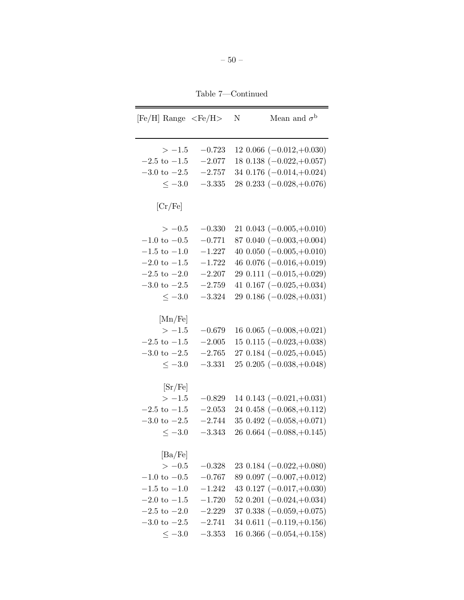Table 7—Continued

 $\overline{\phantom{0}}$ 

| $[Fe/H]$ Range $\langle Fe/H \rangle$ |          | N | Mean and $\sigma^{\rm b}$       |
|---------------------------------------|----------|---|---------------------------------|
| $>-1.5$                               | $-0.723$ |   | $12\ 0.066\ (-0.012,+0.030)$    |
| $-2.5$ to $-1.5$                      | $-2.077$ |   | 18 0.138 $(-0.022,+0.057)$      |
| $-3.0 \text{ to } -2.5$               | $-2.757$ |   | 34 0.176 $(-0.014,+0.024)$      |
| $\leq -3.0$                           | $-3.335$ |   | $280.233(-0.028,+0.076)$        |
| [Cr/Fe]                               |          |   |                                 |
| $>-0.5$                               | $-0.330$ |   | $21\ 0.043\ (-0.005,+0.010)$    |
| $-1.0 \text{ to } -0.5$               | $-0.771$ |   | 87 0.040 $(-0.003,+0.004)$      |
| $-1.5$ to $-1.0$                      | $-1.227$ |   | 40 0.050 $(-0.005,+0.010)$      |
| $-2.0 \text{ to } -1.5$               | $-1.722$ |   | 46 0.076 $(-0.016,+0.019)$      |
| $-2.5 \text{ to } -2.0$               | $-2.207$ |   | 29 0.111 $(-0.015,+0.029)$      |
| $-3.0 \text{ to } -2.5$               | $-2.759$ |   | 41 0.167 $(-0.025,+0.034)$      |
| $\leq -3.0$                           | $-3.324$ |   | 29 0.186 $(-0.028,+0.031)$      |
| [Mn/Fe]                               |          |   |                                 |
| $>-1.5$                               | $-0.679$ |   | $160.065(-0.008,+0.021)$        |
| $-2.5$ to $-1.5$                      | $-2.005$ |   | $15$ 0.115 $(-0.023,+0.038)$    |
| $-3.0 \text{ to } -2.5$               | $-2.765$ |   | 27 0.184 $(-0.025,+0.045)$      |
| $\leq -3.0$                           | $-3.331$ |   | 25 0.205 $(-0.038,+0.048)$      |
| [Sr/Fe]                               |          |   |                                 |
| $>-1.5$                               | $-0.829$ |   | 14 $0.143$ ( $-0.021, +0.031$ ) |
| $-2.5$ to $-1.5$                      | $-2.053$ |   | 24 0.458 $(-0.068,+0.112)$      |
| $-3.0 \text{ to } -2.5$               | $-2.744$ |   | 35 0.492 $(-0.058,+0.071)$      |
| $\leq -3.0$                           | $-3.343$ |   | 26 0.664 $(-0.088,+0.145)$      |
| $[\text{Ba/Fe}]$                      |          |   |                                 |
| $>-0.5$                               | $-0.328$ |   | 23 0.184 $(-0.022,+0.080)$      |
| $-1.0 \text{ to } -0.5$               | $-0.767$ |   | 89 $0.097$ $(-0.007,+0.012)$    |
| $-1.5 \text{ to } -1.0$               | $-1.242$ |   | 43 0.127 $(-0.017,+0.030)$      |
| $-2.0 \text{ to } -1.5$               | $-1.720$ |   | $52\ 0.201\ (-0.024,+0.034)$    |
| $-2.5 \text{ to } -2.0$               | $-2.229$ |   | 37 0.338 $(-0.059,+0.075)$      |
| $-3.0 \text{ to } -2.5$               | $-2.741$ |   | 34 0.611 $(-0.119,+0.156)$      |
| $\leq -3.0$                           | $-3.353$ |   | 16 $0.366$ ( $-0.054, +0.158$ ) |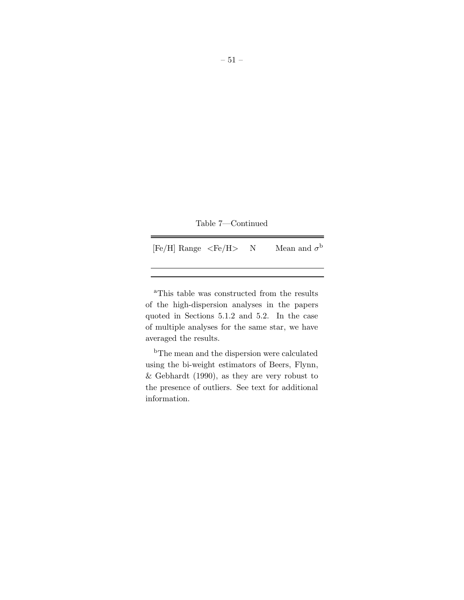|  |  | Table 7—Continued |  |
|--|--|-------------------|--|
|--|--|-------------------|--|

 $[Fe/H]$  Range  $\langle Fe/H \rangle$  N Mean and  $\sigma^\mathrm{b}$ 

<sup>a</sup>This table was constructed from the results of the high-dispersion analyses in the papers quoted in Sections 5.1.2 and 5.2. In the case of multiple analyses for the same star, we have averaged the results.

<sup>b</sup>The mean and the dispersion were calculated using the bi-weight estimators of Beers, Flynn, & Gebhardt (1990), as they are very robust to the presence of outliers. See text for additional information.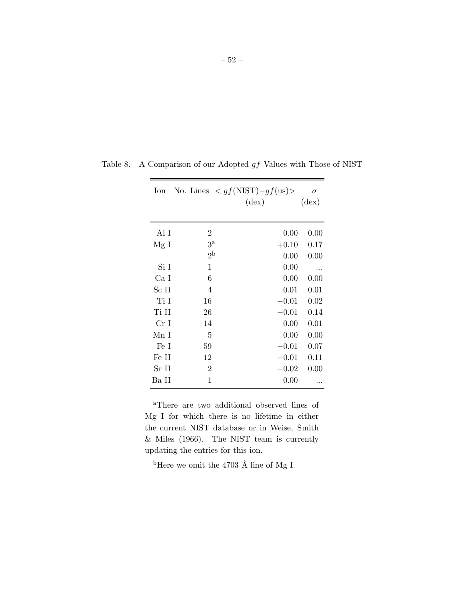– 52 –

| Ion             | No. Lines $\langle gf(NIST) - gf(us) \rangle$ | $(\text{dex})$ | $\sigma$<br>$(\text{dex})$ |
|-----------------|-----------------------------------------------|----------------|----------------------------|
| Al I            | $\overline{2}$                                | 0.00           | 0.00                       |
| Mg I            | 3 <sup>a</sup>                                | $+0.10$        | 0.17                       |
|                 | 2 <sup>b</sup>                                | 0.00           | 0.00                       |
| Si I            | 1                                             | 0.00           |                            |
| Ca I            | 6                                             | 0.00           | 0.00                       |
| Sc II           | 4                                             | 0.01           | 0.01                       |
| Ti I            | 16                                            | $-0.01$        | 0.02                       |
| Ti II           | 26                                            | $-0.01$        | 0.14                       |
| Cr <sub>I</sub> | 14                                            | 0.00           | 0.01                       |
| Mn I            | 5                                             | 0.00           | 0.00                       |
| Fe I            | 59                                            | $-0.01$        | 0.07                       |
| Fe II           | 12                                            | $-0.01$        | 0.11                       |
| Sr II           | $\overline{2}$                                | $-0.02$        | 0.00                       |
| Ba II           | 1                                             | 0.00           |                            |
|                 |                                               |                |                            |

Table 8. A Comparison of our Adopted  $gf$  Values with Those of NIST

<sup>a</sup>There are two additional observed lines of Mg I for which there is no lifetime in either the current NIST database or in Weise, Smith & Miles (1966). The NIST team is currently updating the entries for this ion.

 $^{\rm b}{\rm Here}$  we omit the 4703 Å line of Mg I.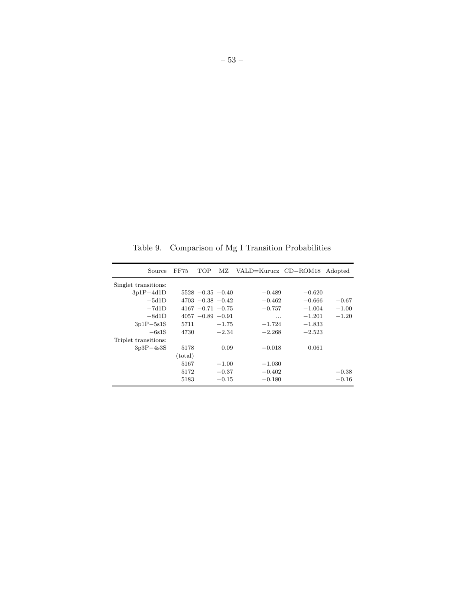Table 9. Comparison of Mg I Transition Probabilities

| Source               | FF75    | TOP                  | МZ      | VALD=Kurucz CD-ROM18 |          | Adopted |
|----------------------|---------|----------------------|---------|----------------------|----------|---------|
| Singlet transitions: |         |                      |         |                      |          |         |
| $3p1P-4d1D$          |         | $5528 - 0.35 - 0.40$ |         | $-0.489$             | $-0.620$ |         |
| $-5d1D$              |         | $4703 - 0.38 - 0.42$ |         | $-0.462$             | $-0.666$ | $-0.67$ |
| $-7d1D$              |         | $4167 - 0.71 - 0.75$ |         | $-0.757$             | $-1.004$ | $-1.00$ |
| $-8d1D$              |         | $4057 - 0.89 - 0.91$ |         | .                    | $-1.201$ | $-1.20$ |
| $3p1P - 5s1S$        | 5711    |                      | $-1.75$ | $-1.724$             | $-1.833$ |         |
| $-6s1S$              | 4730    |                      | $-2.34$ | $-2.268$             | $-2.523$ |         |
| Triplet transitions: |         |                      |         |                      |          |         |
| $3p3P-4s3S$          | 5178    |                      | 0.09    | $-0.018$             | 0.061    |         |
|                      | (total) |                      |         |                      |          |         |
|                      | 5167    |                      | $-1.00$ | $-1.030$             |          |         |
|                      | 5172    |                      | $-0.37$ | $-0.402$             |          | $-0.38$ |
|                      | 5183    |                      | $-0.15$ | $-0.180$             |          | $-0.16$ |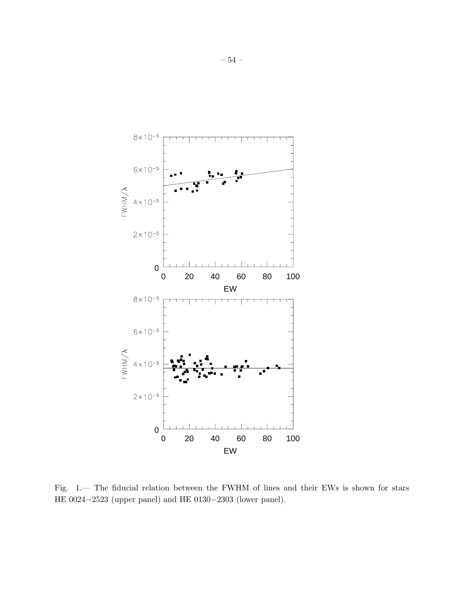<span id="page-53-0"></span>

Fig. 1.— The fiducial relation between the FWHM of lines and their EWs is shown for stars HE 0024−2523 (upper panel) and HE 0130−2303 (lower panel).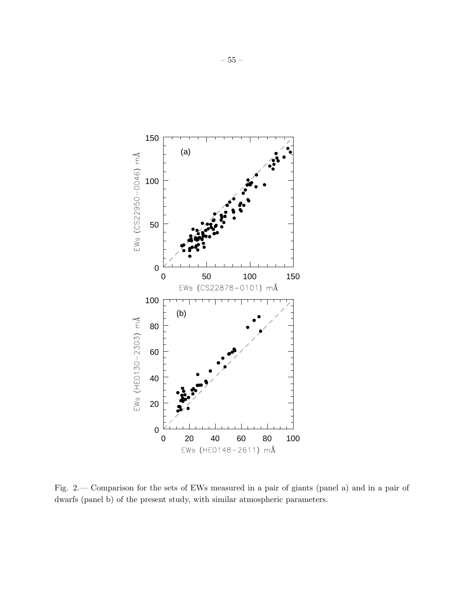<span id="page-54-0"></span>

Fig. 2.— Comparison for the sets of EWs measured in a pair of giants (panel a) and in a pair of dwarfs (panel b) of the present study, with similar atmospheric parameters.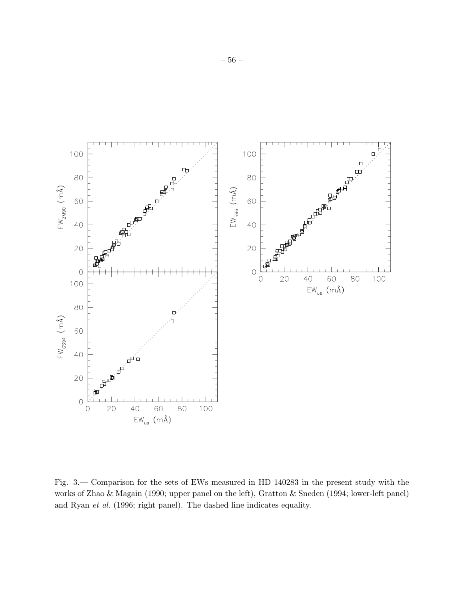<span id="page-55-0"></span>

Fig. 3.— Comparison for the sets of EWs measured in HD 140283 in the present study with the works of Zhao & Magain (1990; upper panel on the left), Gratton & Sneden (1994; lower-left panel) and Ryan *et al.* (1996; right panel). The dashed line indicates equality.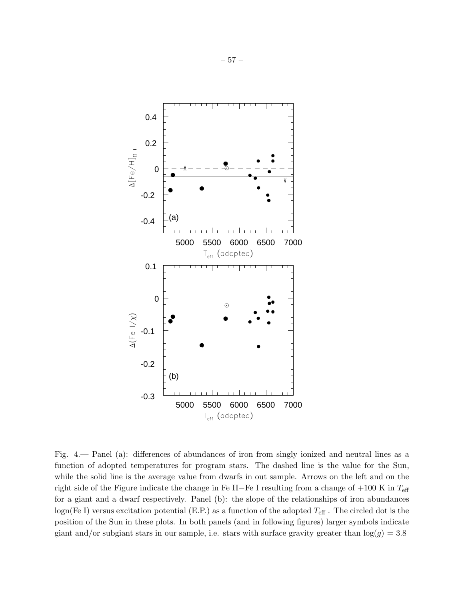<span id="page-56-0"></span>

Fig. 4.— Panel (a): differences of abundances of iron from singly ionized and neutral lines as a function of adopted temperatures for program stars. The dashed line is the value for the Sun, while the solid line is the average value from dwarfs in out sample. Arrows on the left and on the right side of the Figure indicate the change in Fe II−Fe I resulting from a change of  $+100$  K in  $T_{\text{eff}}$ for a giant and a dwarf respectively. Panel (b): the slope of the relationships of iron abundances logn(Fe I) versus excitation potential (E.P.) as a function of the adopted  $T_{\text{eff}}$ . The circled dot is the position of the Sun in these plots. In both panels (and in following figures) larger symbols indicate giant and/or subgiant stars in our sample, i.e. stars with surface gravity greater than  $log(g) = 3.8$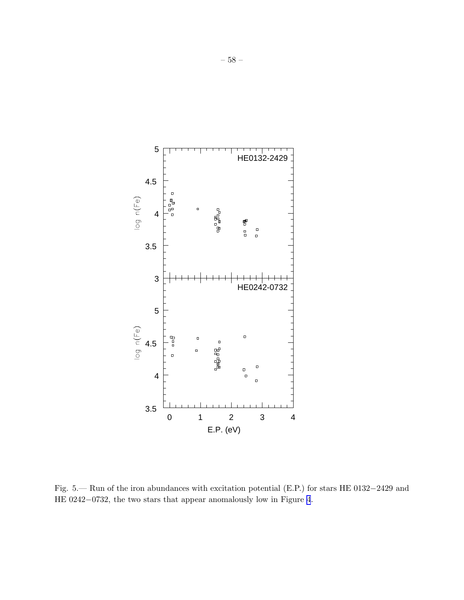

5

<span id="page-57-0"></span>

Fig. 5.— Run of the iron abundances with excitation potential (E.P.) for stars HE 0132−2429 and HE 0242−0732, the two stars that appear anomalously low in Figure [4](#page-56-0).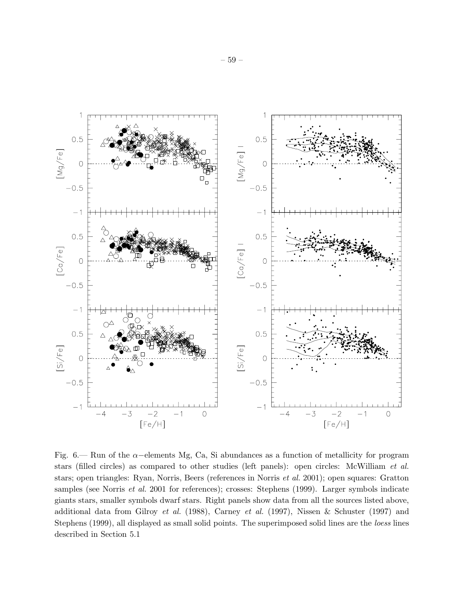<span id="page-58-0"></span>

Fig. 6.— Run of the  $\alpha$ –elements Mg, Ca, Si abundances as a function of metallicity for program stars (filled circles) as compared to other studies (left panels): open circles: McWilliam *et al.* stars; open triangles: Ryan, Norris, Beers (references in Norris *et al.* 2001); open squares: Gratton samples (see Norris *et al.* 2001 for references); crosses: Stephens (1999). Larger symbols indicate giants stars, smaller symbols dwarf stars. Right panels show data from all the sources listed above, additional data from Gilroy *et al.* (1988), Carney *et al.* (1997), Nissen & Schuster (1997) and Stephens (1999), all displayed as small solid points. The superimposed solid lines are the *loess* lines described in Section 5.1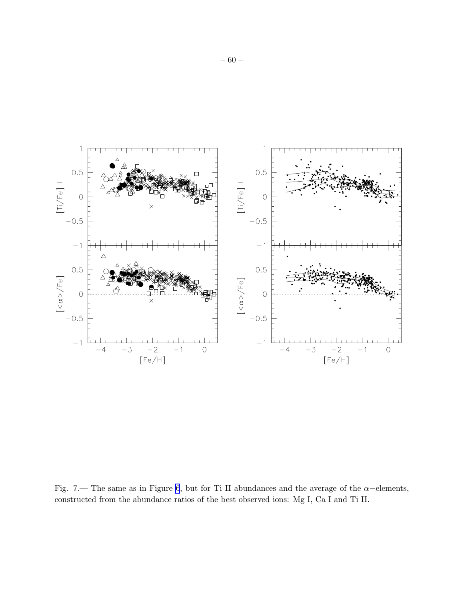<span id="page-59-0"></span>

Fig. 7.— The same as in Figure [6](#page-58-0), but for Ti II abundances and the average of the  $\alpha$ -elements, constructed from the abundance ratios of the best observed ions: Mg I, Ca I and Ti II.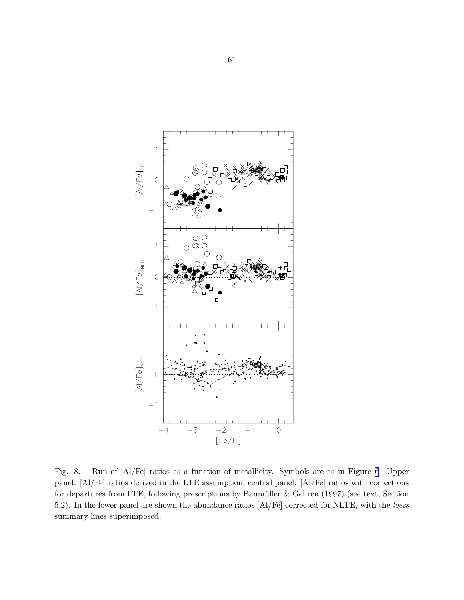<span id="page-60-0"></span>

Fig. 8.— Run of [Al/Fe] ratios as a function of metallicity. Symbols are as in Figure [6](#page-58-0). Upper panel: [Al/Fe] ratios derived in the LTE assumption; central panel: [Al/Fe] ratios with corrections for departures from LTE, following prescriptions by Baumüller  $&$  Gehren (1997) (see text, Section 5.2). In the lower panel are shown the abundance ratios [Al/Fe] corrected for NLTE, with the *loess* summary lines superimposed.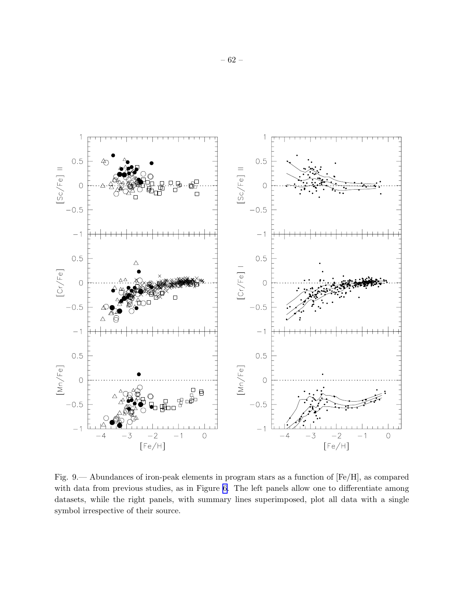<span id="page-61-0"></span>

Fig. 9.— Abundances of iron-peak elements in program stars as a function of [Fe/H], as compared with data from previous studies, as in Figure [6.](#page-58-0) The left panels allow one to differentiate among datasets, while the right panels, with summary lines superimposed, plot all data with a single symbol irrespective of their source.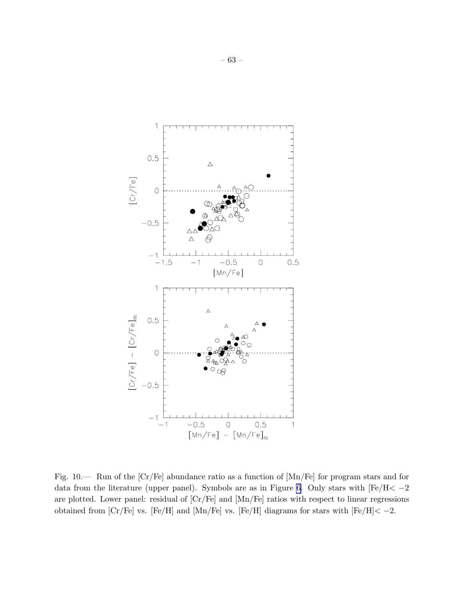<span id="page-62-0"></span>

Fig. 10.— Run of the [Cr/Fe] abundance ratio as a function of [Mn/Fe] for program stars and for data from the literature (upper panel). Symbols are as in Figure [6.](#page-58-0) Only stars with  $[Fe/H < -2$ are plotted. Lower panel: residual of [Cr/Fe] and [Mn/Fe] ratios with respect to linear regressions obtained from  $\text{[Cr/Fe]}$  vs.  $\text{[Fe/H]}$  and  $\text{[Mn/Fe]}$  vs.  $\text{[Fe/H]}$  diagrams for stars with  $\text{[Fe/H]} < -2$ .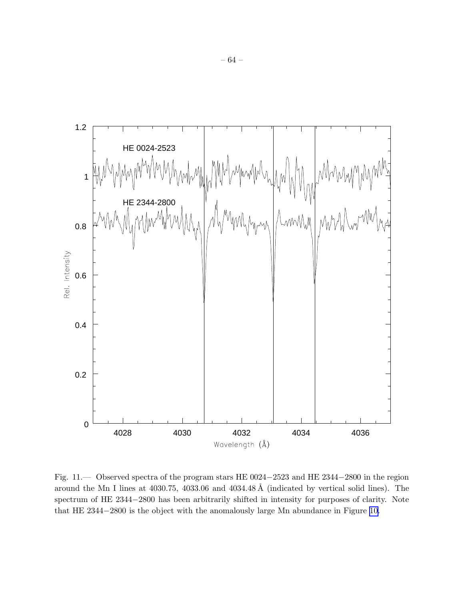<span id="page-63-0"></span>

Fig. 11.— Observed spectra of the program stars HE 0024−2523 and HE 2344−2800 in the region around the Mn I lines at  $4030.75$ ,  $4033.06$  and  $4034.48 \text{ Å}$  (indicated by vertical solid lines). The spectrum of HE 2344−2800 has been arbitrarily shifted in intensity for purposes of clarity. Note that HE 2344−2800 is the object with the anomalously large Mn abundance in Figure [10.](#page-62-0)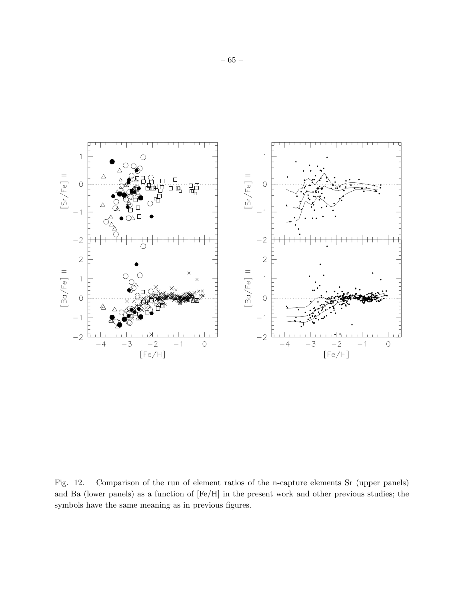<span id="page-64-0"></span>

Fig. 12.— Comparison of the run of element ratios of the n-capture elements Sr (upper panels) and Ba (lower panels) as a function of [Fe/H] in the present work and other previous studies; the symbols have the same meaning as in previous figures.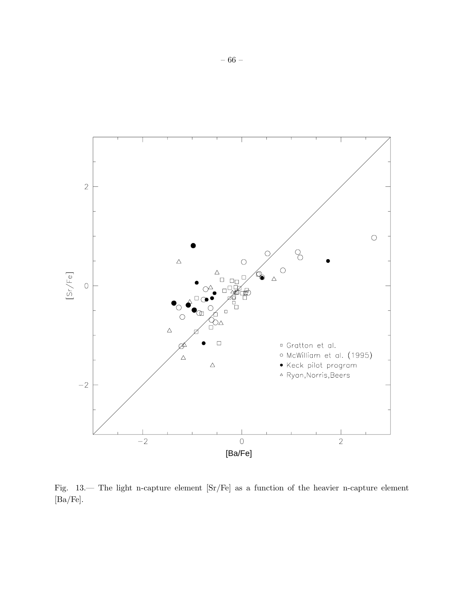<span id="page-65-0"></span>

Fig. 13.— The light n-capture element [Sr/Fe] as a function of the heavier n-capture element [Ba/Fe].